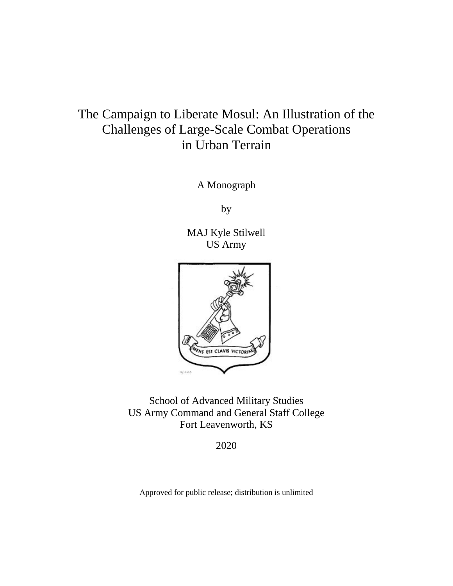# The Campaign to Liberate Mosul: An Illustration of the Challenges of Large-Scale Combat Operations in Urban Terrain

A Monograph

by

MAJ Kyle Stilwell US Army



School of Advanced Military Studies US Army Command and General Staff College Fort Leavenworth, KS

2020

Approved for public release; distribution is unlimited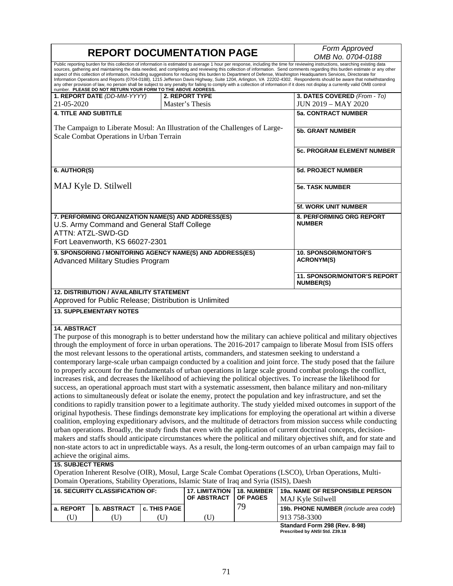|                                                                                                                                                                                                                                                                                                                                                                                                                                                                                                                                                                                                                                                                                                                                                                                                                                                                                                                                                                   |                                                                                                                         |                                                   | <b>REPORT DOCUMENTATION PAGE</b>                                                       |                               | Form Approved<br>OMB No. 0704-0188                                                                                                                                                                                                                                                                                                                                                                                                                                                                                                                                                                                                                                                                                                                                                                                                                                                                                                                                                                                                                                                                                                                                                                                                                                                                                                                                                                                                                                                                                                                                                                                                                                                                                                                                                                                |  |  |
|-------------------------------------------------------------------------------------------------------------------------------------------------------------------------------------------------------------------------------------------------------------------------------------------------------------------------------------------------------------------------------------------------------------------------------------------------------------------------------------------------------------------------------------------------------------------------------------------------------------------------------------------------------------------------------------------------------------------------------------------------------------------------------------------------------------------------------------------------------------------------------------------------------------------------------------------------------------------|-------------------------------------------------------------------------------------------------------------------------|---------------------------------------------------|----------------------------------------------------------------------------------------|-------------------------------|-------------------------------------------------------------------------------------------------------------------------------------------------------------------------------------------------------------------------------------------------------------------------------------------------------------------------------------------------------------------------------------------------------------------------------------------------------------------------------------------------------------------------------------------------------------------------------------------------------------------------------------------------------------------------------------------------------------------------------------------------------------------------------------------------------------------------------------------------------------------------------------------------------------------------------------------------------------------------------------------------------------------------------------------------------------------------------------------------------------------------------------------------------------------------------------------------------------------------------------------------------------------------------------------------------------------------------------------------------------------------------------------------------------------------------------------------------------------------------------------------------------------------------------------------------------------------------------------------------------------------------------------------------------------------------------------------------------------------------------------------------------------------------------------------------------------|--|--|
| Public reporting burden for this collection of information is estimated to average 1 hour per response, including the time for reviewing instructions, searching existing data<br>sources, gathering and maintaining the data needed, and completing and reviewing this collection of information. Send comments regarding this burden estimate or any other<br>aspect of this collection of information, including suggestions for reducing this burden to Department of Defense, Washington Headquarters Services, Directorate for<br>Information Operations and Reports (0704-0188), 1215 Jefferson Davis Highway, Suite 1204, Arlington, VA 22202-4302. Respondents should be aware that notwithstanding<br>any other provision of law, no person shall be subject to any penalty for failing to comply with a collection of information if it does not display a currently valid OMB control<br>number. PLEASE DO NOT RETURN YOUR FORM TO THE ABOVE ADDRESS. |                                                                                                                         |                                                   |                                                                                        |                               |                                                                                                                                                                                                                                                                                                                                                                                                                                                                                                                                                                                                                                                                                                                                                                                                                                                                                                                                                                                                                                                                                                                                                                                                                                                                                                                                                                                                                                                                                                                                                                                                                                                                                                                                                                                                                   |  |  |
| 21-05-2020                                                                                                                                                                                                                                                                                                                                                                                                                                                                                                                                                                                                                                                                                                                                                                                                                                                                                                                                                        | 1. REPORT DATE (DD-MM-YYYY)                                                                                             |                                                   | 2. REPORT TYPE<br>Master's Thesis                                                      |                               | 3. DATES COVERED (From - To)<br><b>JUN 2019 - MAY 2020</b>                                                                                                                                                                                                                                                                                                                                                                                                                                                                                                                                                                                                                                                                                                                                                                                                                                                                                                                                                                                                                                                                                                                                                                                                                                                                                                                                                                                                                                                                                                                                                                                                                                                                                                                                                        |  |  |
| <b>4. TITLE AND SUBTITLE</b>                                                                                                                                                                                                                                                                                                                                                                                                                                                                                                                                                                                                                                                                                                                                                                                                                                                                                                                                      |                                                                                                                         |                                                   |                                                                                        |                               | <b>5a. CONTRACT NUMBER</b>                                                                                                                                                                                                                                                                                                                                                                                                                                                                                                                                                                                                                                                                                                                                                                                                                                                                                                                                                                                                                                                                                                                                                                                                                                                                                                                                                                                                                                                                                                                                                                                                                                                                                                                                                                                        |  |  |
|                                                                                                                                                                                                                                                                                                                                                                                                                                                                                                                                                                                                                                                                                                                                                                                                                                                                                                                                                                   | The Campaign to Liberate Mosul: An Illustration of the Challenges of Large-<br>Scale Combat Operations in Urban Terrain | <b>5b. GRANT NUMBER</b>                           |                                                                                        |                               |                                                                                                                                                                                                                                                                                                                                                                                                                                                                                                                                                                                                                                                                                                                                                                                                                                                                                                                                                                                                                                                                                                                                                                                                                                                                                                                                                                                                                                                                                                                                                                                                                                                                                                                                                                                                                   |  |  |
|                                                                                                                                                                                                                                                                                                                                                                                                                                                                                                                                                                                                                                                                                                                                                                                                                                                                                                                                                                   |                                                                                                                         | <b>5c. PROGRAM ELEMENT NUMBER</b>                 |                                                                                        |                               |                                                                                                                                                                                                                                                                                                                                                                                                                                                                                                                                                                                                                                                                                                                                                                                                                                                                                                                                                                                                                                                                                                                                                                                                                                                                                                                                                                                                                                                                                                                                                                                                                                                                                                                                                                                                                   |  |  |
| 6. AUTHOR(S)                                                                                                                                                                                                                                                                                                                                                                                                                                                                                                                                                                                                                                                                                                                                                                                                                                                                                                                                                      |                                                                                                                         | <b>5d. PROJECT NUMBER</b>                         |                                                                                        |                               |                                                                                                                                                                                                                                                                                                                                                                                                                                                                                                                                                                                                                                                                                                                                                                                                                                                                                                                                                                                                                                                                                                                                                                                                                                                                                                                                                                                                                                                                                                                                                                                                                                                                                                                                                                                                                   |  |  |
|                                                                                                                                                                                                                                                                                                                                                                                                                                                                                                                                                                                                                                                                                                                                                                                                                                                                                                                                                                   | MAJ Kyle D. Stilwell                                                                                                    | <b>5e. TASK NUMBER</b>                            |                                                                                        |                               |                                                                                                                                                                                                                                                                                                                                                                                                                                                                                                                                                                                                                                                                                                                                                                                                                                                                                                                                                                                                                                                                                                                                                                                                                                                                                                                                                                                                                                                                                                                                                                                                                                                                                                                                                                                                                   |  |  |
|                                                                                                                                                                                                                                                                                                                                                                                                                                                                                                                                                                                                                                                                                                                                                                                                                                                                                                                                                                   |                                                                                                                         | 5f. WORK UNIT NUMBER                              |                                                                                        |                               |                                                                                                                                                                                                                                                                                                                                                                                                                                                                                                                                                                                                                                                                                                                                                                                                                                                                                                                                                                                                                                                                                                                                                                                                                                                                                                                                                                                                                                                                                                                                                                                                                                                                                                                                                                                                                   |  |  |
| ATTN: ATZL-SWD-GD                                                                                                                                                                                                                                                                                                                                                                                                                                                                                                                                                                                                                                                                                                                                                                                                                                                                                                                                                 | 7. PERFORMING ORGANIZATION NAME(S) AND ADDRESS(ES)<br>U.S. Army Command and General Staff College                       | 8. PERFORMING ORG REPORT<br><b>NUMBER</b>         |                                                                                        |                               |                                                                                                                                                                                                                                                                                                                                                                                                                                                                                                                                                                                                                                                                                                                                                                                                                                                                                                                                                                                                                                                                                                                                                                                                                                                                                                                                                                                                                                                                                                                                                                                                                                                                                                                                                                                                                   |  |  |
|                                                                                                                                                                                                                                                                                                                                                                                                                                                                                                                                                                                                                                                                                                                                                                                                                                                                                                                                                                   | Fort Leavenworth, KS 66027-2301                                                                                         |                                                   |                                                                                        |                               |                                                                                                                                                                                                                                                                                                                                                                                                                                                                                                                                                                                                                                                                                                                                                                                                                                                                                                                                                                                                                                                                                                                                                                                                                                                                                                                                                                                                                                                                                                                                                                                                                                                                                                                                                                                                                   |  |  |
|                                                                                                                                                                                                                                                                                                                                                                                                                                                                                                                                                                                                                                                                                                                                                                                                                                                                                                                                                                   | 9. SPONSORING / MONITORING AGENCY NAME(S) AND ADDRESS(ES)<br><b>Advanced Military Studies Program</b>                   | <b>10. SPONSOR/MONITOR'S</b><br><b>ACRONYM(S)</b> |                                                                                        |                               |                                                                                                                                                                                                                                                                                                                                                                                                                                                                                                                                                                                                                                                                                                                                                                                                                                                                                                                                                                                                                                                                                                                                                                                                                                                                                                                                                                                                                                                                                                                                                                                                                                                                                                                                                                                                                   |  |  |
|                                                                                                                                                                                                                                                                                                                                                                                                                                                                                                                                                                                                                                                                                                                                                                                                                                                                                                                                                                   |                                                                                                                         |                                                   |                                                                                        |                               | <b>11. SPONSOR/MONITOR'S REPORT</b><br><b>NUMBER(S)</b>                                                                                                                                                                                                                                                                                                                                                                                                                                                                                                                                                                                                                                                                                                                                                                                                                                                                                                                                                                                                                                                                                                                                                                                                                                                                                                                                                                                                                                                                                                                                                                                                                                                                                                                                                           |  |  |
|                                                                                                                                                                                                                                                                                                                                                                                                                                                                                                                                                                                                                                                                                                                                                                                                                                                                                                                                                                   | <b>12. DISTRIBUTION / AVAILABILITY STATEMENT</b><br>Approved for Public Release; Distribution is Unlimited              |                                                   |                                                                                        |                               |                                                                                                                                                                                                                                                                                                                                                                                                                                                                                                                                                                                                                                                                                                                                                                                                                                                                                                                                                                                                                                                                                                                                                                                                                                                                                                                                                                                                                                                                                                                                                                                                                                                                                                                                                                                                                   |  |  |
|                                                                                                                                                                                                                                                                                                                                                                                                                                                                                                                                                                                                                                                                                                                                                                                                                                                                                                                                                                   | <b>13. SUPPLEMENTARY NOTES</b>                                                                                          |                                                   |                                                                                        |                               |                                                                                                                                                                                                                                                                                                                                                                                                                                                                                                                                                                                                                                                                                                                                                                                                                                                                                                                                                                                                                                                                                                                                                                                                                                                                                                                                                                                                                                                                                                                                                                                                                                                                                                                                                                                                                   |  |  |
|                                                                                                                                                                                                                                                                                                                                                                                                                                                                                                                                                                                                                                                                                                                                                                                                                                                                                                                                                                   |                                                                                                                         |                                                   |                                                                                        |                               |                                                                                                                                                                                                                                                                                                                                                                                                                                                                                                                                                                                                                                                                                                                                                                                                                                                                                                                                                                                                                                                                                                                                                                                                                                                                                                                                                                                                                                                                                                                                                                                                                                                                                                                                                                                                                   |  |  |
| <b>14. ABSTRACT</b><br>achieve the original aims.<br><b>15. SUBJECT TERMS</b>                                                                                                                                                                                                                                                                                                                                                                                                                                                                                                                                                                                                                                                                                                                                                                                                                                                                                     |                                                                                                                         |                                                   | Domain Operations, Stability Operations, Islamic State of Iraq and Syria (ISIS), Daesh |                               | The purpose of this monograph is to better understand how the military can achieve political and military objectives<br>through the employment of force in urban operations. The 2016-2017 campaign to liberate Mosul from ISIS offers<br>the most relevant lessons to the operational artists, commanders, and statesmen seeking to understand a<br>contemporary large-scale urban campaign conducted by a coalition and joint force. The study posed that the failure<br>to properly account for the fundamentals of urban operations in large scale ground combat prolongs the conflict,<br>increases risk, and decreases the likelihood of achieving the political objectives. To increase the likelihood for<br>success, an operational approach must start with a systematic assessment, then balance military and non-military<br>actions to simultaneously defeat or isolate the enemy, protect the population and key infrastructure, and set the<br>conditions to rapidly transition power to a legitimate authority. The study yielded mixed outcomes in support of the<br>original hypothesis. These findings demonstrate key implications for employing the operational art within a diverse<br>coalition, employing expeditionary advisors, and the multitude of detractors from mission success while conducting<br>urban operations. Broadly, the study finds that even with the application of current doctrinal concepts, decision-<br>makers and staffs should anticipate circumstances where the political and military objectives shift, and for state and<br>non-state actors to act in unpredictable ways. As a result, the long-term outcomes of an urban campaign may fail to<br>Operation Inherent Resolve (OIR), Mosul, Large Scale Combat Operations (LSCO), Urban Operations, Multi- |  |  |
|                                                                                                                                                                                                                                                                                                                                                                                                                                                                                                                                                                                                                                                                                                                                                                                                                                                                                                                                                                   | <b>16. SECURITY CLASSIFICATION OF:</b>                                                                                  |                                                   | <b>17. LIMITATION</b><br>OF ABSTRACT                                                   | <b>18. NUMBER</b><br>OF PAGES | 19a. NAME OF RESPONSIBLE PERSON                                                                                                                                                                                                                                                                                                                                                                                                                                                                                                                                                                                                                                                                                                                                                                                                                                                                                                                                                                                                                                                                                                                                                                                                                                                                                                                                                                                                                                                                                                                                                                                                                                                                                                                                                                                   |  |  |
| a. REPORT                                                                                                                                                                                                                                                                                                                                                                                                                                                                                                                                                                                                                                                                                                                                                                                                                                                                                                                                                         | <b>b. ABSTRACT</b>                                                                                                      | c. THIS PAGE                                      |                                                                                        | 79                            | MAJ Kyle Stilwell<br>19b. PHONE NUMBER (include area code)                                                                                                                                                                                                                                                                                                                                                                                                                                                                                                                                                                                                                                                                                                                                                                                                                                                                                                                                                                                                                                                                                                                                                                                                                                                                                                                                                                                                                                                                                                                                                                                                                                                                                                                                                        |  |  |
| (U)                                                                                                                                                                                                                                                                                                                                                                                                                                                                                                                                                                                                                                                                                                                                                                                                                                                                                                                                                               | (U)                                                                                                                     | (U)                                               | (U)                                                                                    |                               | 913 758-3300                                                                                                                                                                                                                                                                                                                                                                                                                                                                                                                                                                                                                                                                                                                                                                                                                                                                                                                                                                                                                                                                                                                                                                                                                                                                                                                                                                                                                                                                                                                                                                                                                                                                                                                                                                                                      |  |  |

**Standard Form 298 (Rev. 8-98) Prescribed by ANSI Std. Z39.18**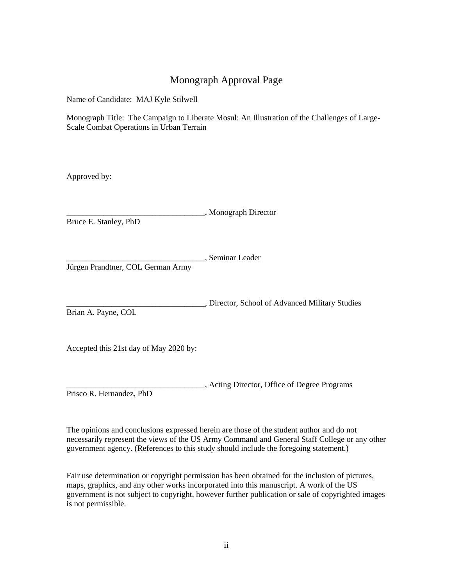### Monograph Approval Page

Name of Candidate: MAJ Kyle Stilwell

Monograph Title: The Campaign to Liberate Mosul: An Illustration of the Challenges of Large-Scale Combat Operations in Urban Terrain

Approved by:

\_\_\_\_\_\_\_\_\_\_\_\_\_\_\_\_\_\_\_\_\_\_\_\_\_\_\_\_\_\_\_\_\_\_, Monograph Director

Bruce E. Stanley, PhD

\_\_\_\_\_\_\_\_\_\_\_\_\_\_\_\_\_\_\_\_\_\_\_\_\_\_\_\_\_\_\_\_\_\_, Seminar Leader

Jürgen Prandtner, COL German Army

\_\_\_\_\_\_\_\_\_\_\_\_\_\_\_\_\_\_\_\_\_\_\_\_\_\_\_\_\_\_\_\_\_\_, Director, School of Advanced Military Studies Brian A. Payne, COL

Accepted this 21st day of May 2020 by:

\_\_\_\_\_\_\_\_\_\_\_\_\_\_\_\_\_\_\_\_\_\_\_\_\_\_\_\_\_\_\_\_\_\_, Acting Director, Office of Degree Programs Prisco R. Hernandez, PhD

The opinions and conclusions expressed herein are those of the student author and do not necessarily represent the views of the US Army Command and General Staff College or any other government agency. (References to this study should include the foregoing statement.)

Fair use determination or copyright permission has been obtained for the inclusion of pictures, maps, graphics, and any other works incorporated into this manuscript. A work of the US government is not subject to copyright, however further publication or sale of copyrighted images is not permissible.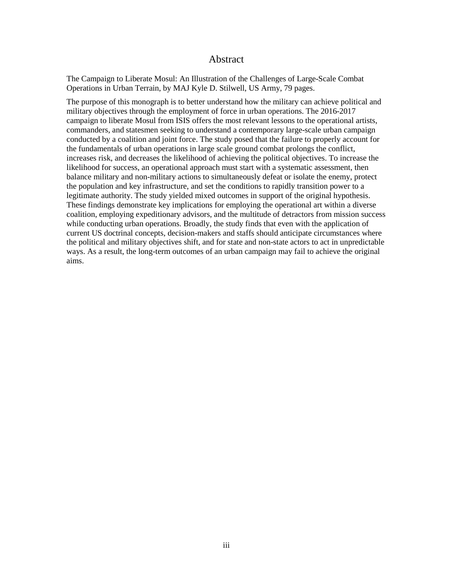#### Abstract

The Campaign to Liberate Mosul: An Illustration of the Challenges of Large-Scale Combat Operations in Urban Terrain, by MAJ Kyle D. Stilwell, US Army, 79 pages.

The purpose of this monograph is to better understand how the military can achieve political and military objectives through the employment of force in urban operations. The 2016-2017 campaign to liberate Mosul from ISIS offers the most relevant lessons to the operational artists, commanders, and statesmen seeking to understand a contemporary large-scale urban campaign conducted by a coalition and joint force. The study posed that the failure to properly account for the fundamentals of urban operations in large scale ground combat prolongs the conflict, increases risk, and decreases the likelihood of achieving the political objectives. To increase the likelihood for success, an operational approach must start with a systematic assessment, then balance military and non-military actions to simultaneously defeat or isolate the enemy, protect the population and key infrastructure, and set the conditions to rapidly transition power to a legitimate authority. The study yielded mixed outcomes in support of the original hypothesis. These findings demonstrate key implications for employing the operational art within a diverse coalition, employing expeditionary advisors, and the multitude of detractors from mission success while conducting urban operations. Broadly, the study finds that even with the application of current US doctrinal concepts, decision-makers and staffs should anticipate circumstances where the political and military objectives shift, and for state and non-state actors to act in unpredictable ways. As a result, the long-term outcomes of an urban campaign may fail to achieve the original aims.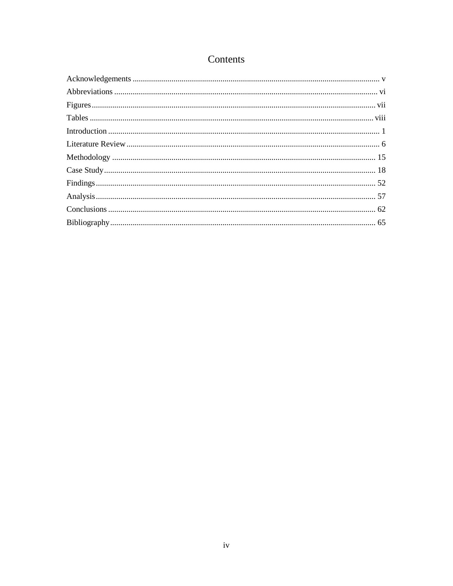### Contents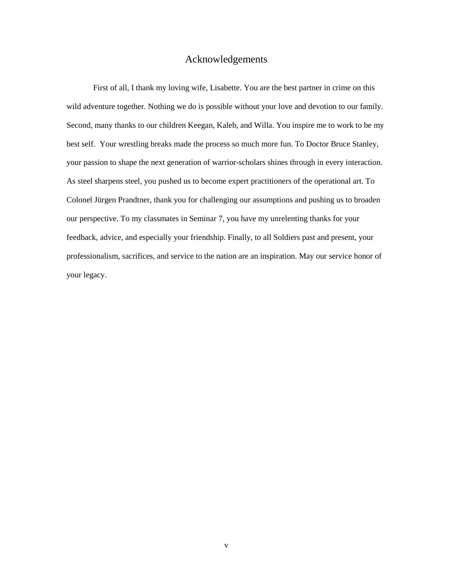### Acknowledgements

<span id="page-5-0"></span>First of all, I thank my loving wife, Lisabette. You are the best partner in crime on this wild adventure together. Nothing we do is possible without your love and devotion to our family. Second, many thanks to our children Keegan, Kaleb, and Willa. You inspire me to work to be my best self. Your wrestling breaks made the process so much more fun. To Doctor Bruce Stanley, your passion to shape the next generation of warrior-scholars shines through in every interaction. As steel sharpens steel, you pushed us to become expert practitioners of the operational art. To Colonel Jürgen Prandtner, thank you for challenging our assumptions and pushing us to broaden our perspective. To my classmates in Seminar 7, you have my unrelenting thanks for your feedback, advice, and especially your friendship. Finally, to all Soldiers past and present, your professionalism, sacrifices, and service to the nation are an inspiration. May our service honor of your legacy.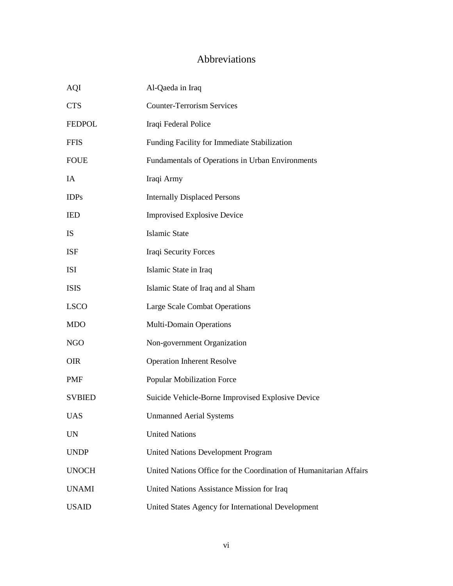### Abbreviations

<span id="page-6-0"></span>

| <b>AQI</b>    | Al-Qaeda in Iraq                                                   |  |
|---------------|--------------------------------------------------------------------|--|
| <b>CTS</b>    | <b>Counter-Terrorism Services</b>                                  |  |
| <b>FEDPOL</b> | Iraqi Federal Police                                               |  |
| <b>FFIS</b>   | Funding Facility for Immediate Stabilization                       |  |
| <b>FOUE</b>   | Fundamentals of Operations in Urban Environments                   |  |
| IA            | Iraqi Army                                                         |  |
| <b>IDPs</b>   | <b>Internally Displaced Persons</b>                                |  |
| <b>IED</b>    | <b>Improvised Explosive Device</b>                                 |  |
| <b>IS</b>     | <b>Islamic State</b>                                               |  |
| <b>ISF</b>    | Iraqi Security Forces                                              |  |
| <b>ISI</b>    | Islamic State in Iraq                                              |  |
| <b>ISIS</b>   | Islamic State of Iraq and al Sham                                  |  |
| <b>LSCO</b>   | Large Scale Combat Operations                                      |  |
| <b>MDO</b>    | Multi-Domain Operations                                            |  |
| <b>NGO</b>    | Non-government Organization                                        |  |
| <b>OIR</b>    | <b>Operation Inherent Resolve</b>                                  |  |
| <b>PMF</b>    | <b>Popular Mobilization Force</b>                                  |  |
| <b>SVBIED</b> | Suicide Vehicle-Borne Improvised Explosive Device                  |  |
| <b>UAS</b>    | <b>Unmanned Aerial Systems</b>                                     |  |
| <b>UN</b>     | <b>United Nations</b>                                              |  |
| <b>UNDP</b>   | <b>United Nations Development Program</b>                          |  |
| <b>UNOCH</b>  | United Nations Office for the Coordination of Humanitarian Affairs |  |
| <b>UNAMI</b>  | United Nations Assistance Mission for Iraq                         |  |
| <b>USAID</b>  | United States Agency for International Development                 |  |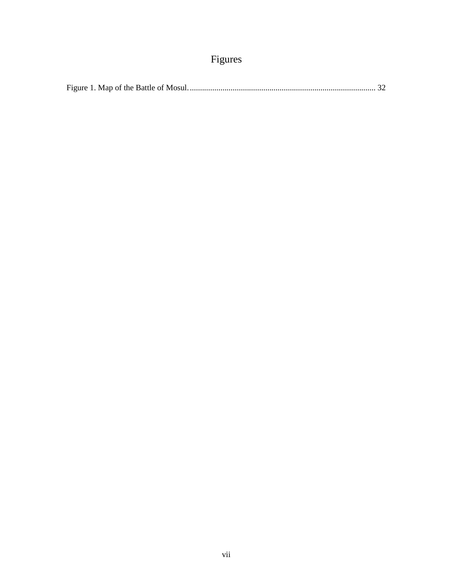## Figures

<span id="page-7-0"></span>

|--|--|--|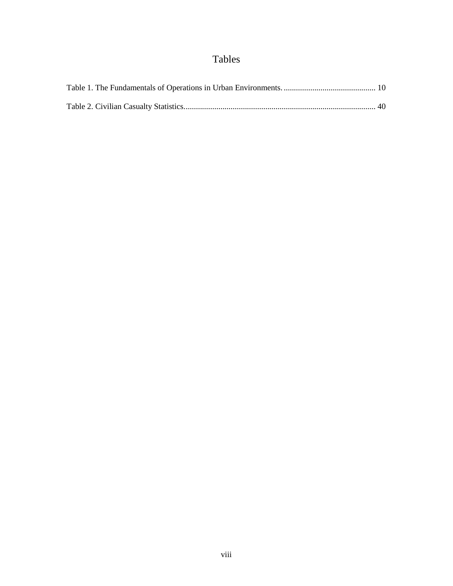## Tables

<span id="page-8-0"></span>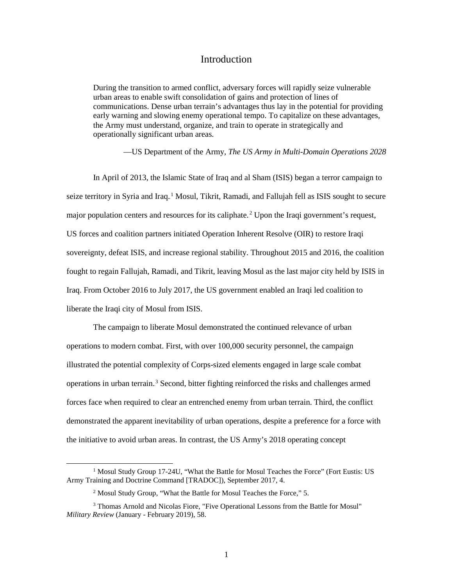### Introduction

<span id="page-9-0"></span>During the transition to armed conflict, adversary forces will rapidly seize vulnerable urban areas to enable swift consolidation of gains and protection of lines of communications. Dense urban terrain's advantages thus lay in the potential for providing early warning and slowing enemy operational tempo. To capitalize on these advantages, the Army must understand, organize, and train to operate in strategically and operationally significant urban areas.

—US Department of the Army, *The US Army in Multi-Domain Operations 2028* 

In April of 2013, the Islamic State of Iraq and al Sham (ISIS) began a terror campaign to seize territory in Syria and Iraq.<sup>1</sup> Mosul, Tikrit, Ramadi, and Fallujah fell as ISIS sought to secure major population centers and resources for its caliphate.<sup>2</sup> Upon the Iraqi government's request, US forces and coalition partners initiated Operation Inherent Resolve (OIR) to restore Iraqi sovereignty, defeat ISIS, and increase regional stability. Throughout 2015 and 2016, the coalition fought to regain Fallujah, Ramadi, and Tikrit, leaving Mosul as the last major city held by ISIS in Iraq. From October 2016 to July 2017, the US government enabled an Iraqi led coalition to liberate the Iraqi city of Mosul from ISIS.

The campaign to liberate Mosul demonstrated the continued relevance of urban operations to modern combat. First, with over 100,000 security personnel, the campaign illustrated the potential complexity of Corps-sized elements engaged in large scale combat operations in urban terrain.<sup>3</sup> Second, bitter fighting reinforced the risks and challenges armed forces face when required to clear an entrenched enemy from urban terrain. Third, the conflict demonstrated the apparent inevitability of urban operations, despite a preference for a force with the initiative to avoid urban areas. In contrast, the US Army's 2018 operating concept

<sup>&</sup>lt;sup>1</sup> Mosul Study Group 17-24U, "What the Battle for Mosul Teaches the Force" (Fort Eustis: US Army Training and Doctrine Command [TRADOC]), September 2017, 4.

<sup>&</sup>lt;sup>2</sup> Mosul Study Group, "What the Battle for Mosul Teaches the Force," 5.

<sup>3</sup> Thomas Arnold and Nicolas Fiore, "Five Operational Lessons from the Battle for Mosul" *Military Review* (January - February 2019), 58.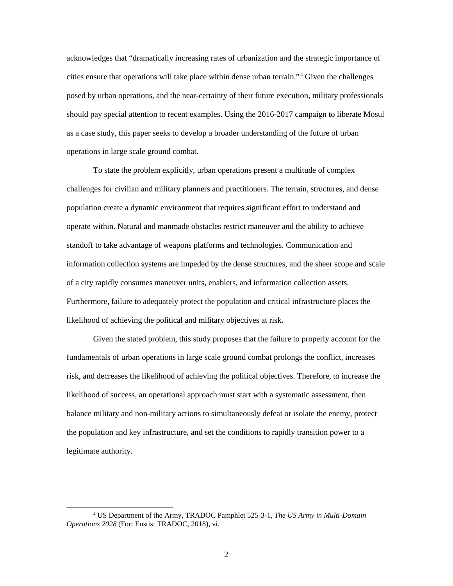acknowledges that "dramatically increasing rates of urbanization and the strategic importance of cities ensure that operations will take place within dense urban terrain."<sup>4</sup> Given the challenges posed by urban operations, and the near-certainty of their future execution, military professionals should pay special attention to recent examples. Using the 2016-2017 campaign to liberate Mosul as a case study, this paper seeks to develop a broader understanding of the future of urban operations in large scale ground combat.

To state the problem explicitly, urban operations present a multitude of complex challenges for civilian and military planners and practitioners. The terrain, structures, and dense population create a dynamic environment that requires significant effort to understand and operate within. Natural and manmade obstacles restrict maneuver and the ability to achieve standoff to take advantage of weapons platforms and technologies. Communication and information collection systems are impeded by the dense structures, and the sheer scope and scale of a city rapidly consumes maneuver units, enablers, and information collection assets. Furthermore, failure to adequately protect the population and critical infrastructure places the likelihood of achieving the political and military objectives at risk.

Given the stated problem, this study proposes that the failure to properly account for the fundamentals of urban operations in large scale ground combat prolongs the conflict, increases risk, and decreases the likelihood of achieving the political objectives. Therefore, to increase the likelihood of success, an operational approach must start with a systematic assessment, then balance military and non-military actions to simultaneously defeat or isolate the enemy, protect the population and key infrastructure, and set the conditions to rapidly transition power to a legitimate authority.

 <sup>4</sup> US Department of the Army, TRADOC Pamphlet 525-3-1, *The US Army in Multi-Domain Operations 2028* (Fort Eustis: TRADOC, 2018), vi.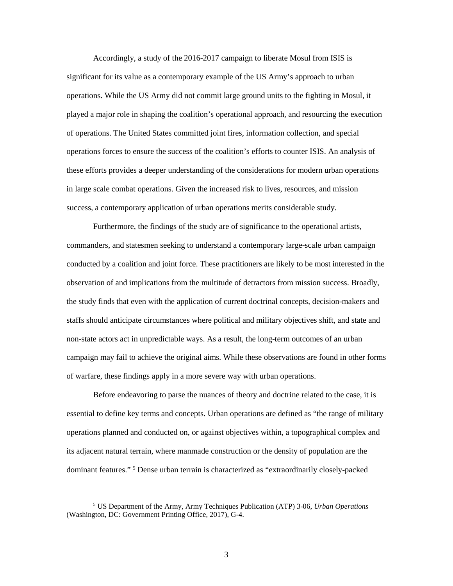Accordingly, a study of the 2016-2017 campaign to liberate Mosul from ISIS is significant for its value as a contemporary example of the US Army's approach to urban operations. While the US Army did not commit large ground units to the fighting in Mosul, it played a major role in shaping the coalition's operational approach, and resourcing the execution of operations. The United States committed joint fires, information collection, and special operations forces to ensure the success of the coalition's efforts to counter ISIS. An analysis of these efforts provides a deeper understanding of the considerations for modern urban operations in large scale combat operations. Given the increased risk to lives, resources, and mission success, a contemporary application of urban operations merits considerable study.

Furthermore, the findings of the study are of significance to the operational artists, commanders, and statesmen seeking to understand a contemporary large-scale urban campaign conducted by a coalition and joint force. These practitioners are likely to be most interested in the observation of and implications from the multitude of detractors from mission success. Broadly, the study finds that even with the application of current doctrinal concepts, decision-makers and staffs should anticipate circumstances where political and military objectives shift, and state and non-state actors act in unpredictable ways. As a result, the long-term outcomes of an urban campaign may fail to achieve the original aims. While these observations are found in other forms of warfare, these findings apply in a more severe way with urban operations.

Before endeavoring to parse the nuances of theory and doctrine related to the case, it is essential to define key terms and concepts. Urban operations are defined as "the range of military operations planned and conducted on, or against objectives within, a topographical complex and its adjacent natural terrain, where manmade construction or the density of population are the dominant features."<sup>5</sup> Dense urban terrain is characterized as "extraordinarily closely-packed

 <sup>5</sup> US Department of the Army, Army Techniques Publication (ATP) 3-06, *Urban Operations*  (Washington, DC: Government Printing Office, 2017), G-4.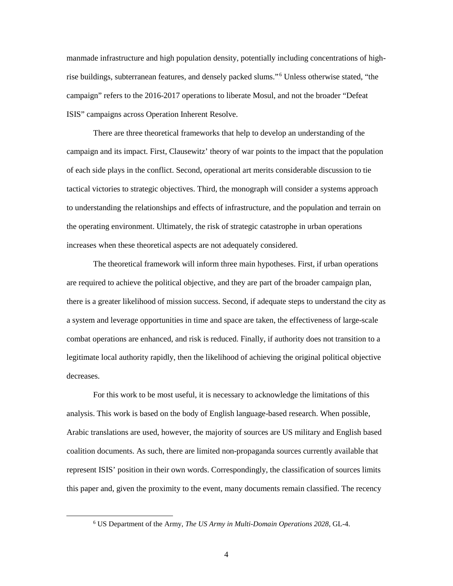manmade infrastructure and high population density, potentially including concentrations of highrise buildings, subterranean features, and densely packed slums."<sup>6</sup> Unless otherwise stated, "the campaign" refers to the 2016-2017 operations to liberate Mosul, and not the broader "Defeat ISIS" campaigns across Operation Inherent Resolve.

There are three theoretical frameworks that help to develop an understanding of the campaign and its impact. First, Clausewitz' theory of war points to the impact that the population of each side plays in the conflict. Second, operational art merits considerable discussion to tie tactical victories to strategic objectives. Third, the monograph will consider a systems approach to understanding the relationships and effects of infrastructure, and the population and terrain on the operating environment. Ultimately, the risk of strategic catastrophe in urban operations increases when these theoretical aspects are not adequately considered.

The theoretical framework will inform three main hypotheses. First, if urban operations are required to achieve the political objective, and they are part of the broader campaign plan, there is a greater likelihood of mission success. Second, if adequate steps to understand the city as a system and leverage opportunities in time and space are taken, the effectiveness of large-scale combat operations are enhanced, and risk is reduced. Finally, if authority does not transition to a legitimate local authority rapidly, then the likelihood of achieving the original political objective decreases.

For this work to be most useful, it is necessary to acknowledge the limitations of this analysis. This work is based on the body of English language-based research. When possible, Arabic translations are used, however, the majority of sources are US military and English based coalition documents. As such, there are limited non-propaganda sources currently available that represent ISIS' position in their own words. Correspondingly, the classification of sources limits this paper and, given the proximity to the event, many documents remain classified. The recency

 <sup>6</sup> US Department of the Army, *The US Army in Multi-Domain Operations <sup>2028</sup>*, GL-4.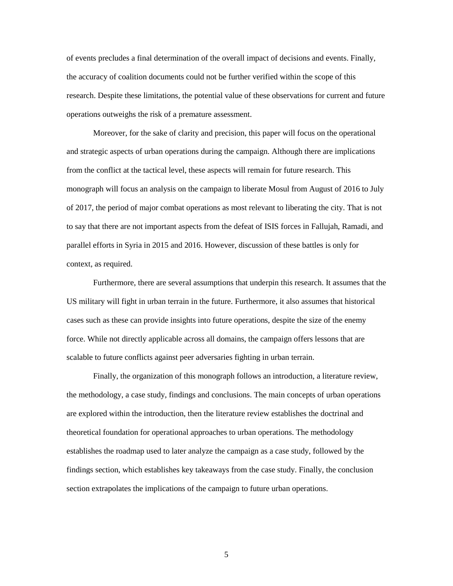of events precludes a final determination of the overall impact of decisions and events. Finally, the accuracy of coalition documents could not be further verified within the scope of this research. Despite these limitations, the potential value of these observations for current and future operations outweighs the risk of a premature assessment.

Moreover, for the sake of clarity and precision, this paper will focus on the operational and strategic aspects of urban operations during the campaign. Although there are implications from the conflict at the tactical level, these aspects will remain for future research. This monograph will focus an analysis on the campaign to liberate Mosul from August of 2016 to July of 2017, the period of major combat operations as most relevant to liberating the city. That is not to say that there are not important aspects from the defeat of ISIS forces in Fallujah, Ramadi, and parallel efforts in Syria in 2015 and 2016. However, discussion of these battles is only for context, as required.

Furthermore, there are several assumptions that underpin this research. It assumes that the US military will fight in urban terrain in the future. Furthermore, it also assumes that historical cases such as these can provide insights into future operations, despite the size of the enemy force. While not directly applicable across all domains, the campaign offers lessons that are scalable to future conflicts against peer adversaries fighting in urban terrain.

Finally, the organization of this monograph follows an introduction, a literature review, the methodology, a case study, findings and conclusions. The main concepts of urban operations are explored within the introduction, then the literature review establishes the doctrinal and theoretical foundation for operational approaches to urban operations. The methodology establishes the roadmap used to later analyze the campaign as a case study, followed by the findings section, which establishes key takeaways from the case study. Finally, the conclusion section extrapolates the implications of the campaign to future urban operations.

5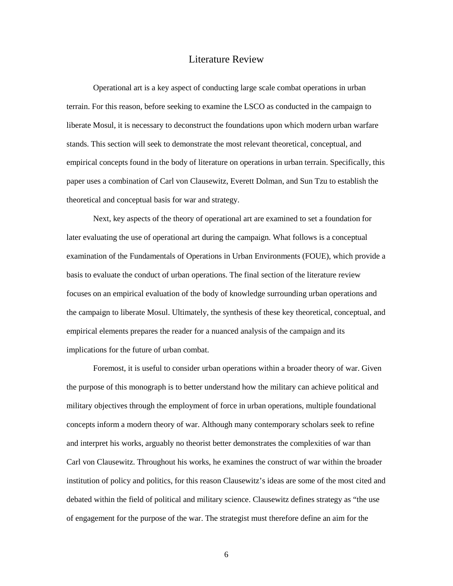#### Literature Review

<span id="page-14-0"></span>Operational art is a key aspect of conducting large scale combat operations in urban terrain. For this reason, before seeking to examine the LSCO as conducted in the campaign to liberate Mosul, it is necessary to deconstruct the foundations upon which modern urban warfare stands. This section will seek to demonstrate the most relevant theoretical, conceptual, and empirical concepts found in the body of literature on operations in urban terrain. Specifically, this paper uses a combination of Carl von Clausewitz, Everett Dolman, and Sun Tzu to establish the theoretical and conceptual basis for war and strategy.

Next, key aspects of the theory of operational art are examined to set a foundation for later evaluating the use of operational art during the campaign. What follows is a conceptual examination of the Fundamentals of Operations in Urban Environments (FOUE), which provide a basis to evaluate the conduct of urban operations. The final section of the literature review focuses on an empirical evaluation of the body of knowledge surrounding urban operations and the campaign to liberate Mosul. Ultimately, the synthesis of these key theoretical, conceptual, and empirical elements prepares the reader for a nuanced analysis of the campaign and its implications for the future of urban combat.

Foremost, it is useful to consider urban operations within a broader theory of war. Given the purpose of this monograph is to better understand how the military can achieve political and military objectives through the employment of force in urban operations, multiple foundational concepts inform a modern theory of war. Although many contemporary scholars seek to refine and interpret his works, arguably no theorist better demonstrates the complexities of war than Carl von Clausewitz. Throughout his works, he examines the construct of war within the broader institution of policy and politics, for this reason Clausewitz's ideas are some of the most cited and debated within the field of political and military science. Clausewitz defines strategy as "the use of engagement for the purpose of the war. The strategist must therefore define an aim for the

6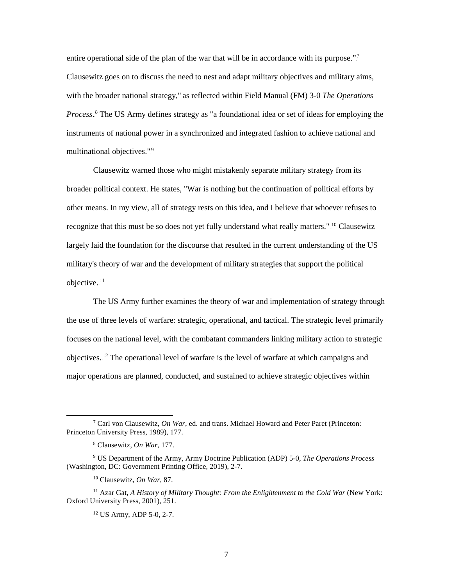entire operational side of the plan of the war that will be in accordance with its purpose."<sup>7</sup> Clausewitz goes on to discuss the need to nest and adapt military objectives and military aims, with the broader national strategy," as reflected within Field Manual (FM) 3-0 *The Operations*  Process.<sup>8</sup> The US Army defines strategy as "a foundational idea or set of ideas for employing the instruments of national power in a synchronized and integrated fashion to achieve national and multinational objectives.".<sup>9</sup>

Clausewitz warned those who might mistakenly separate military strategy from its broader political context. He states, "War is nothing but the continuation of political efforts by other means. In my view, all of strategy rests on this idea, and I believe that whoever refuses to recognize that this must be so does not yet fully understand what really matters." <sup>10</sup> Clausewitz largely laid the foundation for the discourse that resulted in the current understanding of the US military's theory of war and the development of military strategies that support the political objective. $11$ 

The US Army further examines the theory of war and implementation of strategy through the use of three levels of warfare: strategic, operational, and tactical. The strategic level primarily focuses on the national level, with the combatant commanders linking military action to strategic objectives.<sup>12</sup> The operational level of warfare is the level of warfare at which campaigns and major operations are planned, conducted, and sustained to achieve strategic objectives within

 <sup>7</sup> Carl von Clausewitz, *On War*, ed. and trans. Michael Howard and Peter Paret (Princeton: Princeton University Press, 1989), 177.

<sup>8</sup> Clausewitz, *On War*, 177.

<sup>9</sup> US Department of the Army, Army Doctrine Publication (ADP) 5-0, *The Operations Process* (Washington, DC: Government Printing Office, 2019), 2-7.

<sup>10</sup> Clausewitz, *On War*, 87.

<sup>11</sup> Azar Gat, *A History of Military Thought: From the Enlightenment to the Cold War* (New York: Oxford University Press, 2001), 251.

<sup>12</sup> US Army, ADP 5-0, 2-7.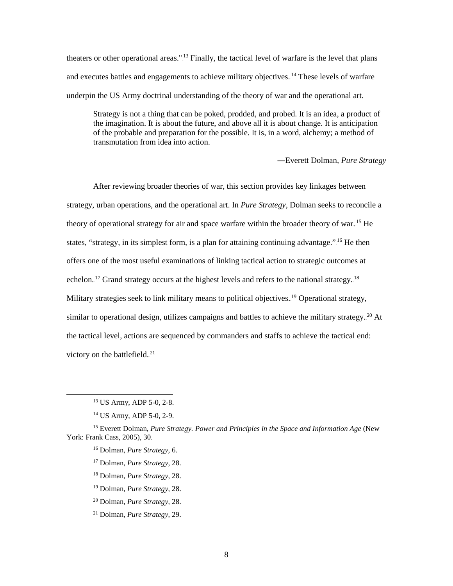theaters or other operational areas."<sup>13</sup> Finally, the tactical level of warfare is the level that plans and executes battles and engagements to achieve military objectives.<sup>14</sup> These levels of warfare underpin the US Army doctrinal understanding of the theory of war and the operational art.

Strategy is not a thing that can be poked, prodded, and probed. It is an idea, a product of the imagination. It is about the future, and above all it is about change. It is anticipation of the probable and preparation for the possible. It is, in a word, alchemy; a method of transmutation from idea into action.

―Everett Dolman, *Pure Strategy*

After reviewing broader theories of war, this section provides key linkages between strategy, urban operations, and the operational art. In *Pure Strategy*, Dolman seeks to reconcile a theory of operational strategy for air and space warfare within the broader theory of war.<sup>15</sup> He states, "strategy, in its simplest form, is a plan for attaining continuing advantage.".<sup>16</sup> He then offers one of the most useful examinations of linking tactical action to strategic outcomes at echelon.<sup>17</sup> Grand strategy occurs at the highest levels and refers to the national strategy.<sup>18</sup> Military strategies seek to link military means to political objectives.<sup>19</sup> Operational strategy, similar to operational design, utilizes campaigns and battles to achieve the military strategy.<sup>20</sup> At the tactical level, actions are sequenced by commanders and staffs to achieve the tactical end: victory on the battlefield. $21$ 

- <sup>19</sup> Dolman, *Pure Strategy*, 28.
- <sup>20</sup> Dolman, *Pure Strategy*, 28.
- <sup>21</sup> Dolman, *Pure Strategy*, 29.

 <sup>13</sup> US Army, ADP 5-0*,* 2-8.

<sup>14</sup> US Army, ADP 5-0*,* 2-9.

<sup>15</sup> Everett Dolman, *Pure Strategy. Power and Principles in the Space and Information Age* (New York: Frank Cass, 2005), 30.

<sup>16</sup> Dolman, *Pure Strategy*, 6.

<sup>17</sup> Dolman, *Pure Strategy*, 28.

<sup>18</sup> Dolman, *Pure Strategy*, 28.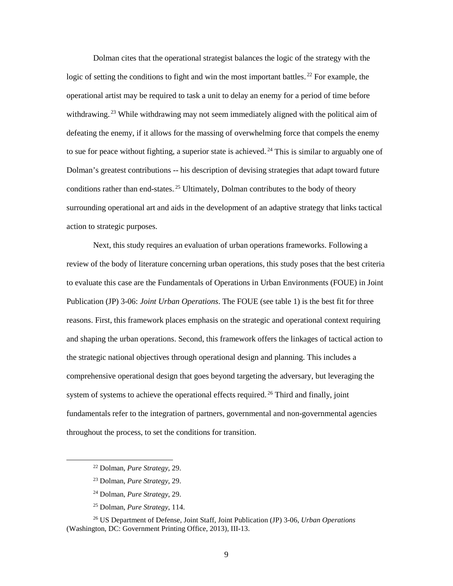Dolman cites that the operational strategist balances the logic of the strategy with the logic of setting the conditions to fight and win the most important battles.<sup>22</sup> For example, the operational artist may be required to task a unit to delay an enemy for a period of time before withdrawing.<sup>23</sup> While withdrawing may not seem immediately aligned with the political aim of defeating the enemy, if it allows for the massing of overwhelming force that compels the enemy to sue for peace without fighting, a superior state is achieved.<sup>24</sup> This is similar to arguably one of Dolman's greatest contributions -- his description of devising strategies that adapt toward future conditions rather than end-states.<sup>25</sup> Ultimately, Dolman contributes to the body of theory surrounding operational art and aids in the development of an adaptive strategy that links tactical action to strategic purposes.

Next, this study requires an evaluation of urban operations frameworks. Following a review of the body of literature concerning urban operations, this study poses that the best criteria to evaluate this case are the Fundamentals of Operations in Urban Environments (FOUE) in Joint Publication (JP) 3-06: *Joint Urban Operations*. The FOUE (see table 1) is the best fit for three reasons. First, this framework places emphasis on the strategic and operational context requiring and shaping the urban operations. Second, this framework offers the linkages of tactical action to the strategic national objectives through operational design and planning. This includes a comprehensive operational design that goes beyond targeting the adversary, but leveraging the system of systems to achieve the operational effects required.<sup>26</sup> Third and finally, joint fundamentals refer to the integration of partners, governmental and non-governmental agencies throughout the process, to set the conditions for transition.

- <sup>24</sup> Dolman, *Pure Strategy*, 29.
- <sup>25</sup> Dolman, *Pure Strategy*, 114.

<sup>26</sup> US Department of Defense, Joint Staff, Joint Publication (JP) 3-06, *Urban Operations*  (Washington, DC: Government Printing Office, 2013), III-13.

 <sup>22</sup> Dolman, *Pure Strategy*, 29.

<sup>23</sup> Dolman, *Pure Strategy*, 29.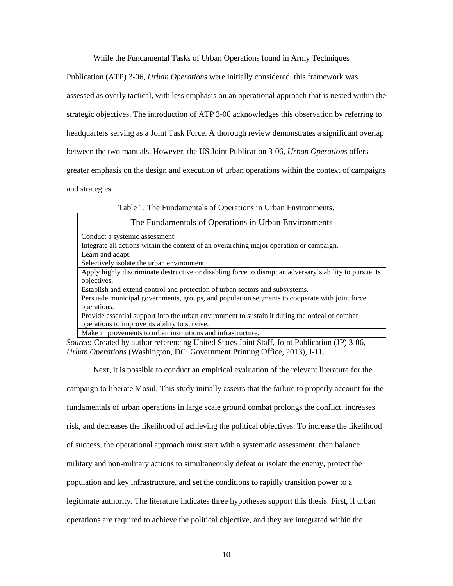While the Fundamental Tasks of Urban Operations found in Army Techniques

Publication (ATP) 3-06, *Urban Operations* were initially considered, this framework was assessed as overly tactical, with less emphasis on an operational approach that is nested within the strategic objectives. The introduction of ATP 3-06 acknowledges this observation by referring to headquarters serving as a Joint Task Force. A thorough review demonstrates a significant overlap between the two manuals. However, the US Joint Publication 3-06, *Urban Operations* offers greater emphasis on the design and execution of urban operations within the context of campaigns and strategies.

Table 1. The Fundamentals of Operations in Urban Environments.

| The Fundamentals of Operations in Urban Environments                                                     |  |
|----------------------------------------------------------------------------------------------------------|--|
| Conduct a systemic assessment.                                                                           |  |
| Integrate all actions within the context of an overarching major operation or campaign.                  |  |
| Learn and adapt.                                                                                         |  |
| Selectively isolate the urban environment.                                                               |  |
| Apply highly discriminate destructive or disabling force to disrupt an adversary's ability to pursue its |  |
| objectives.                                                                                              |  |
| Establish and extend control and protection of urban sectors and subsystems.                             |  |
| Persuade municipal governments, groups, and population segments to cooperate with joint force            |  |
| operations.                                                                                              |  |
| Provide essential support into the urban environment to sustain it during the ordeal of combat           |  |
| operations to improve its ability to survive.                                                            |  |
| Make improvements to urban institutions and infrastructure.                                              |  |

*Source:* Created by author referencing United States Joint Staff, Joint Publication (JP) 3-06, *Urban Operations* (Washington, DC: Government Printing Office, 2013), I-11.

Next, it is possible to conduct an empirical evaluation of the relevant literature for the campaign to liberate Mosul. This study initially asserts that the failure to properly account for the fundamentals of urban operations in large scale ground combat prolongs the conflict, increases risk, and decreases the likelihood of achieving the political objectives. To increase the likelihood of success, the operational approach must start with a systematic assessment, then balance military and non-military actions to simultaneously defeat or isolate the enemy, protect the population and key infrastructure, and set the conditions to rapidly transition power to a legitimate authority. The literature indicates three hypotheses support this thesis. First, if urban operations are required to achieve the political objective, and they are integrated within the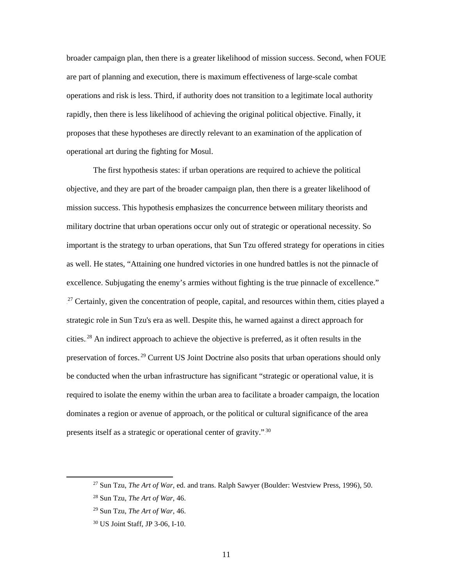broader campaign plan, then there is a greater likelihood of mission success. Second, when FOUE are part of planning and execution, there is maximum effectiveness of large-scale combat operations and risk is less. Third, if authority does not transition to a legitimate local authority rapidly, then there is less likelihood of achieving the original political objective. Finally, it proposes that these hypotheses are directly relevant to an examination of the application of operational art during the fighting for Mosul.

The first hypothesis states: if urban operations are required to achieve the political objective, and they are part of the broader campaign plan, then there is a greater likelihood of mission success. This hypothesis emphasizes the concurrence between military theorists and military doctrine that urban operations occur only out of strategic or operational necessity. So important is the strategy to urban operations, that Sun Tzu offered strategy for operations in cities as well. He states, "Attaining one hundred victories in one hundred battles is not the pinnacle of excellence. Subjugating the enemy's armies without fighting is the true pinnacle of excellence." <sup>27</sup> Certainly, given the concentration of people, capital, and resources within them, cities played a strategic role in Sun Tzu's era as well. Despite this, he warned against a direct approach for cities.<sup>28</sup> An indirect approach to achieve the objective is preferred, as it often results in the preservation of forces.<sup>29</sup> Current US Joint Doctrine also posits that urban operations should only be conducted when the urban infrastructure has significant "strategic or operational value, it is required to isolate the enemy within the urban area to facilitate a broader campaign, the location dominates a region or avenue of approach, or the political or cultural significance of the area presents itself as a strategic or operational center of gravity." $^{30}$ 

 <sup>27</sup> Sun Tzu, *The Art of War*, ed. and trans. Ralph Sawyer (Boulder: Westview Press, 1996), 50.

<sup>28</sup> Sun Tzu, *The Art of War*, 46.

<sup>29</sup> Sun Tzu, *The Art of War*, 46.

<sup>30</sup> US Joint Staff, JP 3-06, I-10.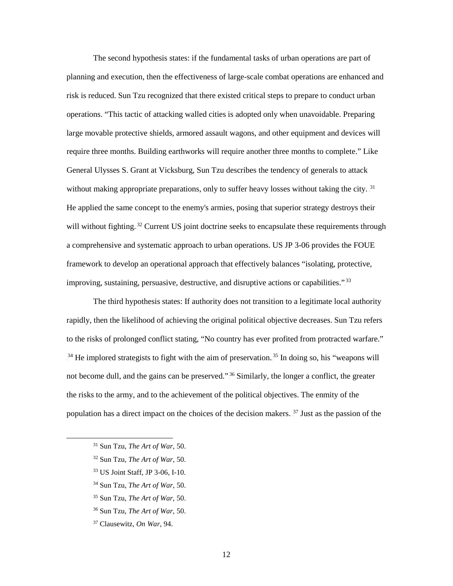The second hypothesis states: if the fundamental tasks of urban operations are part of planning and execution, then the effectiveness of large-scale combat operations are enhanced and risk is reduced. Sun Tzu recognized that there existed critical steps to prepare to conduct urban operations. "This tactic of attacking walled cities is adopted only when unavoidable. Preparing large movable protective shields, armored assault wagons, and other equipment and devices will require three months. Building earthworks will require another three months to complete." Like General Ulysses S. Grant at Vicksburg, Sun Tzu describes the tendency of generals to attack without making appropriate preparations, only to suffer heavy losses without taking the city.<sup>31</sup> He applied the same concept to the enemy's armies, posing that superior strategy destroys their will without fighting.<sup>32</sup> Current US joint doctrine seeks to encapsulate these requirements through a comprehensive and systematic approach to urban operations. US JP 3-06 provides the FOUE framework to develop an operational approach that effectively balances "isolating, protective, improving, sustaining, persuasive, destructive, and disruptive actions or capabilities."<sup>33</sup>

The third hypothesis states: If authority does not transition to a legitimate local authority rapidly, then the likelihood of achieving the original political objective decreases. Sun Tzu refers to the risks of prolonged conflict stating, "No country has ever profited from protracted warfare." <sup>34</sup> He implored strategists to fight with the aim of preservation.<sup>35</sup> In doing so, his "weapons will not become dull, and the gains can be preserved."<sup>36</sup> Similarly, the longer a conflict, the greater the risks to the army, and to the achievement of the political objectives. The enmity of the population has a direct impact on the choices of the decision makers.<sup>37</sup> Just as the passion of the

- 31 Sun Tzu, *The Art of War*, 50.
- <sup>32</sup> Sun Tzu, *The Art of War*, 50.
- <sup>33</sup> US Joint Staff, JP 3-06, I-10.
- <sup>34</sup> Sun Tzu, *The Art of War*, 50.
- <sup>35</sup> Sun Tzu, *The Art of War*, 50.
- <sup>36</sup> Sun Tzu, *The Art of War*, 50.
- <sup>37</sup> Clausewitz, *On War*, 94.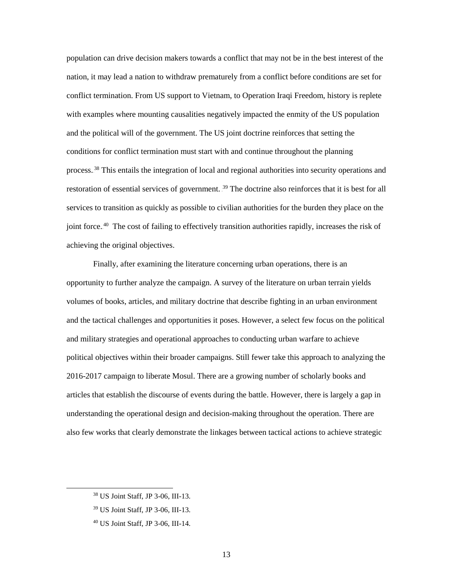population can drive decision makers towards a conflict that may not be in the best interest of the nation, it may lead a nation to withdraw prematurely from a conflict before conditions are set for conflict termination. From US support to Vietnam, to Operation Iraqi Freedom, history is replete with examples where mounting causalities negatively impacted the enmity of the US population and the political will of the government. The US joint doctrine reinforces that setting the conditions for conflict termination must start with and continue throughout the planning process.<sup>38</sup> This entails the integration of local and regional authorities into security operations and restoration of essential services of government. <sup>39</sup> The doctrine also reinforces that it is best for all services to transition as quickly as possible to civilian authorities for the burden they place on the joint force.<sup>40</sup> The cost of failing to effectively transition authorities rapidly, increases the risk of achieving the original objectives.

Finally, after examining the literature concerning urban operations, there is an opportunity to further analyze the campaign. A survey of the literature on urban terrain yields volumes of books, articles, and military doctrine that describe fighting in an urban environment and the tactical challenges and opportunities it poses. However, a select few focus on the political and military strategies and operational approaches to conducting urban warfare to achieve political objectives within their broader campaigns. Still fewer take this approach to analyzing the 2016-2017 campaign to liberate Mosul. There are a growing number of scholarly books and articles that establish the discourse of events during the battle. However, there is largely a gap in understanding the operational design and decision-making throughout the operation. There are also few works that clearly demonstrate the linkages between tactical actions to achieve strategic

 <sup>38</sup> US Joint Staff, JP 3-06, III-13.

<sup>39</sup> US Joint Staff, JP 3-06, III-13.

<sup>40</sup> US Joint Staff, JP 3-06, III-14.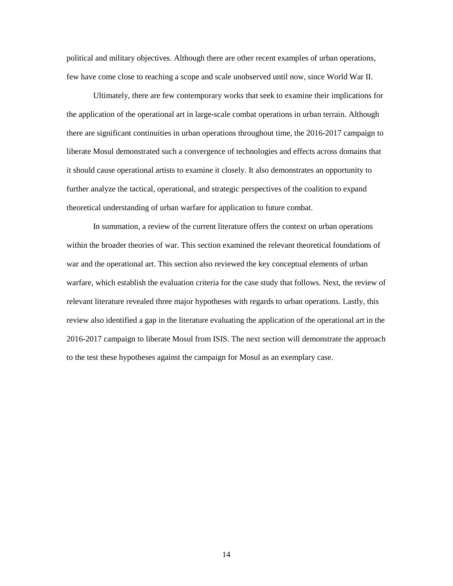political and military objectives. Although there are other recent examples of urban operations, few have come close to reaching a scope and scale unobserved until now, since World War II.

Ultimately, there are few contemporary works that seek to examine their implications for the application of the operational art in large-scale combat operations in urban terrain. Although there are significant continuities in urban operations throughout time, the 2016-2017 campaign to liberate Mosul demonstrated such a convergence of technologies and effects across domains that it should cause operational artists to examine it closely. It also demonstrates an opportunity to further analyze the tactical, operational, and strategic perspectives of the coalition to expand theoretical understanding of urban warfare for application to future combat.

In summation, a review of the current literature offers the context on urban operations within the broader theories of war. This section examined the relevant theoretical foundations of war and the operational art. This section also reviewed the key conceptual elements of urban warfare, which establish the evaluation criteria for the case study that follows. Next, the review of relevant literature revealed three major hypotheses with regards to urban operations. Lastly, this review also identified a gap in the literature evaluating the application of the operational art in the 2016-2017 campaign to liberate Mosul from ISIS. The next section will demonstrate the approach to the test these hypotheses against the campaign for Mosul as an exemplary case.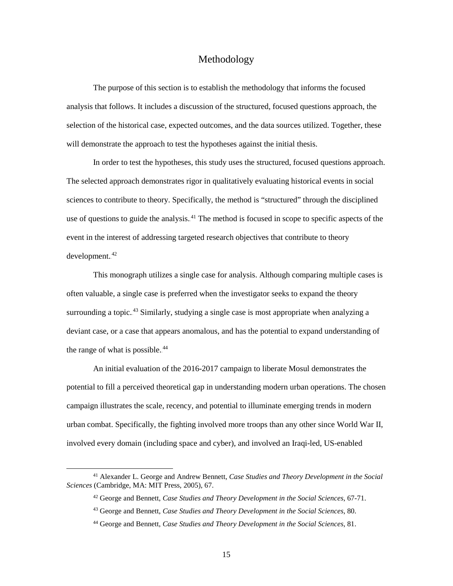### Methodology

<span id="page-23-0"></span>The purpose of this section is to establish the methodology that informs the focused analysis that follows. It includes a discussion of the structured, focused questions approach, the selection of the historical case, expected outcomes, and the data sources utilized. Together, these will demonstrate the approach to test the hypotheses against the initial thesis.

In order to test the hypotheses, this study uses the structured, focused questions approach. The selected approach demonstrates rigor in qualitatively evaluating historical events in social sciences to contribute to theory. Specifically, the method is "structured" through the disciplined use of questions to guide the analysis.<sup>41</sup> The method is focused in scope to specific aspects of the event in the interest of addressing targeted research objectives that contribute to theory  $d$ evelopment. $42$ 

This monograph utilizes a single case for analysis. Although comparing multiple cases is often valuable, a single case is preferred when the investigator seeks to expand the theory surrounding a topic.<sup>43</sup> Similarly, studying a single case is most appropriate when analyzing a deviant case, or a case that appears anomalous, and has the potential to expand understanding of the range of what is possible.<sup>44</sup>

An initial evaluation of the 2016-2017 campaign to liberate Mosul demonstrates the potential to fill a perceived theoretical gap in understanding modern urban operations. The chosen campaign illustrates the scale, recency, and potential to illuminate emerging trends in modern urban combat. Specifically, the fighting involved more troops than any other since World War II, involved every domain (including space and cyber), and involved an Iraqi-led, US-enabled

 <sup>41</sup> Alexander L. George and Andrew Bennett, *Case Studies and Theory Development in the Social Sciences* (Cambridge, MA: MIT Press, 2005), 67.

<sup>42</sup> George and Bennett, *Case Studies and Theory Development in the Social Sciences*, 67-71.

<sup>43</sup> George and Bennett, *Case Studies and Theory Development in the Social Sciences*, 80.

<sup>44</sup> George and Bennett, *Case Studies and Theory Development in the Social Sciences*, 81.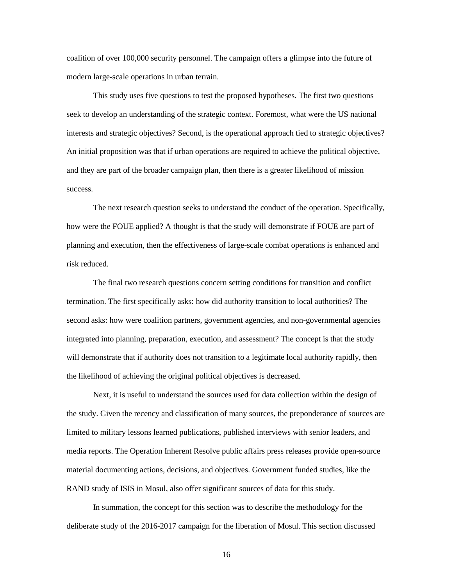coalition of over 100,000 security personnel. The campaign offers a glimpse into the future of modern large-scale operations in urban terrain.

This study uses five questions to test the proposed hypotheses. The first two questions seek to develop an understanding of the strategic context. Foremost, what were the US national interests and strategic objectives? Second, is the operational approach tied to strategic objectives? An initial proposition was that if urban operations are required to achieve the political objective, and they are part of the broader campaign plan, then there is a greater likelihood of mission success.

The next research question seeks to understand the conduct of the operation. Specifically, how were the FOUE applied? A thought is that the study will demonstrate if FOUE are part of planning and execution, then the effectiveness of large-scale combat operations is enhanced and risk reduced.

The final two research questions concern setting conditions for transition and conflict termination. The first specifically asks: how did authority transition to local authorities? The second asks: how were coalition partners, government agencies, and non-governmental agencies integrated into planning, preparation, execution, and assessment? The concept is that the study will demonstrate that if authority does not transition to a legitimate local authority rapidly, then the likelihood of achieving the original political objectives is decreased.

Next, it is useful to understand the sources used for data collection within the design of the study. Given the recency and classification of many sources, the preponderance of sources are limited to military lessons learned publications, published interviews with senior leaders, and media reports. The Operation Inherent Resolve public affairs press releases provide open-source material documenting actions, decisions, and objectives. Government funded studies, like the RAND study of ISIS in Mosul, also offer significant sources of data for this study.

In summation, the concept for this section was to describe the methodology for the deliberate study of the 2016-2017 campaign for the liberation of Mosul. This section discussed

16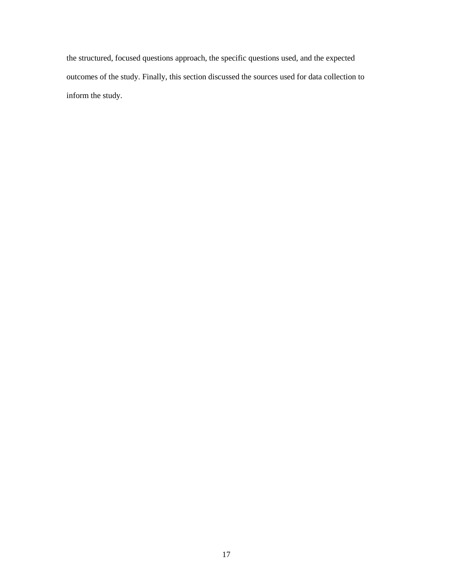the structured, focused questions approach, the specific questions used, and the expected outcomes of the study. Finally, this section discussed the sources used for data collection to inform the study.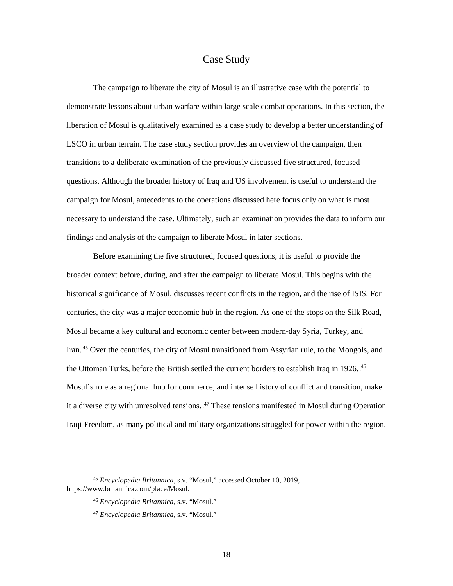#### Case Study

<span id="page-26-0"></span>The campaign to liberate the city of Mosul is an illustrative case with the potential to demonstrate lessons about urban warfare within large scale combat operations. In this section, the liberation of Mosul is qualitatively examined as a case study to develop a better understanding of LSCO in urban terrain. The case study section provides an overview of the campaign, then transitions to a deliberate examination of the previously discussed five structured, focused questions. Although the broader history of Iraq and US involvement is useful to understand the campaign for Mosul, antecedents to the operations discussed here focus only on what is most necessary to understand the case. Ultimately, such an examination provides the data to inform our findings and analysis of the campaign to liberate Mosul in later sections.

Before examining the five structured, focused questions, it is useful to provide the broader context before, during, and after the campaign to liberate Mosul. This begins with the historical significance of Mosul, discusses recent conflicts in the region, and the rise of ISIS. For centuries, the city was a major economic hub in the region. As one of the stops on the Silk Road, Mosul became a key cultural and economic center between modern-day Syria, Turkey, and Iran.<sup>45</sup> Over the centuries, the city of Mosul transitioned from Assyrian rule, to the Mongols, and the Ottoman Turks, before the British settled the current borders to establish Iraq in 1926. <sup>46</sup> Mosul's role as a regional hub for commerce, and intense history of conflict and transition, make it a diverse city with unresolved tensions. <sup>47</sup> These tensions manifested in Mosul during Operation Iraqi Freedom, as many political and military organizations struggled for power within the region.

 <sup>45</sup> *Encyclopedia Britannica,* s.v. "Mosul," accessed October 10, 2019, https://www.britannica.com/place/Mosul.

<sup>46</sup> *Encyclopedia Britannica,* s.v. "Mosul."

<sup>47</sup> *Encyclopedia Britannica,* s.v. "Mosul."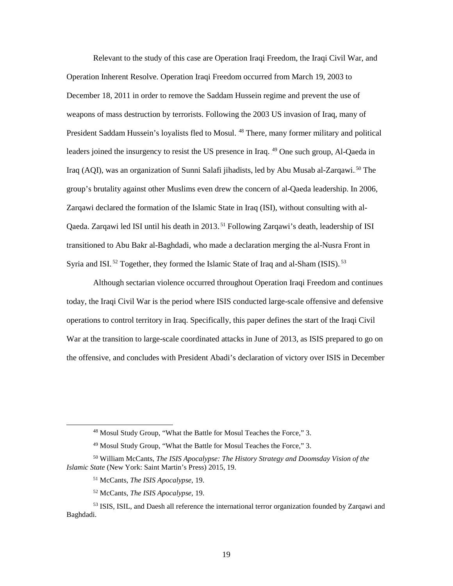Relevant to the study of this case are Operation Iraqi Freedom, the Iraqi Civil War, and Operation Inherent Resolve. Operation Iraqi Freedom occurred from March 19, 2003 to December 18, 2011 in order to remove the Saddam Hussein regime and prevent the use of weapons of mass destruction by terrorists. Following the 2003 US invasion of Iraq, many of President Saddam Hussein's loyalists fled to Mosul.<sup>48</sup> There, many former military and political leaders joined the insurgency to resist the US presence in Iraq. 49 One such group, Al-Qaeda in Iraq (AQI), was an organization of Sunni Salafi jihadists, led by Abu Musab al-Zarqawi.<sup>50</sup> The group's brutality against other Muslims even drew the concern of al-Qaeda leadership. In 2006, Zarqawi declared the formation of the Islamic State in Iraq (ISI), without consulting with al-Qaeda. Zarqawi led ISI until his death in 2013.<sup>51</sup> Following Zarqawi's death, leadership of ISI transitioned to Abu Bakr al-Baghdadi, who made a declaration merging the al-Nusra Front in Syria and ISI.<sup>52</sup> Together, they formed the Islamic State of Iraq and al-Sham (ISIS).<sup>53</sup>

Although sectarian violence occurred throughout Operation Iraqi Freedom and continues today, the Iraqi Civil War is the period where ISIS conducted large-scale offensive and defensive operations to control territory in Iraq. Specifically, this paper defines the start of the Iraqi Civil War at the transition to large-scale coordinated attacks in June of 2013, as ISIS prepared to go on the offensive, and concludes with President Abadi's declaration of victory over ISIS in December

- <sup>51</sup> McCants, *The ISIS Apocalypse,* 19.
- <sup>52</sup> McCants, *The ISIS Apocalypse,* 19.

 <sup>48</sup> Mosul Study Group, "What the Battle for Mosul Teaches the Force," 3.

<sup>49</sup> Mosul Study Group, "What the Battle for Mosul Teaches the Force," 3.

<sup>50</sup> William McCants, *The ISIS Apocalypse: The History Strategy and Doomsday Vision of the Islamic State* (New York: Saint Martin's Press) 2015, 19.

<sup>53</sup> ISIS, ISIL, and Daesh all reference the international terror organization founded by Zarqawi and Baghdadi.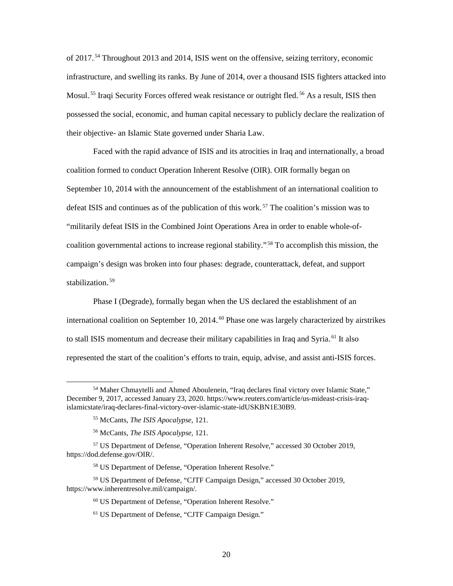of 2017.<sup>54</sup> Throughout 2013 and 2014, ISIS went on the offensive, seizing territory, economic infrastructure, and swelling its ranks. By June of 2014, over a thousand ISIS fighters attacked into Mosul.<sup>55</sup> Iraqi Security Forces offered weak resistance or outright fled.<sup>56</sup> As a result, ISIS then possessed the social, economic, and human capital necessary to publicly declare the realization of their objective- an Islamic State governed under Sharia Law.

Faced with the rapid advance of ISIS and its atrocities in Iraq and internationally, a broad coalition formed to conduct Operation Inherent Resolve (OIR). OIR formally began on September 10, 2014 with the announcement of the establishment of an international coalition to defeat ISIS and continues as of the publication of this work.<sup>57</sup> The coalition's mission was to "militarily defeat ISIS in the Combined Joint Operations Area in order to enable whole-ofcoalition governmental actions to increase regional stability."<sup>58</sup> To accomplish this mission, the campaign's design was broken into four phases: degrade, counterattack, defeat, and support stabilization.<sup>59</sup>

Phase I (Degrade), formally began when the US declared the establishment of an international coalition on September 10, 2014.<sup>60</sup> Phase one was largely characterized by airstrikes to stall ISIS momentum and decrease their military capabilities in Iraq and Syria.<sup>61</sup> It also represented the start of the coalition's efforts to train, equip, advise, and assist anti-ISIS forces.

 <sup>54</sup> Maher Chmaytelli and Ahmed Aboulenein, "Iraq declares final victory over Islamic State," December 9, 2017, accessed January 23, 2020. https://www.reuters.com/article/us-mideast-crisis-iraqislamicstate/iraq-declares-final-victory-over-islamic-state-idUSKBN1E30B9.

<sup>55</sup> McCants, *The ISIS Apocalypse,* 121.

<sup>56</sup> McCants, *The ISIS Apocalypse,* 121.

<sup>57</sup> US Department of Defense, "Operation Inherent Resolve," accessed 30 October 2019, https://dod.defense.gov/OIR/.

<sup>58</sup> US Department of Defense, "Operation Inherent Resolve."

<sup>59</sup> US Department of Defense, "CJTF Campaign Design," accessed 30 October 2019, https://www.inherentresolve.mil/campaign/.

<sup>60</sup> US Department of Defense, "Operation Inherent Resolve."

<sup>61</sup> US Department of Defense, "CJTF Campaign Design."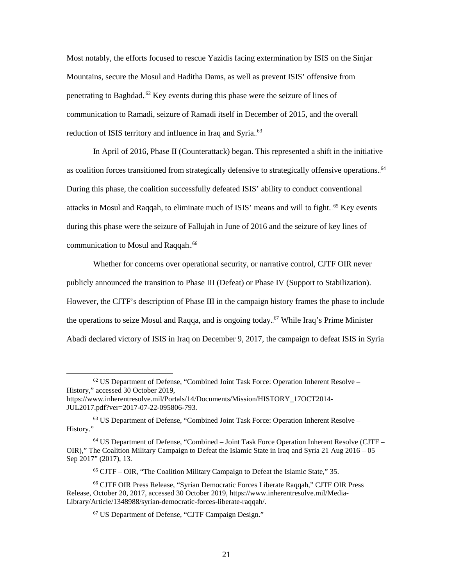Most notably, the efforts focused to rescue Yazidis facing extermination by ISIS on the Sinjar Mountains, secure the Mosul and Haditha Dams, as well as prevent ISIS' offensive from penetrating to Baghdad.<sup>62</sup> Key events during this phase were the seizure of lines of communication to Ramadi, seizure of Ramadi itself in December of 2015, and the overall reduction of ISIS territory and influence in Iraq and Syria.<sup>63</sup>

In April of 2016, Phase II (Counterattack) began. This represented a shift in the initiative as coalition forces transitioned from strategically defensive to strategically offensive operations.<sup>64</sup> During this phase, the coalition successfully defeated ISIS' ability to conduct conventional attacks in Mosul and Raqqah, to eliminate much of ISIS' means and will to fight. <sup>65</sup> Key events during this phase were the seizure of Fallujah in June of 2016 and the seizure of key lines of communication to Mosul and Raqqah.<sup>66</sup>

Whether for concerns over operational security, or narrative control, CJTF OIR never publicly announced the transition to Phase III (Defeat) or Phase IV (Support to Stabilization). However, the CJTF's description of Phase III in the campaign history frames the phase to include the operations to seize Mosul and Raqqa, and is ongoing today.<sup>67</sup> While Iraq's Prime Minister Abadi declared victory of ISIS in Iraq on December 9, 2017, the campaign to defeat ISIS in Syria

 <sup>62</sup> US Department of Defense, "Combined Joint Task Force: Operation Inherent Resolve – History," accessed 30 October 2019,

https://www.inherentresolve.mil/Portals/14/Documents/Mission/HISTORY\_17OCT2014- JUL2017.pdf?ver=2017-07-22-095806-793.

 $63$  US Department of Defense, "Combined Joint Task Force: Operation Inherent Resolve – History."

<sup>64</sup> US Department of Defense, "Combined – Joint Task Force Operation Inherent Resolve (CJTF – OIR)," The Coalition Military Campaign to Defeat the Islamic State in Iraq and Syria 21 Aug 2016 – 05 Sep 2017" (2017), 13.

<sup>65</sup> CJTF – OIR, "The Coalition Military Campaign to Defeat the Islamic State," 35.

<sup>66</sup> CJTF OIR Press Release, "Syrian Democratic Forces Liberate Raqqah," CJTF OIR Press Release, October 20, 2017, accessed 30 October 2019, https://www.inherentresolve.mil/Media-Library/Article/1348988/syrian-democratic-forces-liberate-raqqah/.

<sup>67</sup> US Department of Defense, "CJTF Campaign Design."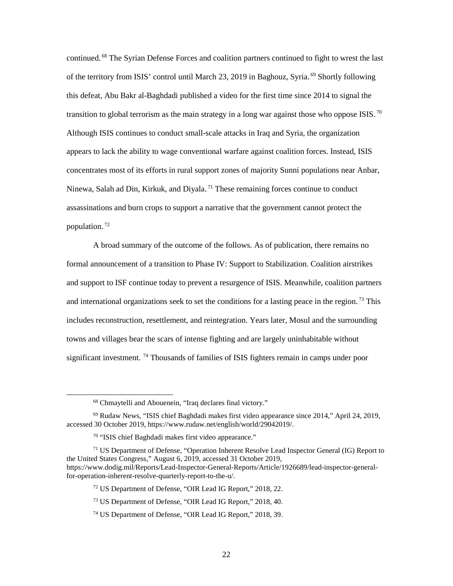continued.<sup>68</sup> The Syrian Defense Forces and coalition partners continued to fight to wrest the last of the territory from ISIS' control until March 23, 2019 in Baghouz, Syria.<sup>69</sup> Shortly following this defeat, Abu Bakr al-Baghdadi published a video for the first time since 2014 to signal the transition to global terrorism as the main strategy in a long war against those who oppose ISIS.<sup>70</sup> Although ISIS continues to conduct small-scale attacks in Iraq and Syria, the organization appears to lack the ability to wage conventional warfare against coalition forces. Instead, ISIS concentrates most of its efforts in rural support zones of majority Sunni populations near Anbar, Ninewa, Salah ad Din, Kirkuk, and Diyala.<sup>71</sup> These remaining forces continue to conduct assassinations and burn crops to support a narrative that the government cannot protect the population.<sup>72</sup>

A broad summary of the outcome of the follows. As of publication, there remains no formal announcement of a transition to Phase IV: Support to Stabilization. Coalition airstrikes and support to ISF continue today to prevent a resurgence of ISIS. Meanwhile, coalition partners and international organizations seek to set the conditions for a lasting peace in the region.<sup>73</sup> This includes reconstruction, resettlement, and reintegration. Years later, Mosul and the surrounding towns and villages bear the scars of intense fighting and are largely uninhabitable without significant investment.<sup>74</sup> Thousands of families of ISIS fighters remain in camps under poor

 <sup>68</sup> Chmaytelli and Abouenein, "Iraq declares final victory."

<sup>69</sup> Rudaw News, "ISIS chief Baghdadi makes first video appearance since 2014," April 24, 2019, accessed 30 October 2019, https://www.rudaw.net/english/world/29042019/.

<sup>70</sup> "ISIS chief Baghdadi makes first video appearance."

<sup>&</sup>lt;sup>71</sup> US Department of Defense, "Operation Inherent Resolve Lead Inspector General (IG) Report to the United States Congress," August 6, 2019, accessed 31 October 2019, https://www.dodig.mil/Reports/Lead-Inspector-General-Reports/Article/1926689/lead-inspector-generalfor-operation-inherent-resolve-quarterly-report-to-the-u/.

<sup>72</sup> US Department of Defense, "OIR Lead IG Report," 2018, 22.

<sup>73</sup> US Department of Defense, "OIR Lead IG Report," 2018, 40.

<sup>74</sup> US Department of Defense, "OIR Lead IG Report," 2018, 39.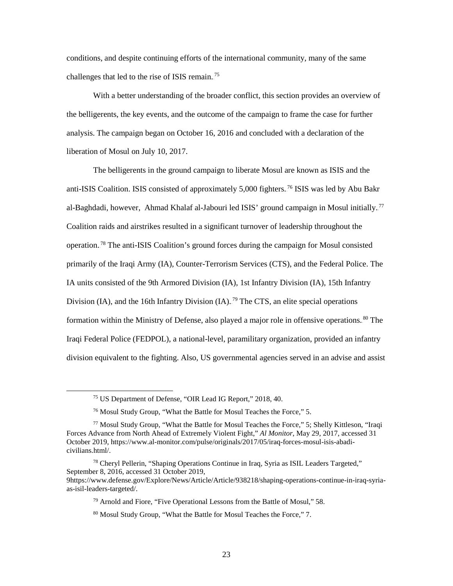conditions, and despite continuing efforts of the international community, many of the same challenges that led to the rise of ISIS remain.<sup>75</sup>

With a better understanding of the broader conflict, this section provides an overview of the belligerents, the key events, and the outcome of the campaign to frame the case for further analysis. The campaign began on October 16, 2016 and concluded with a declaration of the liberation of Mosul on July 10, 2017.

The belligerents in the ground campaign to liberate Mosul are known as ISIS and the anti-ISIS Coalition. ISIS consisted of approximately 5,000 fighters.<sup>76</sup> ISIS was led by Abu Bakr al-Baghdadi, however, Ahmad Khalaf al-Jabouri led ISIS' ground campaign in Mosul initially.<sup>77</sup> Coalition raids and airstrikes resulted in a significant turnover of leadership throughout the operation.<sup>78</sup> The anti-ISIS Coalition's ground forces during the campaign for Mosul consisted primarily of the Iraqi Army (IA), Counter-Terrorism Services (CTS), and the Federal Police. The IA units consisted of the 9th Armored Division (IA), 1st Infantry Division (IA), 15th Infantry Division (IA), and the 16th Infantry Division (IA).<sup>79</sup> The CTS, an elite special operations formation within the Ministry of Defense, also played a major role in offensive operations.<sup>80</sup> The Iraqi Federal Police (FEDPOL), a national-level, paramilitary organization, provided an infantry division equivalent to the fighting. Also, US governmental agencies served in an advise and assist

 <sup>75</sup> US Department of Defense, "OIR Lead IG Report," 2018, 40.

<sup>76</sup> Mosul Study Group, "What the Battle for Mosul Teaches the Force," 5.

<sup>77</sup> Mosul Study Group, "What the Battle for Mosul Teaches the Force," 5; Shelly Kittleson, "Iraqi Forces Advance from North Ahead of Extremely Violent Fight," *Al Monitor*, May 29, 2017, accessed 31 October 2019, https://www.al-monitor.com/pulse/originals/2017/05/iraq-forces-mosul-isis-abadicivilians.html/.

<sup>78</sup> Cheryl Pellerin, "Shaping Operations Continue in Iraq, Syria as ISIL Leaders Targeted," September 8, 2016, accessed 31 October 2019, 9https://www.defense.gov/Explore/News/Article/Article/938218/shaping-operations-continue-in-iraq-syria-

as-isil-leaders-targeted/.

<sup>79</sup> Arnold and Fiore, "Five Operational Lessons from the Battle of Mosul," 58.

<sup>80</sup> Mosul Study Group, "What the Battle for Mosul Teaches the Force," 7.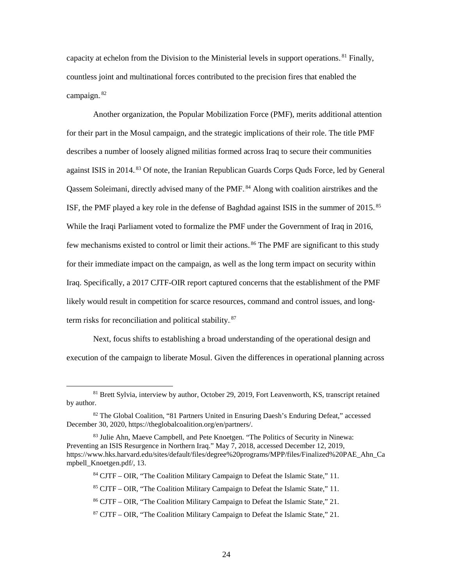capacity at echelon from the Division to the Ministerial levels in support operations.<sup>81</sup> Finally, countless joint and multinational forces contributed to the precision fires that enabled the campaign.<sup>82</sup>

Another organization, the Popular Mobilization Force (PMF), merits additional attention for their part in the Mosul campaign, and the strategic implications of their role. The title PMF describes a number of loosely aligned militias formed across Iraq to secure their communities against ISIS in 2014.<sup>83</sup> Of note, the Iranian Republican Guards Corps Quds Force, led by General Qassem Soleimani, directly advised many of the PMF.<sup>84</sup> Along with coalition airstrikes and the ISF, the PMF played a key role in the defense of Baghdad against ISIS in the summer of  $2015.^85$ While the Iraqi Parliament voted to formalize the PMF under the Government of Iraq in 2016, few mechanisms existed to control or limit their actions.<sup>86</sup> The PMF are significant to this study for their immediate impact on the campaign, as well as the long term impact on security within Iraq. Specifically, a 2017 CJTF-OIR report captured concerns that the establishment of the PMF likely would result in competition for scarce resources, command and control issues, and longterm risks for reconciliation and political stability.<sup>87</sup>

Next, focus shifts to establishing a broad understanding of the operational design and execution of the campaign to liberate Mosul. Given the differences in operational planning across

<sup>&</sup>lt;sup>81</sup> Brett Sylvia, interview by author, October 29, 2019, Fort Leavenworth, KS, transcript retained by author.

<sup>82</sup> The Global Coalition, "81 Partners United in Ensuring Daesh's Enduring Defeat," accessed December 30, 2020, https://theglobalcoalition.org/en/partners/.

<sup>&</sup>lt;sup>83</sup> Julie Ahn, Maeve Campbell, and Pete Knoetgen. "The Politics of Security in Ninewa: Preventing an ISIS Resurgence in Northern Iraq." May 7, 2018, accessed December 12, 2019, https://www.hks.harvard.edu/sites/default/files/degree%20programs/MPP/files/Finalized%20PAE\_Ahn\_Ca mpbell\_Knoetgen.pdf/, 13.

<sup>84</sup> CJTF – OIR, "The Coalition Military Campaign to Defeat the Islamic State," 11.

<sup>85</sup> CJTF – OIR, "The Coalition Military Campaign to Defeat the Islamic State," 11.

<sup>86</sup> CJTF – OIR, "The Coalition Military Campaign to Defeat the Islamic State," 21.

<sup>87</sup> CJTF – OIR, "The Coalition Military Campaign to Defeat the Islamic State," 21.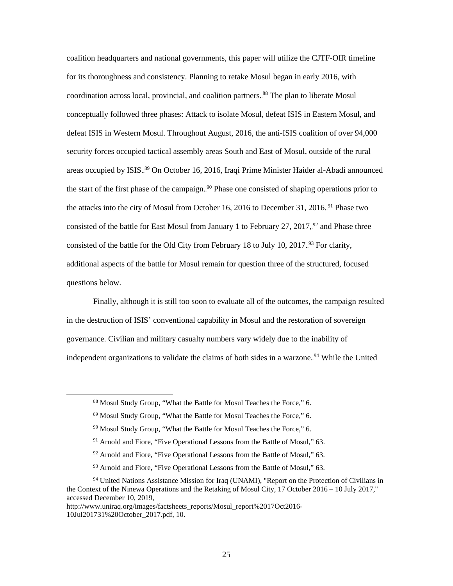coalition headquarters and national governments, this paper will utilize the CJTF-OIR timeline for its thoroughness and consistency. Planning to retake Mosul began in early 2016, with coordination across local, provincial, and coalition partners.<sup>88</sup> The plan to liberate Mosul conceptually followed three phases: Attack to isolate Mosul, defeat ISIS in Eastern Mosul, and defeat ISIS in Western Mosul. Throughout August, 2016, the anti-ISIS coalition of over 94,000 security forces occupied tactical assembly areas South and East of Mosul, outside of the rural areas occupied by ISIS.<sup>89</sup> On October 16, 2016, Iraqi Prime Minister Haider al-Abadi announced the start of the first phase of the campaign.<sup>90</sup> Phase one consisted of shaping operations prior to the attacks into the city of Mosul from October 16, 2016 to December 31, 2016.<sup>91</sup> Phase two consisted of the battle for East Mosul from January 1 to February 27, 2017,  $^{92}$  and Phase three consisted of the battle for the Old City from February 18 to July 10, 2017.<sup>93</sup> For clarity, additional aspects of the battle for Mosul remain for question three of the structured, focused questions below.

Finally, although it is still too soon to evaluate all of the outcomes, the campaign resulted in the destruction of ISIS' conventional capability in Mosul and the restoration of sovereign governance. Civilian and military casualty numbers vary widely due to the inability of independent organizations to validate the claims of both sides in a warzone.<sup>94</sup> While the United

 <sup>88</sup> Mosul Study Group, "What the Battle for Mosul Teaches the Force," 6.

<sup>89</sup> Mosul Study Group, "What the Battle for Mosul Teaches the Force," 6.

<sup>90</sup> Mosul Study Group, "What the Battle for Mosul Teaches the Force," 6.

<sup>&</sup>lt;sup>91</sup> Arnold and Fiore, "Five Operational Lessons from the Battle of Mosul," 63.

<sup>&</sup>lt;sup>92</sup> Arnold and Fiore, "Five Operational Lessons from the Battle of Mosul," 63.

<sup>&</sup>lt;sup>93</sup> Arnold and Fiore, "Five Operational Lessons from the Battle of Mosul," 63.

<sup>&</sup>lt;sup>94</sup> United Nations Assistance Mission for Iraq (UNAMI), "Report on the Protection of Civilians in the Context of the Ninewa Operations and the Retaking of Mosul City, 17 October 2016 – 10 July 2017," accessed December 10, 2019,

http://www.uniraq.org/images/factsheets\_reports/Mosul\_report%2017Oct2016- 10Jul201731%20October\_2017.pdf, 10.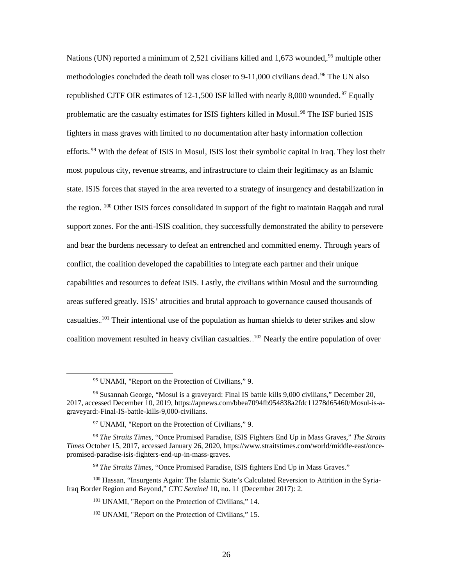Nations (UN) reported a minimum of 2,521 civilians killed and 1,673 wounded, <sup>95</sup> multiple other methodologies concluded the death toll was closer to 9-11,000 civilians dead.<sup>96</sup> The UN also republished CJTF OIR estimates of  $12-1,500$  ISF killed with nearly 8,000 wounded.<sup>97</sup> Equally problematic are the casualty estimates for ISIS fighters killed in Mosul.<sup>98</sup> The ISF buried ISIS fighters in mass graves with limited to no documentation after hasty information collection efforts.<sup>99</sup> With the defeat of ISIS in Mosul, ISIS lost their symbolic capital in Iraq. They lost their most populous city, revenue streams, and infrastructure to claim their legitimacy as an Islamic state. ISIS forces that stayed in the area reverted to a strategy of insurgency and destabilization in the region. <sup>100</sup> Other ISIS forces consolidated in support of the fight to maintain Raqqah and rural support zones. For the anti-ISIS coalition, they successfully demonstrated the ability to persevere and bear the burdens necessary to defeat an entrenched and committed enemy. Through years of conflict, the coalition developed the capabilities to integrate each partner and their unique capabilities and resources to defeat ISIS. Lastly, the civilians within Mosul and the surrounding areas suffered greatly. ISIS' atrocities and brutal approach to governance caused thousands of casualties.<sup>101</sup> Their intentional use of the population as human shields to deter strikes and slow coalition movement resulted in heavy civilian casualties. <sup>102</sup> Nearly the entire population of over

 <sup>95</sup> UNAMI, "Report on the Protection of Civilians," 9.

<sup>96</sup> Susannah George, "Mosul is a graveyard: Final IS battle kills 9,000 civilians," December 20, 2017, accessed December 10, 2019, https://apnews.com/bbea7094fb954838a2fdc11278d65460/Mosul-is-agraveyard:-Final-IS-battle-kills-9,000-civilians.

 $97$  UNAMI, "Report on the Protection of Civilians," 9.

<sup>98</sup> *The Straits Times,* "Once Promised Paradise, ISIS Fighters End Up in Mass Graves," *The Straits Times* October 15, 2017, accessed January 26, 2020, https://www.straitstimes.com/world/middle-east/oncepromised-paradise-isis-fighters-end-up-in-mass-graves.

<sup>99</sup> *The Straits Times,* "Once Promised Paradise, ISIS fighters End Up in Mass Graves."

<sup>&</sup>lt;sup>100</sup> Hassan, "Insurgents Again: The Islamic State's Calculated Reversion to Attrition in the Syria-Iraq Border Region and Beyond," *CTC Sentinel* 10, no. 11 (December 2017): 2.

<sup>&</sup>lt;sup>101</sup> UNAMI, "Report on the Protection of Civilians," 14.

<sup>102</sup> UNAMI, "Report on the Protection of Civilians," 15.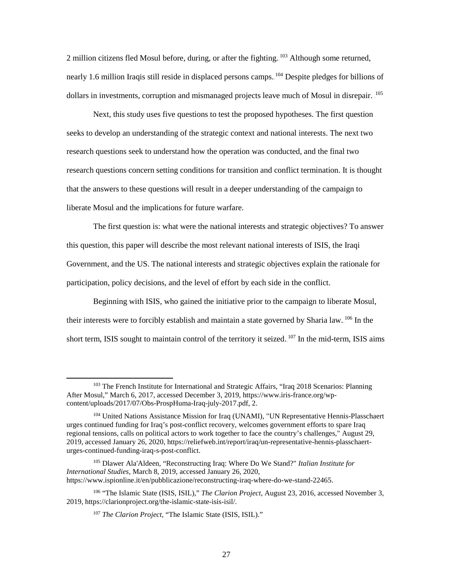2 million citizens fled Mosul before, during, or after the fighting.<sup>103</sup> Although some returned, nearly 1.6 million Iraqis still reside in displaced persons camps. <sup>104</sup> Despite pledges for billions of dollars in investments, corruption and mismanaged projects leave much of Mosul in disrepair. <sup>105</sup>

Next, this study uses five questions to test the proposed hypotheses. The first question seeks to develop an understanding of the strategic context and national interests. The next two research questions seek to understand how the operation was conducted, and the final two research questions concern setting conditions for transition and conflict termination. It is thought that the answers to these questions will result in a deeper understanding of the campaign to liberate Mosul and the implications for future warfare.

The first question is: what were the national interests and strategic objectives? To answer this question, this paper will describe the most relevant national interests of ISIS, the Iraqi Government, and the US. The national interests and strategic objectives explain the rationale for participation, policy decisions, and the level of effort by each side in the conflict.

Beginning with ISIS, who gained the initiative prior to the campaign to liberate Mosul, their interests were to forcibly establish and maintain a state governed by Sharia law. <sup>106</sup> In the short term, ISIS sought to maintain control of the territory it seized.<sup>107</sup> In the mid-term, ISIS aims

<sup>&</sup>lt;sup>103</sup> The French Institute for International and Strategic Affairs, "Iraq 2018 Scenarios: Planning After Mosul," March 6, 2017, accessed December 3, 2019, https://www.iris-france.org/wpcontent/uploads/2017/07/Obs-ProspHuma-Iraq-july-2017.pdf, 2.

<sup>&</sup>lt;sup>104</sup> United Nations Assistance Mission for Iraq (UNAMI), "UN Representative Hennis-Plasschaert urges continued funding for Iraq's post-conflict recovery, welcomes government efforts to spare Iraq regional tensions, calls on political actors to work together to face the country's challenges," August 29, 2019, accessed January 26, 2020, https://reliefweb.int/report/iraq/un-representative-hennis-plasschaerturges-continued-funding-iraq-s-post-conflict.

<sup>105</sup> Dlawer Ala'Aldeen, "Reconstructing Iraq: Where Do We Stand?" *Italian Institute for International Studies,* March 8, 2019, accessed January 26, 2020, https://www.ispionline.it/en/pubblicazione/reconstructing-iraq-where-do-we-stand-22465.

<sup>106</sup> "The Islamic State (ISIS, ISIL)," *The Clarion Project*, August 23, 2016, accessed November 3, 2019, https://clarionproject.org/the-islamic-state-isis-isil/.

<sup>107</sup> *The Clarion Project,* "The Islamic State (ISIS, ISIL)."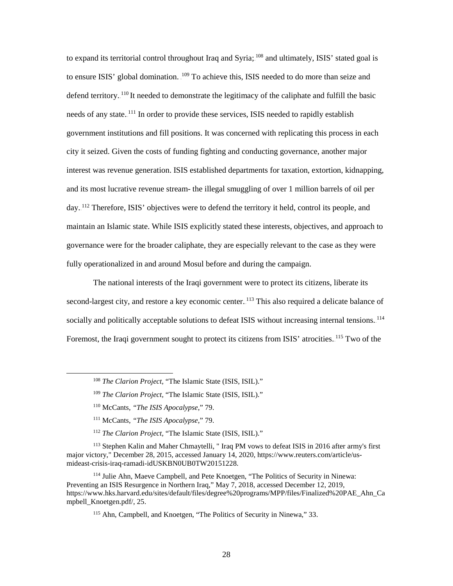to expand its territorial control throughout Iraq and Syria; <sup>108</sup> and ultimately, ISIS' stated goal is to ensure ISIS' global domination. <sup>109</sup> To achieve this, ISIS needed to do more than seize and defend territory. <sup>110</sup> It needed to demonstrate the legitimacy of the caliphate and fulfill the basic needs of any state.<sup>111</sup> In order to provide these services, ISIS needed to rapidly establish government institutions and fill positions. It was concerned with replicating this process in each city it seized. Given the costs of funding fighting and conducting governance, another major interest was revenue generation. ISIS established departments for taxation, extortion, kidnapping, and its most lucrative revenue stream- the illegal smuggling of over 1 million barrels of oil per day.<sup>112</sup> Therefore, ISIS' objectives were to defend the territory it held, control its people, and maintain an Islamic state. While ISIS explicitly stated these interests, objectives, and approach to governance were for the broader caliphate, they are especially relevant to the case as they were fully operationalized in and around Mosul before and during the campaign.

The national interests of the Iraqi government were to protect its citizens, liberate its second-largest city, and restore a key economic center. <sup>113</sup> This also required a delicate balance of socially and politically acceptable solutions to defeat ISIS without increasing internal tensions.<sup>114</sup> Foremost, the Iraqi government sought to protect its citizens from ISIS' atrocities. <sup>115</sup> Two of the

<sup>112</sup> *The Clarion Project,* "The Islamic State (ISIS, ISIL)."

<sup>113</sup> Stephen Kalin and Maher Chmaytelli, " Iraq PM vows to defeat ISIS in 2016 after army's first major victory," December 28, 2015, accessed January 14, 2020, https://www.reuters.com/article/usmideast-crisis-iraq-ramadi-idUSKBN0UB0TW20151228.

<sup>114</sup> Julie Ahn, Maeve Campbell, and Pete Knoetgen, "The Politics of Security in Ninewa: Preventing an ISIS Resurgence in Northern Iraq," May 7, 2018, accessed December 12, 2019, https://www.hks.harvard.edu/sites/default/files/degree%20programs/MPP/files/Finalized%20PAE\_Ahn\_Ca mpbell\_Knoetgen.pdf/, 25.

<sup>115</sup> Ahn, Campbell, and Knoetgen, "The Politics of Security in Ninewa," 33.

 <sup>108</sup> *The Clarion Project,* "The Islamic State (ISIS, ISIL)."

<sup>109</sup> *The Clarion Project,* "The Islamic State (ISIS, ISIL)."

<sup>110</sup> McCants, *"The ISIS Apocalypse*," 79.

<sup>111</sup> McCants, *"The ISIS Apocalypse*," 79.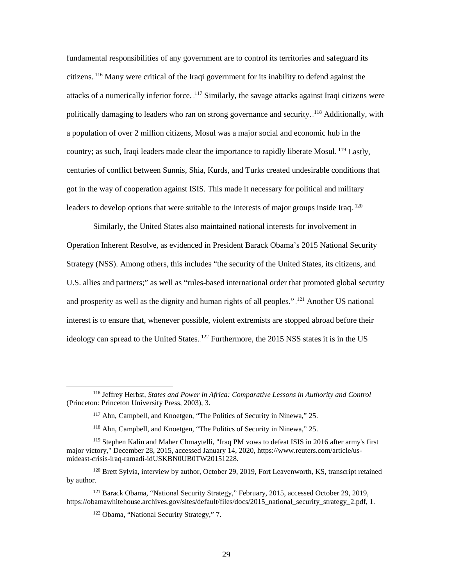fundamental responsibilities of any government are to control its territories and safeguard its citizens.<sup>116</sup> Many were critical of the Iraqi government for its inability to defend against the attacks of a numerically inferior force. <sup>117</sup> Similarly, the savage attacks against Iraqi citizens were politically damaging to leaders who ran on strong governance and security. <sup>118</sup> Additionally, with a population of over 2 million citizens, Mosul was a major social and economic hub in the country; as such, Iraqi leaders made clear the importance to rapidly liberate Mosul.<sup>119</sup> Lastly, centuries of conflict between Sunnis, Shia, Kurds, and Turks created undesirable conditions that got in the way of cooperation against ISIS. This made it necessary for political and military leaders to develop options that were suitable to the interests of major groups inside Iraq.  $^{120}$ 

Similarly, the United States also maintained national interests for involvement in Operation Inherent Resolve, as evidenced in President Barack Obama's 2015 National Security Strategy (NSS). Among others, this includes "the security of the United States, its citizens, and U.S. allies and partners;" as well as "rules-based international order that promoted global security and prosperity as well as the dignity and human rights of all peoples."<sup>[21</sup>] Another US national interest is to ensure that, whenever possible, violent extremists are stopped abroad before their ideology can spread to the United States.<sup>122</sup> Furthermore, the 2015 NSS states it is in the US

 <sup>116</sup> Jeffrey Herbst, *States and Power in Africa: Comparative Lessons in Authority and Control* (Princeton: Princeton University Press, 2003), 3.

<sup>117</sup> Ahn, Campbell, and Knoetgen, "The Politics of Security in Ninewa," 25.

<sup>&</sup>lt;sup>118</sup> Ahn, Campbell, and Knoetgen, "The Politics of Security in Ninewa," 25.

<sup>119</sup> Stephen Kalin and Maher Chmaytelli, "Iraq PM vows to defeat ISIS in 2016 after army's first major victory," December 28, 2015, accessed January 14, 2020, https://www.reuters.com/article/usmideast-crisis-iraq-ramadi-idUSKBN0UB0TW20151228.

<sup>&</sup>lt;sup>120</sup> Brett Sylvia, interview by author, October 29, 2019, Fort Leavenworth, KS, transcript retained by author.

<sup>&</sup>lt;sup>121</sup> Barack Obama, "National Security Strategy," February, 2015, accessed October 29, 2019, https://obamawhitehouse.archives.gov/sites/default/files/docs/2015\_national\_security\_strategy\_2.pdf, 1.

<sup>122</sup> Obama, "National Security Strategy," 7.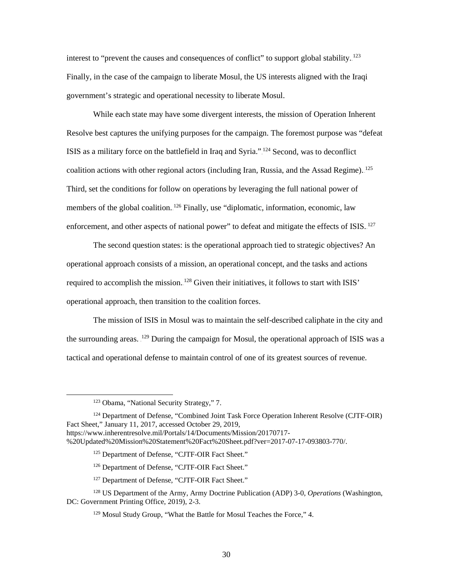interest to "prevent the causes and consequences of conflict" to support global stability.<sup>123</sup> Finally, in the case of the campaign to liberate Mosul, the US interests aligned with the Iraqi government's strategic and operational necessity to liberate Mosul.

While each state may have some divergent interests, the mission of Operation Inherent Resolve best captures the unifying purposes for the campaign. The foremost purpose was "defeat ISIS as a military force on the battlefield in Iraq and Syria."<sup>124</sup> Second, was to deconflict coalition actions with other regional actors (including Iran, Russia, and the Assad Regime). <sup>125</sup> Third, set the conditions for follow on operations by leveraging the full national power of members of the global coalition.<sup>126</sup> Finally, use "diplomatic, information, economic, law enforcement, and other aspects of national power" to defeat and mitigate the effects of  $ISS.127$ 

The second question states: is the operational approach tied to strategic objectives? An operational approach consists of a mission, an operational concept, and the tasks and actions required to accomplish the mission.  $128$  Given their initiatives, it follows to start with ISIS' operational approach, then transition to the coalition forces.

The mission of ISIS in Mosul was to maintain the self-described caliphate in the city and the surrounding areas. <sup>129</sup> During the campaign for Mosul, the operational approach of ISIS was a tactical and operational defense to maintain control of one of its greatest sources of revenue.

- <sup>125</sup> Department of Defense, "CJTF-OIR Fact Sheet."
- <sup>126</sup> Department of Defense, "CJTF-OIR Fact Sheet."
- <sup>127</sup> Department of Defense, "CJTF-OIR Fact Sheet."
- <sup>128</sup> US Department of the Army, Army Doctrine Publication (ADP) 3-0, *Operations* (Washington, DC: Government Printing Office, 2019), 2-3.
	- <sup>129</sup> Mosul Study Group, "What the Battle for Mosul Teaches the Force," 4.

 <sup>123</sup> Obama, "National Security Strategy," 7.

<sup>&</sup>lt;sup>124</sup> Department of Defense, "Combined Joint Task Force Operation Inherent Resolve (CJTF-OIR) Fact Sheet," January 11, 2017, accessed October 29, 2019, https://www.inherentresolve.mil/Portals/14/Documents/Mission/20170717- %20Updated%20Mission%20Statement%20Fact%20Sheet.pdf?ver=2017-07-17-093803-770/.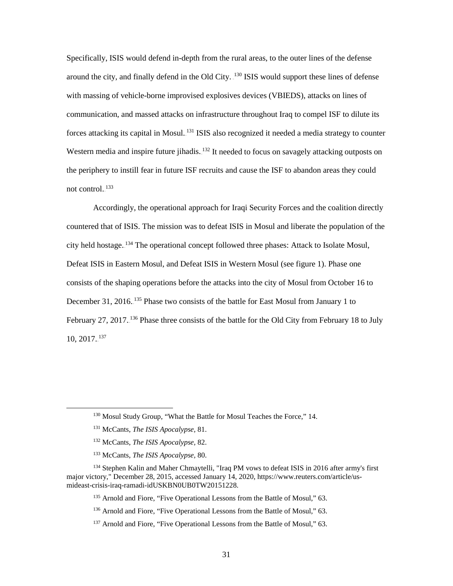Specifically, ISIS would defend in-depth from the rural areas, to the outer lines of the defense around the city, and finally defend in the Old City. <sup>130</sup> ISIS would support these lines of defense with massing of vehicle-borne improvised explosives devices (VBIEDS), attacks on lines of communication, and massed attacks on infrastructure throughout Iraq to compel ISF to dilute its forces attacking its capital in Mosul.<sup>131</sup> ISIS also recognized it needed a media strategy to counter Western media and inspire future jihadis.<sup>132</sup> It needed to focus on savagely attacking outposts on the periphery to instill fear in future ISF recruits and cause the ISF to abandon areas they could not control.<sup>133</sup>

Accordingly, the operational approach for Iraqi Security Forces and the coalition directly countered that of ISIS. The mission was to defeat ISIS in Mosul and liberate the population of the city held hostage.<sup>134</sup> The operational concept followed three phases: Attack to Isolate Mosul, Defeat ISIS in Eastern Mosul, and Defeat ISIS in Western Mosul (see figure 1). Phase one consists of the shaping operations before the attacks into the city of Mosul from October 16 to December 31, 2016.<sup>135</sup> Phase two consists of the battle for East Mosul from January 1 to February 27, 2017.<sup>136</sup> Phase three consists of the battle for the Old City from February 18 to July 10, 2017.<sup>137</sup>

<sup>&</sup>lt;sup>130</sup> Mosul Study Group, "What the Battle for Mosul Teaches the Force," 14.

<sup>131</sup> McCants, *The ISIS Apocalypse,* 81.

<sup>132</sup> McCants, *The ISIS Apocalypse,* 82.

<sup>133</sup> McCants, *The ISIS Apocalypse,* 80.

<sup>&</sup>lt;sup>134</sup> Stephen Kalin and Maher Chmaytelli, "Iraq PM vows to defeat ISIS in 2016 after army's first major victory," December 28, 2015, accessed January 14, 2020, https://www.reuters.com/article/usmideast-crisis-iraq-ramadi-idUSKBN0UB0TW20151228.

<sup>&</sup>lt;sup>135</sup> Arnold and Fiore, "Five Operational Lessons from the Battle of Mosul," 63.

<sup>&</sup>lt;sup>136</sup> Arnold and Fiore, "Five Operational Lessons from the Battle of Mosul," 63.

<sup>&</sup>lt;sup>137</sup> Arnold and Fiore, "Five Operational Lessons from the Battle of Mosul," 63.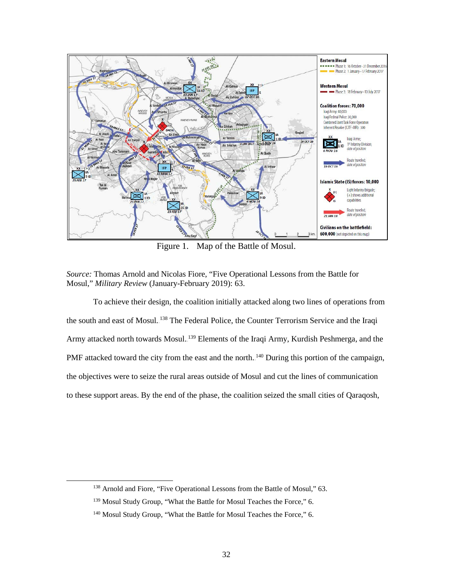

Figure 1. Map of the Battle of Mosul.

To achieve their design, the coalition initially attacked along two lines of operations from the south and east of Mosul.<sup>138</sup> The Federal Police, the Counter Terrorism Service and the Iraqi Army attacked north towards Mosul.<sup>139</sup> Elements of the Iraqi Army, Kurdish Peshmerga, and the PMF attacked toward the city from the east and the north.<sup>140</sup> During this portion of the campaign, the objectives were to seize the rural areas outside of Mosul and cut the lines of communication to these support areas. By the end of the phase, the coalition seized the small cities of Qaraqosh,

*Source:* Thomas Arnold and Nicolas Fiore, "Five Operational Lessons from the Battle for Mosul," *Military Review* (January-February 2019): 63.

<sup>&</sup>lt;sup>138</sup> Arnold and Fiore, "Five Operational Lessons from the Battle of Mosul," 63.

<sup>&</sup>lt;sup>139</sup> Mosul Study Group, "What the Battle for Mosul Teaches the Force," 6.

<sup>&</sup>lt;sup>140</sup> Mosul Study Group, "What the Battle for Mosul Teaches the Force," 6.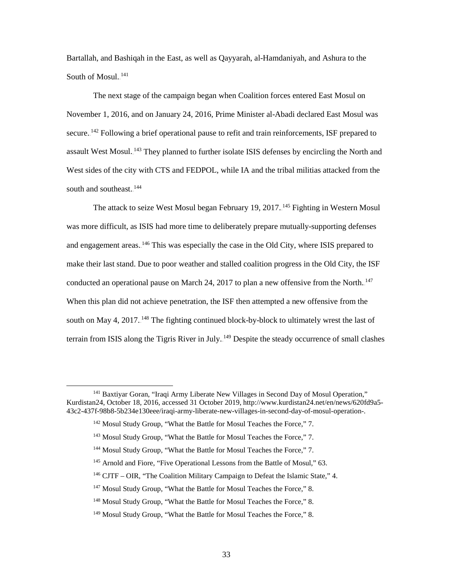Bartallah, and Bashiqah in the East, as well as Qayyarah, al-Hamdaniyah, and Ashura to the South of Mosul.<sup>141</sup>

The next stage of the campaign began when Coalition forces entered East Mosul on November 1, 2016, and on January 24, 2016, Prime Minister al-Abadi declared East Mosul was secure.<sup>142</sup> Following a brief operational pause to refit and train reinforcements, ISF prepared to assault West Mosul.<sup>143</sup> They planned to further isolate ISIS defenses by encircling the North and West sides of the city with CTS and FEDPOL, while IA and the tribal militias attacked from the south and southeast.<sup>144</sup>

The attack to seize West Mosul began February 19, 2017.<sup>145</sup> Fighting in Western Mosul was more difficult, as ISIS had more time to deliberately prepare mutually-supporting defenses and engagement areas.<sup>146</sup> This was especially the case in the Old City, where ISIS prepared to make their last stand. Due to poor weather and stalled coalition progress in the Old City, the ISF conducted an operational pause on March 24, 2017 to plan a new offensive from the North.<sup>147</sup> When this plan did not achieve penetration, the ISF then attempted a new offensive from the south on May 4, 2017. <sup>148</sup> The fighting continued block-by-block to ultimately wrest the last of terrain from ISIS along the Tigris River in July.<sup>149</sup> Despite the steady occurrence of small clashes

<sup>&</sup>lt;sup>141</sup> Baxtiyar Goran, "Iraqi Army Liberate New Villages in Second Day of Mosul Operation," Kurdistan24, October 18, 2016, accessed 31 October 2019, http://www.kurdistan24.net/en/news/620fd9a5- 43c2-437f-98b8-5b234e130eee/iraqi-army-liberate-new-villages-in-second-day-of-mosul-operation-.

<sup>&</sup>lt;sup>142</sup> Mosul Study Group, "What the Battle for Mosul Teaches the Force," 7.

<sup>143</sup> Mosul Study Group, "What the Battle for Mosul Teaches the Force," 7.

<sup>&</sup>lt;sup>144</sup> Mosul Study Group, "What the Battle for Mosul Teaches the Force," 7.

<sup>&</sup>lt;sup>145</sup> Arnold and Fiore, "Five Operational Lessons from the Battle of Mosul," 63.

<sup>146</sup> CJTF – OIR, "The Coalition Military Campaign to Defeat the Islamic State," 4.

<sup>&</sup>lt;sup>147</sup> Mosul Study Group, "What the Battle for Mosul Teaches the Force," 8.

<sup>&</sup>lt;sup>148</sup> Mosul Study Group, "What the Battle for Mosul Teaches the Force," 8.

<sup>&</sup>lt;sup>149</sup> Mosul Study Group, "What the Battle for Mosul Teaches the Force," 8.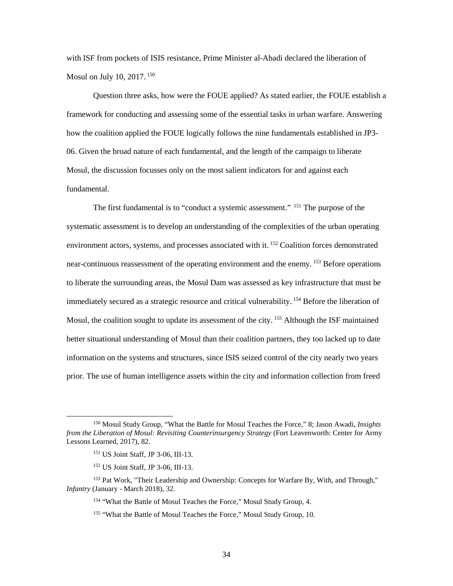with ISF from pockets of ISIS resistance, Prime Minister al-Abadi declared the liberation of Mosul on July 10,  $2017.^{150}$ 

Question three asks, how were the FOUE applied? As stated earlier, the FOUE establish a framework for conducting and assessing some of the essential tasks in urban warfare. Answering how the coalition applied the FOUE logically follows the nine fundamentals established in JP3- 06. Given the broad nature of each fundamental, and the length of the campaign to liberate Mosul, the discussion focusses only on the most salient indicators for and against each fundamental.

The first fundamental is to "conduct a systemic assessment." <sup>151</sup> The purpose of the systematic assessment is to develop an understanding of the complexities of the urban operating environment actors, systems, and processes associated with it.<sup>152</sup> Coalition forces demonstrated near-continuous reassessment of the operating environment and the enemy.<sup>153</sup> Before operations to liberate the surrounding areas, the Mosul Dam was assessed as key infrastructure that must be immediately secured as a strategic resource and critical vulnerability. <sup>154</sup> Before the liberation of Mosul, the coalition sought to update its assessment of the city.<sup>155</sup> Although the ISF maintained better situational understanding of Mosul than their coalition partners, they too lacked up to date information on the systems and structures, since ISIS seized control of the city nearly two years prior. The use of human intelligence assets within the city and information collection from freed

 <sup>150</sup> Mosul Study Group, "What the Battle for Mosul Teaches the Force," 8; Jason Awadi, *Insights from the Liberation of Mosul: Revisiting Counterinsurgency Strategy* (Fort Leavenworth: Center for Army Lessons Learned, 2017), 82.

<sup>151</sup> US Joint Staff, JP 3-06, III-13.

<sup>152</sup> US Joint Staff, JP 3-06, III-13.

<sup>&</sup>lt;sup>153</sup> Pat Work, "Their Leadership and Ownership: Concepts for Warfare By, With, and Through," *Infantry* (January - March 2018), 32.

<sup>154 &</sup>quot;What the Battle of Mosul Teaches the Force," Mosul Study Group, 4.

<sup>155</sup> "What the Battle of Mosul Teaches the Force," Mosul Study Group, 10.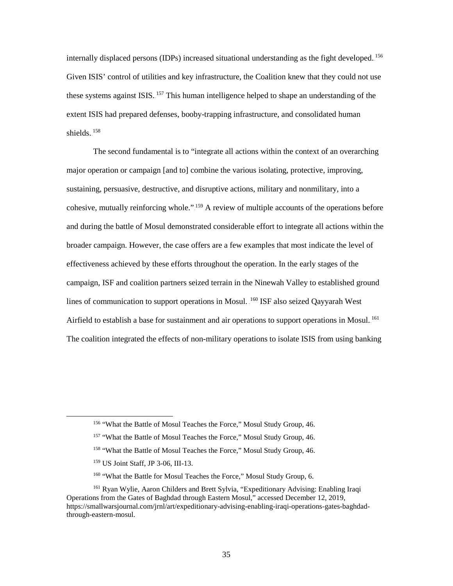internally displaced persons (IDPs) increased situational understanding as the fight developed.<sup>156</sup> Given ISIS' control of utilities and key infrastructure, the Coalition knew that they could not use these systems against ISIS.<sup>157</sup> This human intelligence helped to shape an understanding of the extent ISIS had prepared defenses, booby-trapping infrastructure, and consolidated human shields.<sup>158</sup>

The second fundamental is to "integrate all actions within the context of an overarching major operation or campaign [and to] combine the various isolating, protective, improving, sustaining, persuasive, destructive, and disruptive actions, military and nonmilitary, into a cohesive, mutually reinforcing whole.".<sup>159</sup> A review of multiple accounts of the operations before and during the battle of Mosul demonstrated considerable effort to integrate all actions within the broader campaign. However, the case offers are a few examples that most indicate the level of effectiveness achieved by these efforts throughout the operation. In the early stages of the campaign, ISF and coalition partners seized terrain in the Ninewah Valley to established ground lines of communication to support operations in Mosul. <sup>160</sup> ISF also seized Qayyarah West Airfield to establish a base for sustainment and air operations to support operations in Mosul.<sup>161</sup> The coalition integrated the effects of non-military operations to isolate ISIS from using banking

<sup>&</sup>lt;sup>156</sup> "What the Battle of Mosul Teaches the Force," Mosul Study Group, 46.

<sup>&</sup>lt;sup>157</sup> "What the Battle of Mosul Teaches the Force," Mosul Study Group, 46.

<sup>&</sup>lt;sup>158</sup> "What the Battle of Mosul Teaches the Force," Mosul Study Group, 46.

<sup>159</sup> US Joint Staff, JP 3-06, III-13.

<sup>160 &</sup>quot;What the Battle for Mosul Teaches the Force," Mosul Study Group, 6.

<sup>161</sup> Ryan Wylie, Aaron Childers and Brett Sylvia, "Expeditionary Advising: Enabling Iraqi Operations from the Gates of Baghdad through Eastern Mosul," accessed December 12, 2019, https://smallwarsjournal.com/jrnl/art/expeditionary-advising-enabling-iraqi-operations-gates-baghdadthrough-eastern-mosul.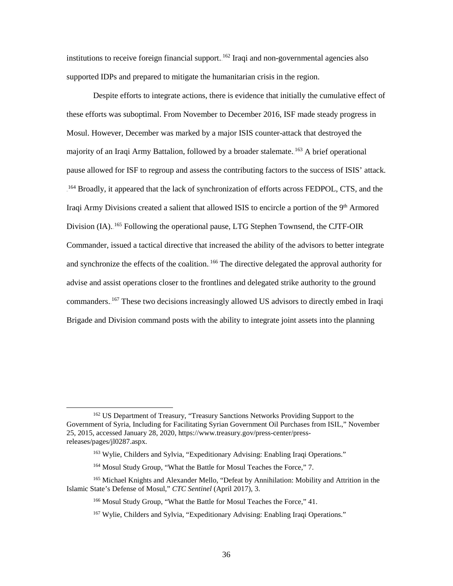institutions to receive foreign financial support. <sup>162</sup> Iraqi and non-governmental agencies also supported IDPs and prepared to mitigate the humanitarian crisis in the region.

Despite efforts to integrate actions, there is evidence that initially the cumulative effect of these efforts was suboptimal. From November to December 2016, ISF made steady progress in Mosul. However, December was marked by a major ISIS counter-attack that destroyed the majority of an Iraqi Army Battalion, followed by a broader stalemate.<sup>163</sup> A brief operational pause allowed for ISF to regroup and assess the contributing factors to the success of ISIS' attack. <sup>164</sup> Broadly, it appeared that the lack of synchronization of efforts across FEDPOL, CTS, and the Iraqi Army Divisions created a salient that allowed ISIS to encircle a portion of the 9<sup>th</sup> Armored Division (IA).<sup>165</sup> Following the operational pause, LTG Stephen Townsend, the CJTF-OIR Commander, issued a tactical directive that increased the ability of the advisors to better integrate and synchronize the effects of the coalition.<sup>166</sup> The directive delegated the approval authority for advise and assist operations closer to the frontlines and delegated strike authority to the ground commanders. <sup>167</sup> These two decisions increasingly allowed US advisors to directly embed in Iraqi Brigade and Division command posts with the ability to integrate joint assets into the planning

 <sup>162</sup> US Department of Treasury, "Treasury Sanctions Networks Providing Support to the Government of Syria, Including for Facilitating Syrian Government Oil Purchases from ISIL," November 25, 2015, accessed January 28, 2020, https://www.treasury.gov/press-center/pressreleases/pages/jl0287.aspx.

<sup>163</sup> Wylie, Childers and Sylvia, "Expeditionary Advising: Enabling Iraqi Operations."

<sup>164</sup> Mosul Study Group, "What the Battle for Mosul Teaches the Force," 7.

<sup>165</sup> Michael Knights and Alexander Mello, "Defeat by Annihilation: Mobility and Attrition in the Islamic State's Defense of Mosul," *CTC Sentinel* (April 2017), 3.

<sup>166</sup> Mosul Study Group, "What the Battle for Mosul Teaches the Force," 41.

<sup>167</sup> Wylie, Childers and Sylvia, "Expeditionary Advising: Enabling Iraqi Operations."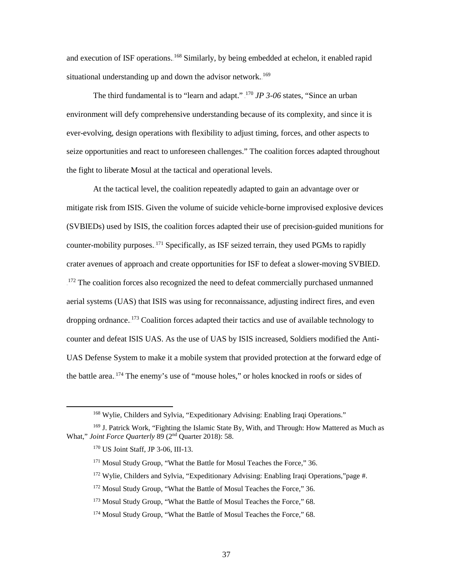and execution of ISF operations. <sup>168</sup> Similarly, by being embedded at echelon, it enabled rapid situational understanding up and down the advisor network.<sup>169</sup>

The third fundamental is to "learn and adapt."<sup>170</sup> *JP* 3-06 states, "Since an urban environment will defy comprehensive understanding because of its complexity, and since it is ever-evolving, design operations with flexibility to adjust timing, forces, and other aspects to seize opportunities and react to unforeseen challenges." The coalition forces adapted throughout the fight to liberate Mosul at the tactical and operational levels.

At the tactical level, the coalition repeatedly adapted to gain an advantage over or mitigate risk from ISIS. Given the volume of suicide vehicle-borne improvised explosive devices (SVBIEDs) used by ISIS, the coalition forces adapted their use of precision-guided munitions for counter-mobility purposes. <sup>171</sup> Specifically, as ISF seized terrain, they used PGMs to rapidly crater avenues of approach and create opportunities for ISF to defeat a slower-moving SVBIED. <sup>172</sup> The coalition forces also recognized the need to defeat commercially purchased unmanned aerial systems (UAS) that ISIS was using for reconnaissance, adjusting indirect fires, and even dropping ordnance.<sup>173</sup> Coalition forces adapted their tactics and use of available technology to counter and defeat ISIS UAS. As the use of UAS by ISIS increased, Soldiers modified the Anti-UAS Defense System to make it a mobile system that provided protection at the forward edge of the battle area.<sup>174</sup> The enemy's use of "mouse holes," or holes knocked in roofs or sides of

<sup>172</sup> Mosul Study Group, "What the Battle of Mosul Teaches the Force," 36.

 <sup>168</sup> Wylie, Childers and Sylvia, "Expeditionary Advising: Enabling Iraqi Operations."

<sup>169</sup> J. Patrick Work, "Fighting the Islamic State By, With, and Through: How Mattered as Much as What," *Joint Force Quarterly* 89 (2nd Quarter 2018): 58.

<sup>170</sup> US Joint Staff, JP 3-06, III-13.

<sup>&</sup>lt;sup>171</sup> Mosul Study Group, "What the Battle for Mosul Teaches the Force," 36.

<sup>172</sup> Wylie, Childers and Sylvia, "Expeditionary Advising: Enabling Iraqi Operations,"page #.

<sup>&</sup>lt;sup>173</sup> Mosul Study Group, "What the Battle of Mosul Teaches the Force," 68.

<sup>&</sup>lt;sup>174</sup> Mosul Study Group, "What the Battle of Mosul Teaches the Force," 68.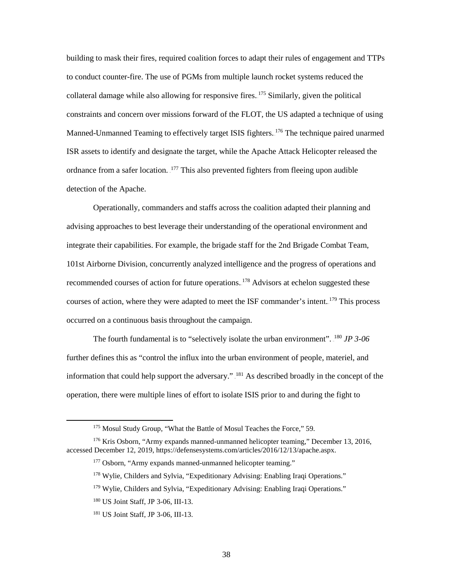building to mask their fires, required coalition forces to adapt their rules of engagement and TTPs to conduct counter-fire. The use of PGMs from multiple launch rocket systems reduced the collateral damage while also allowing for responsive fires.  $175$  Similarly, given the political constraints and concern over missions forward of the FLOT, the US adapted a technique of using Manned-Unmanned Teaming to effectively target ISIS fighters.<sup>176</sup> The technique paired unarmed ISR assets to identify and designate the target, while the Apache Attack Helicopter released the ordnance from a safer location. <sup>177</sup> This also prevented fighters from fleeing upon audible detection of the Apache.

Operationally, commanders and staffs across the coalition adapted their planning and advising approaches to best leverage their understanding of the operational environment and integrate their capabilities. For example, the brigade staff for the 2nd Brigade Combat Team, 101st Airborne Division, concurrently analyzed intelligence and the progress of operations and recommended courses of action for future operations.<sup>178</sup> Advisors at echelon suggested these courses of action, where they were adapted to meet the ISF commander's intent.<sup>179</sup> This process occurred on a continuous basis throughout the campaign.

The fourth fundamental is to "selectively isolate the urban environment". <sup>180</sup> JP 3-06 further defines this as "control the influx into the urban environment of people, materiel, and information that could help support the adversary."  $^{181}$  As described broadly in the concept of the operation, there were multiple lines of effort to isolate ISIS prior to and during the fight to

<sup>175</sup> Mosul Study Group, "What the Battle of Mosul Teaches the Force," 59.

<sup>176</sup> Kris Osborn, "Army expands manned-unmanned helicopter teaming," December 13, 2016, accessed December 12, 2019, https://defensesystems.com/articles/2016/12/13/apache.aspx.

<sup>&</sup>lt;sup>177</sup> Osborn, "Army expands manned-unmanned helicopter teaming."

<sup>178</sup> Wylie, Childers and Sylvia, "Expeditionary Advising: Enabling Iraqi Operations."

<sup>&</sup>lt;sup>179</sup> Wylie, Childers and Sylvia, "Expeditionary Advising: Enabling Iraqi Operations."

<sup>180</sup> US Joint Staff, JP 3-06, III-13.

<sup>181</sup> US Joint Staff, JP 3-06, III-13.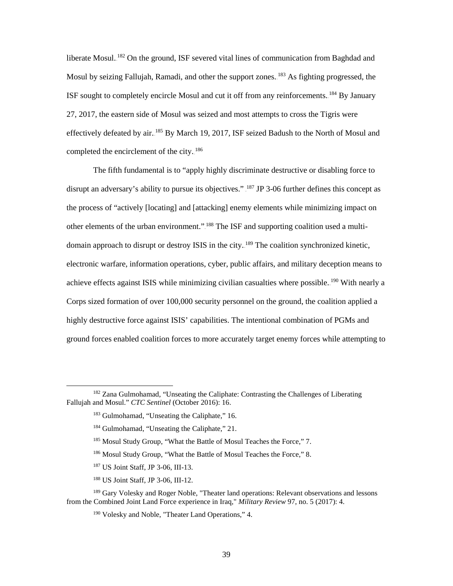liberate Mosul.<sup>182</sup> On the ground, ISF severed vital lines of communication from Baghdad and Mosul by seizing Fallujah, Ramadi, and other the support zones. <sup>183</sup> As fighting progressed, the ISF sought to completely encircle Mosul and cut it off from any reinforcements. <sup>184</sup> By January 27, 2017, the eastern side of Mosul was seized and most attempts to cross the Tigris were effectively defeated by air.<sup>185</sup> By March 19, 2017, ISF seized Badush to the North of Mosul and completed the encirclement of the city.<sup>186</sup>

The fifth fundamental is to "apply highly discriminate destructive or disabling force to disrupt an adversary's ability to pursue its objectives."  $187$  JP 3-06 further defines this concept as the process of "actively [locating] and [attacking] enemy elements while minimizing impact on other elements of the urban environment.".<sup>188</sup> The ISF and supporting coalition used a multidomain approach to disrupt or destroy ISIS in the city.<sup>189</sup> The coalition synchronized kinetic, electronic warfare, information operations, cyber, public affairs, and military deception means to achieve effects against ISIS while minimizing civilian casualties where possible. <sup>190</sup> With nearly a Corps sized formation of over 100,000 security personnel on the ground, the coalition applied a highly destructive force against ISIS' capabilities. The intentional combination of PGMs and ground forces enabled coalition forces to more accurately target enemy forces while attempting to

- <sup>187</sup> US Joint Staff, JP 3-06, III-13.
- <sup>188</sup> US Joint Staff, JP 3-06, III-12.

<sup>&</sup>lt;sup>182</sup> Zana Gulmohamad, "Unseating the Caliphate: Contrasting the Challenges of Liberating Fallujah and Mosul." *CTC Sentinel* (October 2016): 16.

<sup>&</sup>lt;sup>183</sup> Gulmohamad, "Unseating the Caliphate," 16.

<sup>184</sup> Gulmohamad, "Unseating the Caliphate," 21.

<sup>&</sup>lt;sup>185</sup> Mosul Study Group, "What the Battle of Mosul Teaches the Force," 7.

<sup>&</sup>lt;sup>186</sup> Mosul Study Group, "What the Battle of Mosul Teaches the Force," 8.

<sup>&</sup>lt;sup>189</sup> Gary Volesky and Roger Noble, "Theater land operations: Relevant observations and lessons from the Combined Joint Land Force experience in Iraq," *Military Review* 97, no. 5 (2017): 4.

<sup>190</sup> Volesky and Noble, "Theater Land Operations," 4.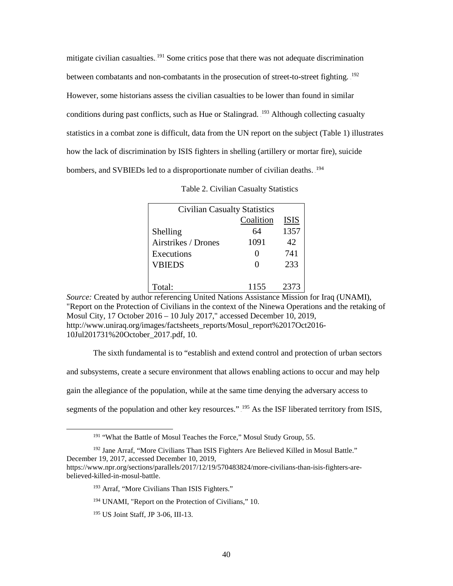mitigate civilian casualties.<sup>191</sup> Some critics pose that there was not adequate discrimination between combatants and non-combatants in the prosecution of street-to-street fighting. <sup>192</sup> However, some historians assess the civilian casualties to be lower than found in similar conditions during past conflicts, such as Hue or Stalingrad. <sup>193</sup> Although collecting casualty statistics in a combat zone is difficult, data from the UN report on the subject (Table 1) illustrates how the lack of discrimination by ISIS fighters in shelling (artillery or mortar fire), suicide bombers, and SVBIEDs led to a disproportionate number of civilian deaths. <sup>194</sup>

| Table 2. Civilian Casualty Statistics |  |  |  |
|---------------------------------------|--|--|--|
|---------------------------------------|--|--|--|

| <b>Civilian Casualty Statistics</b> |           |             |  |
|-------------------------------------|-----------|-------------|--|
|                                     | Coalition | <b>ISIS</b> |  |
| Shelling                            | 64        | 1357        |  |
| Airstrikes / Drones                 | 1091      | 42          |  |
| Executions                          |           | 741         |  |
| <b>VBIEDS</b>                       |           | 233         |  |
|                                     |           |             |  |
| Total:                              | 1155      | 2373        |  |

*Source:* Created by author referencing United Nations Assistance Mission for Iraq (UNAMI), "Report on the Protection of Civilians in the context of the Ninewa Operations and the retaking of Mosul City, 17 October 2016 – 10 July 2017," accessed December 10, 2019, http://www.uniraq.org/images/factsheets\_reports/Mosul\_report%2017Oct2016- 10Jul201731%20October\_2017.pdf, 10.

The sixth fundamental is to "establish and extend control and protection of urban sectors

and subsystems, create a secure environment that allows enabling actions to occur and may help

gain the allegiance of the population, while at the same time denying the adversary access to

segments of the population and other key resources." <sup>195</sup> As the ISF liberated territory from ISIS,

<sup>&</sup>lt;sup>191</sup> "What the Battle of Mosul Teaches the Force," Mosul Study Group, 55.

<sup>&</sup>lt;sup>192</sup> Jane Arraf, "More Civilians Than ISIS Fighters Are Believed Killed in Mosul Battle." December 19, 2017, accessed December 10, 2019,

https://www.npr.org/sections/parallels/2017/12/19/570483824/more-civilians-than-isis-fighters-arebelieved-killed-in-mosul-battle.

<sup>193</sup> Arraf, "More Civilians Than ISIS Fighters."

<sup>&</sup>lt;sup>194</sup> UNAMI, "Report on the Protection of Civilians," 10.

<sup>195</sup> US Joint Staff, JP 3-06, III-13.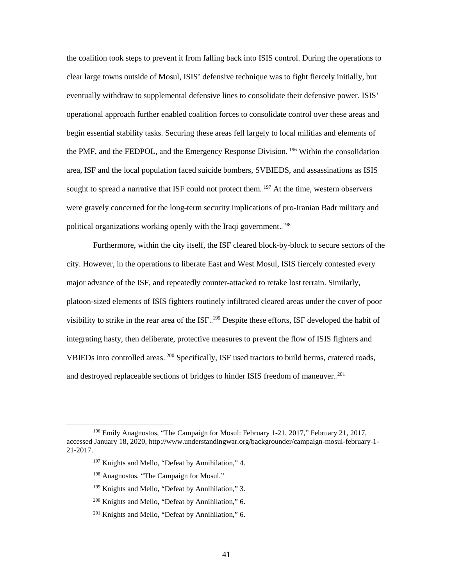the coalition took steps to prevent it from falling back into ISIS control. During the operations to clear large towns outside of Mosul, ISIS' defensive technique was to fight fiercely initially, but eventually withdraw to supplemental defensive lines to consolidate their defensive power. ISIS' operational approach further enabled coalition forces to consolidate control over these areas and begin essential stability tasks. Securing these areas fell largely to local militias and elements of the PMF, and the FEDPOL, and the Emergency Response Division.<sup>196</sup> Within the consolidation area, ISF and the local population faced suicide bombers, SVBIEDS, and assassinations as ISIS sought to spread a narrative that ISF could not protect them.<sup>197</sup> At the time, western observers were gravely concerned for the long-term security implications of pro-Iranian Badr military and political organizations working openly with the Iraqi government.<sup>198</sup>

Furthermore, within the city itself, the ISF cleared block-by-block to secure sectors of the city. However, in the operations to liberate East and West Mosul, ISIS fiercely contested every major advance of the ISF, and repeatedly counter-attacked to retake lost terrain. Similarly, platoon-sized elements of ISIS fighters routinely infiltrated cleared areas under the cover of poor visibility to strike in the rear area of the ISF.<sup>199</sup> Despite these efforts, ISF developed the habit of integrating hasty, then deliberate, protective measures to prevent the flow of ISIS fighters and VBIEDs into controlled areas.<sup>200</sup> Specifically, ISF used tractors to build berms, cratered roads, and destroyed replaceable sections of bridges to hinder ISIS freedom of maneuver.<sup>201</sup>

<sup>&</sup>lt;sup>196</sup> Emily Anagnostos, "The Campaign for Mosul: February 1-21, 2017," February 21, 2017, accessed January 18, 2020, http://www.understandingwar.org/backgrounder/campaign-mosul-february-1- 21-2017.

<sup>&</sup>lt;sup>197</sup> Knights and Mello, "Defeat by Annihilation," 4.

<sup>198</sup> Anagnostos, "The Campaign for Mosul."

<sup>&</sup>lt;sup>199</sup> Knights and Mello, "Defeat by Annihilation," 3.

<sup>200</sup> Knights and Mello, "Defeat by Annihilation," 6.

<sup>201</sup> Knights and Mello, "Defeat by Annihilation," 6.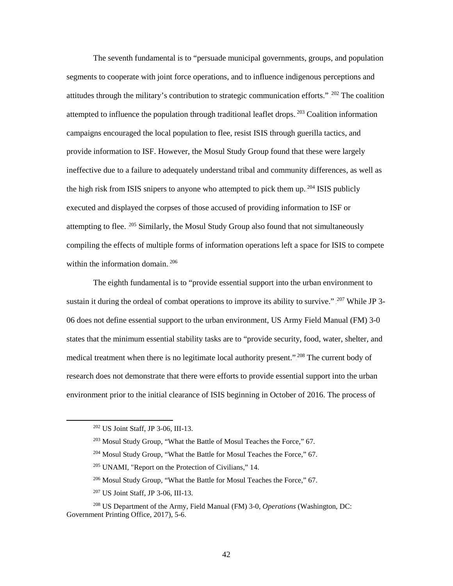The seventh fundamental is to "persuade municipal governments, groups, and population segments to cooperate with joint force operations, and to influence indigenous perceptions and attitudes through the military's contribution to strategic communication efforts." $202$  The coalition attempted to influence the population through traditional leaflet drops.<sup>203</sup> Coalition information campaigns encouraged the local population to flee, resist ISIS through guerilla tactics, and provide information to ISF. However, the Mosul Study Group found that these were largely ineffective due to a failure to adequately understand tribal and community differences, as well as the high risk from ISIS snipers to anyone who attempted to pick them up.<sup>204</sup> ISIS publicly executed and displayed the corpses of those accused of providing information to ISF or attempting to flee. <sup>205</sup> Similarly, the Mosul Study Group also found that not simultaneously compiling the effects of multiple forms of information operations left a space for ISIS to compete within the information domain.<sup>206</sup>

The eighth fundamental is to "provide essential support into the urban environment to sustain it during the ordeal of combat operations to improve its ability to survive." <sup>207</sup> While JP 3-06 does not define essential support to the urban environment, US Army Field Manual (FM) 3-0 states that the minimum essential stability tasks are to "provide security, food, water, shelter, and medical treatment when there is no legitimate local authority present."<sup>208</sup> The current body of research does not demonstrate that there were efforts to provide essential support into the urban environment prior to the initial clearance of ISIS beginning in October of 2016. The process of

- <sup>206</sup> Mosul Study Group, "What the Battle for Mosul Teaches the Force," 67.
- <sup>207</sup> US Joint Staff, JP 3-06, III-13.

 <sup>202</sup> US Joint Staff, JP 3-06, III-13.

<sup>203</sup> Mosul Study Group, "What the Battle of Mosul Teaches the Force," 67.

<sup>&</sup>lt;sup>204</sup> Mosul Study Group, "What the Battle for Mosul Teaches the Force," 67.

<sup>205</sup> UNAMI, "Report on the Protection of Civilians," 14.

<sup>208</sup> US Department of the Army, Field Manual (FM) 3-0, *Operations* (Washington, DC: Government Printing Office, 2017), 5-6.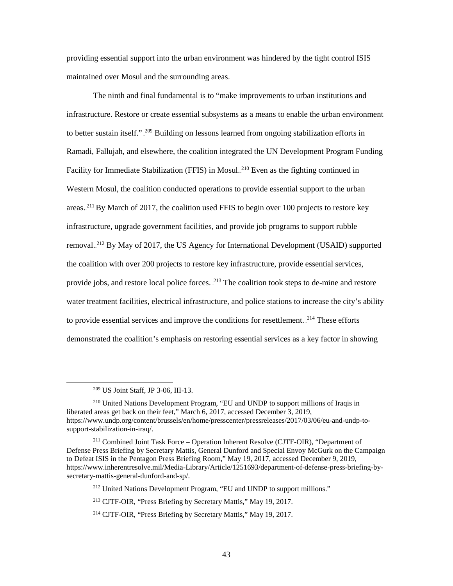providing essential support into the urban environment was hindered by the tight control ISIS maintained over Mosul and the surrounding areas.

The ninth and final fundamental is to "make improvements to urban institutions and infrastructure. Restore or create essential subsystems as a means to enable the urban environment to better sustain itself."<sup>209</sup> Building on lessons learned from ongoing stabilization efforts in Ramadi, Fallujah, and elsewhere, the coalition integrated the UN Development Program Funding Facility for Immediate Stabilization (FFIS) in Mosul.<sup>210</sup> Even as the fighting continued in Western Mosul, the coalition conducted operations to provide essential support to the urban areas.<sup>211</sup> By March of 2017, the coalition used FFIS to begin over 100 projects to restore key infrastructure, upgrade government facilities, and provide job programs to support rubble removal.<sup>212</sup> By May of 2017, the US Agency for International Development (USAID) supported the coalition with over 200 projects to restore key infrastructure, provide essential services, provide jobs, and restore local police forces. <sup>213</sup> The coalition took steps to de-mine and restore water treatment facilities, electrical infrastructure, and police stations to increase the city's ability to provide essential services and improve the conditions for resettlement. <sup>214</sup> These efforts demonstrated the coalition's emphasis on restoring essential services as a key factor in showing

 <sup>209</sup> US Joint Staff, JP 3-06, III-13.

<sup>210</sup> United Nations Development Program, "EU and UNDP to support millions of Iraqis in liberated areas get back on their feet," March 6, 2017, accessed December 3, 2019, https://www.undp.org/content/brussels/en/home/presscenter/pressreleases/2017/03/06/eu-and-undp-tosupport-stabilization-in-iraq/.

<sup>211</sup> Combined Joint Task Force – Operation Inherent Resolve (CJTF-OIR), "Department of Defense Press Briefing by Secretary Mattis, General Dunford and Special Envoy McGurk on the Campaign to Defeat ISIS in the Pentagon Press Briefing Room," May 19, 2017, accessed December 9, 2019, https://www.inherentresolve.mil/Media-Library/Article/1251693/department-of-defense-press-briefing-bysecretary-mattis-general-dunford-and-sp/.

<sup>&</sup>lt;sup>212</sup> United Nations Development Program, "EU and UNDP to support millions."

<sup>213</sup> CJTF-OIR, "Press Briefing by Secretary Mattis," May 19, 2017.

<sup>214</sup> CJTF-OIR, "Press Briefing by Secretary Mattis," May 19, 2017.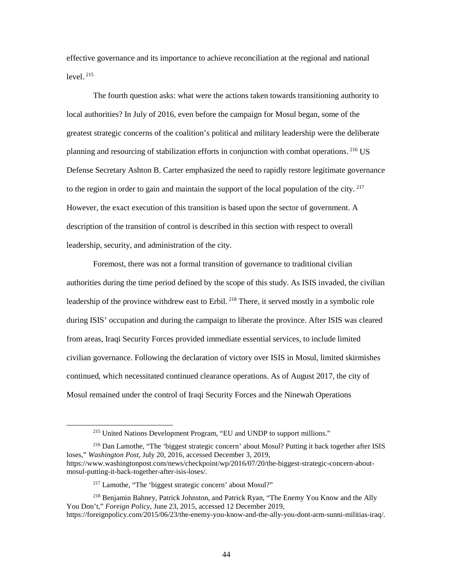effective governance and its importance to achieve reconciliation at the regional and national  $level.$ <sup>215</sup>

The fourth question asks: what were the actions taken towards transitioning authority to local authorities? In July of 2016, even before the campaign for Mosul began, some of the greatest strategic concerns of the coalition's political and military leadership were the deliberate planning and resourcing of stabilization efforts in conjunction with combat operations.<sup>216</sup> US Defense Secretary Ashton B. Carter emphasized the need to rapidly restore legitimate governance to the region in order to gain and maintain the support of the local population of the city.<sup>217</sup> However, the exact execution of this transition is based upon the sector of government. A description of the transition of control is described in this section with respect to overall leadership, security, and administration of the city.

Foremost, there was not a formal transition of governance to traditional civilian authorities during the time period defined by the scope of this study. As ISIS invaded, the civilian leadership of the province withdrew east to Erbil.<sup>218</sup> There, it served mostly in a symbolic role during ISIS' occupation and during the campaign to liberate the province. After ISIS was cleared from areas, Iraqi Security Forces provided immediate essential services, to include limited civilian governance. Following the declaration of victory over ISIS in Mosul, limited skirmishes continued, which necessitated continued clearance operations. As of August 2017, the city of Mosul remained under the control of Iraqi Security Forces and the Ninewah Operations

<sup>216</sup> Dan Lamothe, "The 'biggest strategic concern' about Mosul? Putting it back together after ISIS loses," *Washington Post*, July 20, 2016, accessed December 3, 2019, https://www.washingtonpost.com/news/checkpoint/wp/2016/07/20/the-biggest-strategic-concern-aboutmosul-putting-it-back-together-after-isis-loses/.

<sup>&</sup>lt;sup>215</sup> United Nations Development Program, "EU and UNDP to support millions."

<sup>217</sup> Lamothe, "The 'biggest strategic concern' about Mosul?"

<sup>218</sup> Benjamin Bahney, Patrick Johnston, and Patrick Ryan, "The Enemy You Know and the Ally You Don't," *Foreign Policy,* June 23, 2015, accessed 12 December 2019, https://foreignpolicy.com/2015/06/23/the-enemy-you-know-and-the-ally-you-dont-arm-sunni-militias-iraq/.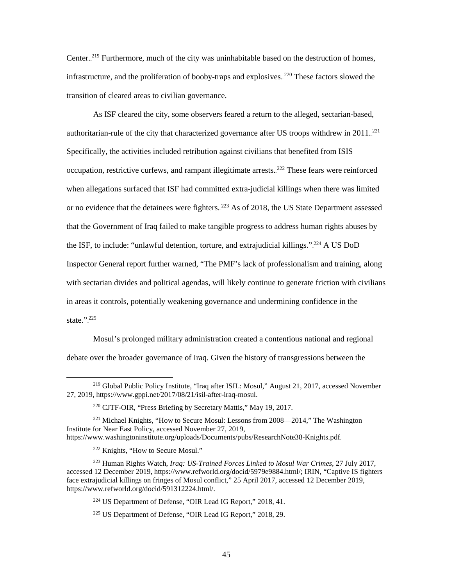Center.<sup>219</sup> Furthermore, much of the city was uninhabitable based on the destruction of homes, infrastructure, and the proliferation of booby-traps and explosives.<sup>220</sup> These factors slowed the transition of cleared areas to civilian governance.

As ISF cleared the city, some observers feared a return to the alleged, sectarian-based, authoritarian-rule of the city that characterized governance after US troops withdrew in 2011.<sup>221</sup> Specifically, the activities included retribution against civilians that benefited from ISIS occupation, restrictive curfews, and rampant illegitimate arrests.<sup>222</sup> These fears were reinforced when allegations surfaced that ISF had committed extra-judicial killings when there was limited or no evidence that the detainees were fighters.<sup>223</sup> As of 2018, the US State Department assessed that the Government of Iraq failed to make tangible progress to address human rights abuses by the ISF, to include: "unlawful detention, torture, and extrajudicial killings."<sup>224</sup> A US DoD Inspector General report further warned, "The PMF's lack of professionalism and training, along with sectarian divides and political agendas, will likely continue to generate friction with civilians in areas it controls, potentially weakening governance and undermining confidence in the state.". $^{225}$ 

Mosul's prolonged military administration created a contentious national and regional debate over the broader governance of Iraq. Given the history of transgressions between the

 <sup>219</sup> Global Public Policy Institute, "Iraq after ISIL: Mosul," August 21, 2017, accessed November 27, 2019, https://www.gppi.net/2017/08/21/isil-after-iraq-mosul.

<sup>220</sup> CJTF-OIR, "Press Briefing by Secretary Mattis," May 19, 2017.

<sup>&</sup>lt;sup>221</sup> Michael Knights, "How to Secure Mosul: Lessons from 2008—2014," The Washington Institute for Near East Policy, accessed November 27, 2019, https://www.washingtoninstitute.org/uploads/Documents/pubs/ResearchNote38-Knights.pdf.

<sup>222</sup> Knights, "How to Secure Mosul."

<sup>223</sup> Human Rights Watch, *Iraq: US-Trained Forces Linked to Mosul War Crimes*, 27 July 2017, accessed 12 December 2019, https://www.refworld.org/docid/5979e9884.html/; IRIN, "Captive IS fighters face extrajudicial killings on fringes of Mosul conflict," 25 April 2017, accessed 12 December 2019, https://www.refworld.org/docid/591312224.html/.

<sup>224</sup> US Department of Defense, "OIR Lead IG Report," 2018, 41.

<sup>225</sup> US Department of Defense, "OIR Lead IG Report," 2018, 29.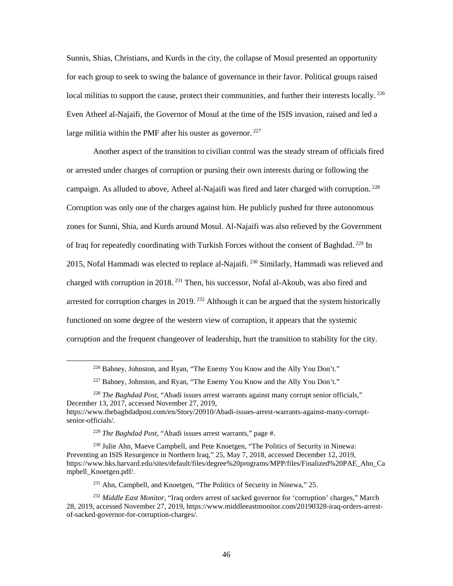Sunnis, Shias, Christians, and Kurds in the city, the collapse of Mosul presented an opportunity for each group to seek to swing the balance of governance in their favor. Political groups raised local militias to support the cause, protect their communities, and further their interests locally.<sup>226</sup> Even Atheel al-Najaifi, the Governor of Mosul at the time of the ISIS invasion, raised and led a large militia within the PMF after his ouster as governor. $227$ 

Another aspect of the transition to civilian control was the steady stream of officials fired or arrested under charges of corruption or pursing their own interests during or following the campaign. As alluded to above, Atheel al-Najaifi was fired and later charged with corruption.<sup>228</sup> Corruption was only one of the charges against him. He publicly pushed for three autonomous zones for Sunni, Shia, and Kurds around Mosul. Al-Najaifi was also relieved by the Government of Iraq for repeatedly coordinating with Turkish Forces without the consent of Baghdad.<sup>229</sup> In 2015, Nofal Hammadi was elected to replace al-Najaifi.  $230$  Similarly, Hammadi was relieved and charged with corruption in 2018.<sup>231</sup> Then, his successor, Nofal al-Akoub, was also fired and arrested for corruption charges in 2019.<sup>232</sup> Although it can be argued that the system historically functioned on some degree of the western view of corruption, it appears that the systemic corruption and the frequent changeover of leadership, hurt the transition to stability for the city.

<sup>&</sup>lt;sup>226</sup> Bahney, Johnston, and Ryan, "The Enemy You Know and the Ally You Don't."

<sup>&</sup>lt;sup>227</sup> Bahney, Johnston, and Ryan, "The Enemy You Know and the Ally You Don't."

<sup>228</sup> *The Baghdad Post,* "Abadi issues arrest warrants against many corrupt senior officials," December 13, 2017, accessed November 27, 2019, https://www.thebaghdadpost.com/en/Story/20910/Abadi-issues-arrest-warrants-against-many-corruptsenior-officials/.

<sup>229</sup> *The Baghdad Post,* "Abadi issues arrest warrants," page #.

<sup>230</sup> Julie Ahn, Maeve Campbell, and Pete Knoetgen, "The Politics of Security in Ninewa: Preventing an ISIS Resurgence in Northern Iraq," 25, May 7, 2018, accessed December 12, 2019, https://www.hks.harvard.edu/sites/default/files/degree%20programs/MPP/files/Finalized%20PAE\_Ahn\_Ca mpbell\_Knoetgen.pdf/.

<sup>&</sup>lt;sup>231</sup> Ahn, Campbell, and Knoetgen, "The Politics of Security in Ninewa," 25.

<sup>232</sup> *Middle East Monitor*, "Iraq orders arrest of sacked governor for 'corruption' charges," March 28, 2019, accessed November 27, 2019, https://www.middleeastmonitor.com/20190328-iraq-orders-arrestof-sacked-governor-for-corruption-charges/.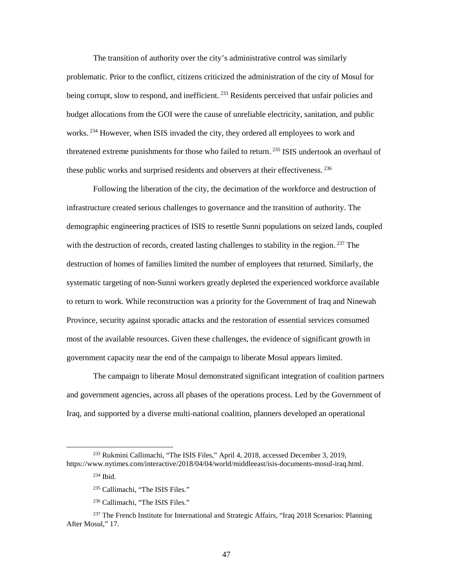The transition of authority over the city's administrative control was similarly problematic. Prior to the conflict, citizens criticized the administration of the city of Mosul for being corrupt, slow to respond, and inefficient.<sup>233</sup> Residents perceived that unfair policies and budget allocations from the GOI were the cause of unreliable electricity, sanitation, and public works.<sup>234</sup> However, when ISIS invaded the city, they ordered all employees to work and threatened extreme punishments for those who failed to return.<sup>235</sup> ISIS undertook an overhaul of these public works and surprised residents and observers at their effectiveness.<sup>236</sup>

Following the liberation of the city, the decimation of the workforce and destruction of infrastructure created serious challenges to governance and the transition of authority. The demographic engineering practices of ISIS to resettle Sunni populations on seized lands, coupled with the destruction of records, created lasting challenges to stability in the region.<sup>237</sup> The destruction of homes of families limited the number of employees that returned. Similarly, the systematic targeting of non-Sunni workers greatly depleted the experienced workforce available to return to work. While reconstruction was a priority for the Government of Iraq and Ninewah Province, security against sporadic attacks and the restoration of essential services consumed most of the available resources. Given these challenges, the evidence of significant growth in government capacity near the end of the campaign to liberate Mosul appears limited.

The campaign to liberate Mosul demonstrated significant integration of coalition partners and government agencies, across all phases of the operations process. Led by the Government of Iraq, and supported by a diverse multi-national coalition, planners developed an operational

47

 <sup>233</sup> Rukmini Callimachi, "The ISIS Files," April 4, 2018, accessed December 3, 2019, https://www.nytimes.com/interactive/2018/04/04/world/middleeast/isis-documents-mosul-iraq.html.

<sup>234</sup> Ibid.

<sup>235</sup> Callimachi, "The ISIS Files."

<sup>236</sup> Callimachi, "The ISIS Files."

 $237$  The French Institute for International and Strategic Affairs, "Iraq 2018 Scenarios: Planning After Mosul," 17.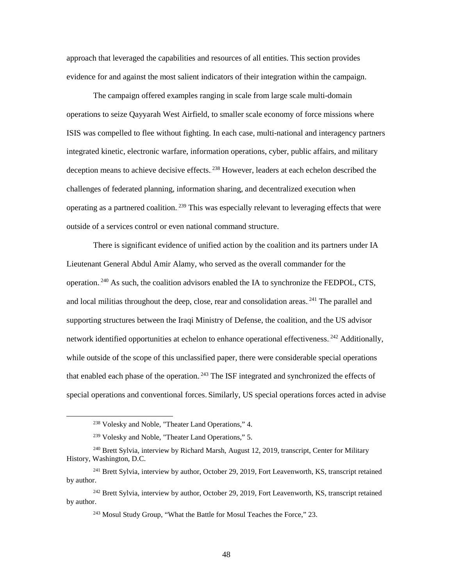approach that leveraged the capabilities and resources of all entities. This section provides evidence for and against the most salient indicators of their integration within the campaign.

The campaign offered examples ranging in scale from large scale multi-domain operations to seize Qayyarah West Airfield, to smaller scale economy of force missions where ISIS was compelled to flee without fighting. In each case, multi-national and interagency partners integrated kinetic, electronic warfare, information operations, cyber, public affairs, and military deception means to achieve decisive effects. <sup>238</sup> However, leaders at each echelon described the challenges of federated planning, information sharing, and decentralized execution when operating as a partnered coalition.<sup>239</sup> This was especially relevant to leveraging effects that were outside of a services control or even national command structure.

There is significant evidence of unified action by the coalition and its partners under IA Lieutenant General Abdul Amir Alamy, who served as the overall commander for the operation.<sup>240</sup> As such, the coalition advisors enabled the IA to synchronize the FEDPOL, CTS, and local militias throughout the deep, close, rear and consolidation areas.<sup>241</sup> The parallel and supporting structures between the Iraqi Ministry of Defense, the coalition, and the US advisor network identified opportunities at echelon to enhance operational effectiveness.<sup>242</sup> Additionally, while outside of the scope of this unclassified paper, there were considerable special operations that enabled each phase of the operation.<sup>243</sup> The ISF integrated and synchronized the effects of special operations and conventional forces. Similarly, US special operations forces acted in advise

 <sup>238</sup> Volesky and Noble, "Theater Land Operations," 4.

<sup>239</sup> Volesky and Noble, "Theater Land Operations," 5.

<sup>&</sup>lt;sup>240</sup> Brett Sylvia, interview by Richard Marsh, August 12, 2019, transcript, Center for Military History, Washington, D.C.

<sup>&</sup>lt;sup>241</sup> Brett Sylvia, interview by author, October 29, 2019, Fort Leavenworth, KS, transcript retained by author.

 $242$  Brett Sylvia, interview by author, October 29, 2019, Fort Leavenworth, KS, transcript retained by author.

<sup>243</sup> Mosul Study Group, "What the Battle for Mosul Teaches the Force," 23.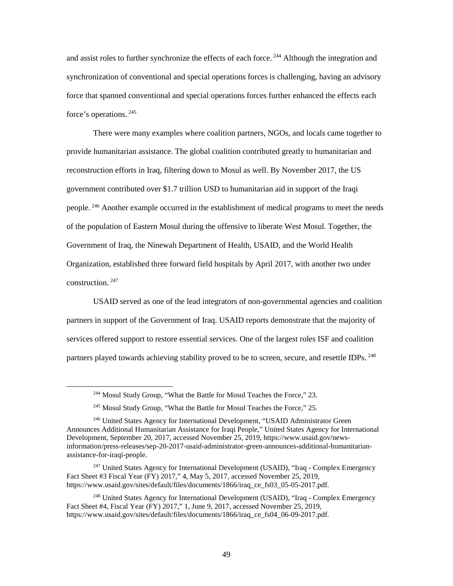and assist roles to further synchronize the effects of each force.<sup>244</sup> Although the integration and synchronization of conventional and special operations forces is challenging, having an advisory force that spanned conventional and special operations forces further enhanced the effects each force's operations.<sup>245</sup>

There were many examples where coalition partners, NGOs, and locals came together to provide humanitarian assistance. The global coalition contributed greatly to humanitarian and reconstruction efforts in Iraq, filtering down to Mosul as well. By November 2017, the US government contributed over \$1.7 trillion USD to humanitarian aid in support of the Iraqi people.<sup>246</sup> Another example occurred in the establishment of medical programs to meet the needs of the population of Eastern Mosul during the offensive to liberate West Mosul. Together, the Government of Iraq, the Ninewah Department of Health, USAID, and the World Health Organization, established three forward field hospitals by April 2017, with another two under construction.<sup>247</sup>

USAID served as one of the lead integrators of non-governmental agencies and coalition partners in support of the Government of Iraq. USAID reports demonstrate that the majority of services offered support to restore essential services. One of the largest roles ISF and coalition partners played towards achieving stability proved to be to screen, secure, and resettle IDPs.<sup>248</sup>

<sup>&</sup>lt;sup>244</sup> Mosul Study Group, "What the Battle for Mosul Teaches the Force," 23.

<sup>&</sup>lt;sup>245</sup> Mosul Study Group, "What the Battle for Mosul Teaches the Force," 25.

<sup>246</sup> United States Agency for International Development, "USAID Administrator Green Announces Additional Humanitarian Assistance for Iraqi People," United States Agency for International Development, September 20, 2017, accessed November 25, 2019, https://www.usaid.gov/newsinformation/press-releases/sep-20-2017-usaid-administrator-green-announces-additional-humanitarianassistance-for-iraqi-people.

<sup>&</sup>lt;sup>247</sup> United States Agency for International Development (USAID), "Iraq - Complex Emergency Fact Sheet #3 Fiscal Year (FY) 2017," 4, May 5, 2017, accessed November 25, 2019, https://www.usaid.gov/sites/default/files/documents/1866/iraq\_ce\_fs03\_05-05-2017.pdf.

<sup>&</sup>lt;sup>248</sup> United States Agency for International Development (USAID), "Iraq - Complex Emergency Fact Sheet #4, Fiscal Year (FY) 2017," 1, June 9, 2017, accessed November 25, 2019, https://www.usaid.gov/sites/default/files/documents/1866/iraq\_ce\_fs04\_06-09-2017.pdf.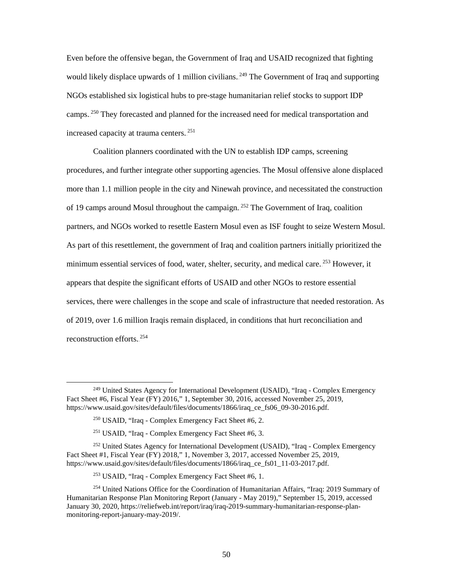Even before the offensive began, the Government of Iraq and USAID recognized that fighting would likely displace upwards of 1 million civilians.<sup>249</sup> The Government of Iraq and supporting NGOs established six logistical hubs to pre-stage humanitarian relief stocks to support IDP camps.<sup>250</sup> They forecasted and planned for the increased need for medical transportation and increased capacity at trauma centers.<sup>251</sup>

Coalition planners coordinated with the UN to establish IDP camps, screening procedures, and further integrate other supporting agencies. The Mosul offensive alone displaced more than 1.1 million people in the city and Ninewah province, and necessitated the construction of 19 camps around Mosul throughout the campaign.<sup>252</sup> The Government of Iraq, coalition partners, and NGOs worked to resettle Eastern Mosul even as ISF fought to seize Western Mosul. As part of this resettlement, the government of Iraq and coalition partners initially prioritized the minimum essential services of food, water, shelter, security, and medical care.<sup>253</sup> However, it appears that despite the significant efforts of USAID and other NGOs to restore essential services, there were challenges in the scope and scale of infrastructure that needed restoration. As of 2019, over 1.6 million Iraqis remain displaced, in conditions that hurt reconciliation and reconstruction efforts.<sup>254</sup>

 <sup>249</sup> United States Agency for International Development (USAID), "Iraq - Complex Emergency Fact Sheet #6, Fiscal Year (FY) 2016," 1, September 30, 2016, accessed November 25, 2019, https://www.usaid.gov/sites/default/files/documents/1866/iraq\_ce\_fs06\_09-30-2016.pdf.

<sup>250</sup> USAID, "Iraq - Complex Emergency Fact Sheet #6, 2.

<sup>251</sup> USAID, "Iraq - Complex Emergency Fact Sheet #6, 3.

<sup>&</sup>lt;sup>252</sup> United States Agency for International Development (USAID), "Iraq - Complex Emergency Fact Sheet #1, Fiscal Year (FY) 2018," 1, November 3, 2017, accessed November 25, 2019, https://www.usaid.gov/sites/default/files/documents/1866/iraq\_ce\_fs01\_11-03-2017.pdf.

<sup>253</sup> USAID, "Iraq - Complex Emergency Fact Sheet #6, 1.

<sup>&</sup>lt;sup>254</sup> United Nations Office for the Coordination of Humanitarian Affairs, "Iraq: 2019 Summary of Humanitarian Response Plan Monitoring Report (January - May 2019)," September 15, 2019, accessed January 30, 2020, https://reliefweb.int/report/iraq/iraq-2019-summary-humanitarian-response-planmonitoring-report-january-may-2019/.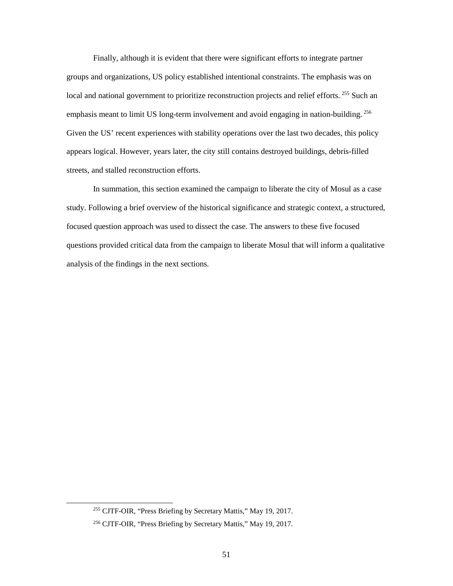Finally, although it is evident that there were significant efforts to integrate partner groups and organizations, US policy established intentional constraints. The emphasis was on local and national government to prioritize reconstruction projects and relief efforts.<sup>255</sup> Such an emphasis meant to limit US long-term involvement and avoid engaging in nation-building.<sup>256</sup> Given the US' recent experiences with stability operations over the last two decades, this policy appears logical. However, years later, the city still contains destroyed buildings, debris-filled streets, and stalled reconstruction efforts.

In summation, this section examined the campaign to liberate the city of Mosul as a case study. Following a brief overview of the historical significance and strategic context, a structured, focused question approach was used to dissect the case. The answers to these five focused questions provided critical data from the campaign to liberate Mosul that will inform a qualitative analysis of the findings in the next sections.

 <sup>255</sup> CJTF-OIR, "Press Briefing by Secretary Mattis," May 19, 2017.

<sup>256</sup> CJTF-OIR, "Press Briefing by Secretary Mattis," May 19, 2017.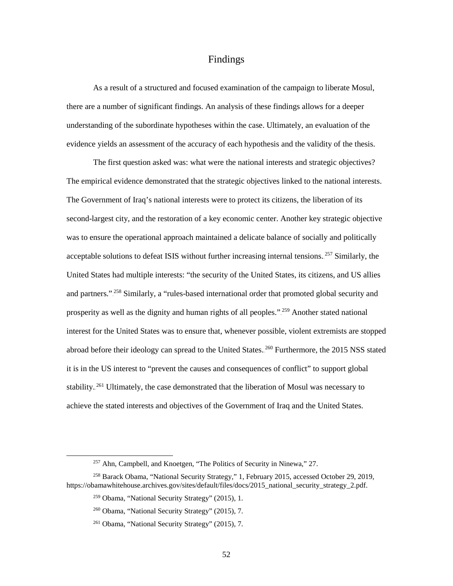## Findings

As a result of a structured and focused examination of the campaign to liberate Mosul, there are a number of significant findings. An analysis of these findings allows for a deeper understanding of the subordinate hypotheses within the case. Ultimately, an evaluation of the evidence yields an assessment of the accuracy of each hypothesis and the validity of the thesis.

The first question asked was: what were the national interests and strategic objectives? The empirical evidence demonstrated that the strategic objectives linked to the national interests. The Government of Iraq's national interests were to protect its citizens, the liberation of its second-largest city, and the restoration of a key economic center. Another key strategic objective was to ensure the operational approach maintained a delicate balance of socially and politically acceptable solutions to defeat ISIS without further increasing internal tensions.<sup>257</sup> Similarly, the United States had multiple interests: "the security of the United States, its citizens, and US allies and partners."<sup>258</sup> Similarly, a "rules-based international order that promoted global security and prosperity as well as the dignity and human rights of all peoples."<sup>259</sup> Another stated national interest for the United States was to ensure that, whenever possible, violent extremists are stopped abroad before their ideology can spread to the United States.<sup>260</sup> Furthermore, the 2015 NSS stated it is in the US interest to "prevent the causes and consequences of conflict" to support global stability.<sup>261</sup> Ultimately, the case demonstrated that the liberation of Mosul was necessary to achieve the stated interests and objectives of the Government of Iraq and the United States.

<sup>&</sup>lt;sup>257</sup> Ahn, Campbell, and Knoetgen, "The Politics of Security in Ninewa," 27.

<sup>258</sup> Barack Obama, "National Security Strategy," 1, February 2015, accessed October 29, 2019, https://obamawhitehouse.archives.gov/sites/default/files/docs/2015\_national\_security\_strategy\_2.pdf.

<sup>259</sup> Obama, "National Security Strategy" (2015), 1.

<sup>260</sup> Obama, "National Security Strategy" (2015), 7.

<sup>261</sup> Obama, "National Security Strategy" (2015), 7.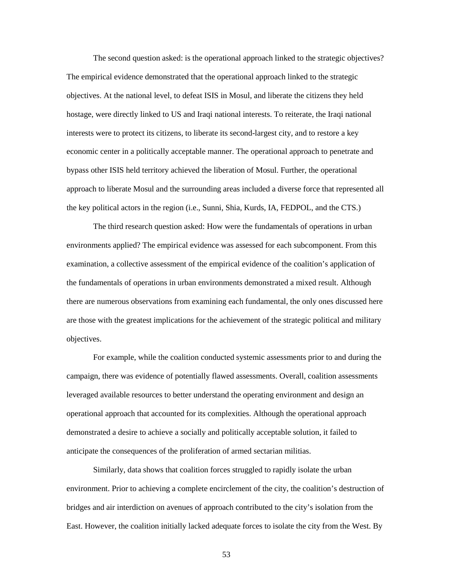The second question asked: is the operational approach linked to the strategic objectives? The empirical evidence demonstrated that the operational approach linked to the strategic objectives. At the national level, to defeat ISIS in Mosul, and liberate the citizens they held hostage, were directly linked to US and Iraqi national interests. To reiterate, the Iraqi national interests were to protect its citizens, to liberate its second-largest city, and to restore a key economic center in a politically acceptable manner. The operational approach to penetrate and bypass other ISIS held territory achieved the liberation of Mosul. Further, the operational approach to liberate Mosul and the surrounding areas included a diverse force that represented all the key political actors in the region (i.e., Sunni, Shia, Kurds, IA, FEDPOL, and the CTS.)

The third research question asked: How were the fundamentals of operations in urban environments applied? The empirical evidence was assessed for each subcomponent. From this examination, a collective assessment of the empirical evidence of the coalition's application of the fundamentals of operations in urban environments demonstrated a mixed result. Although there are numerous observations from examining each fundamental, the only ones discussed here are those with the greatest implications for the achievement of the strategic political and military objectives.

For example, while the coalition conducted systemic assessments prior to and during the campaign, there was evidence of potentially flawed assessments. Overall, coalition assessments leveraged available resources to better understand the operating environment and design an operational approach that accounted for its complexities. Although the operational approach demonstrated a desire to achieve a socially and politically acceptable solution, it failed to anticipate the consequences of the proliferation of armed sectarian militias.

Similarly, data shows that coalition forces struggled to rapidly isolate the urban environment. Prior to achieving a complete encirclement of the city, the coalition's destruction of bridges and air interdiction on avenues of approach contributed to the city's isolation from the East. However, the coalition initially lacked adequate forces to isolate the city from the West. By

53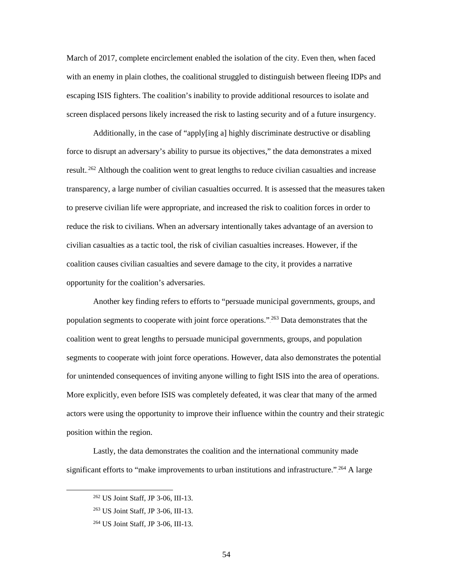March of 2017, complete encirclement enabled the isolation of the city. Even then, when faced with an enemy in plain clothes, the coalitional struggled to distinguish between fleeing IDPs and escaping ISIS fighters. The coalition's inability to provide additional resources to isolate and screen displaced persons likely increased the risk to lasting security and of a future insurgency.

Additionally, in the case of "apply[ing a] highly discriminate destructive or disabling force to disrupt an adversary's ability to pursue its objectives," the data demonstrates a mixed result.<sup>262</sup> Although the coalition went to great lengths to reduce civilian casualties and increase transparency, a large number of civilian casualties occurred. It is assessed that the measures taken to preserve civilian life were appropriate, and increased the risk to coalition forces in order to reduce the risk to civilians. When an adversary intentionally takes advantage of an aversion to civilian casualties as a tactic tool, the risk of civilian casualties increases. However, if the coalition causes civilian casualties and severe damage to the city, it provides a narrative opportunity for the coalition's adversaries.

Another key finding refers to efforts to "persuade municipal governments, groups, and population segments to cooperate with joint force operations."<sup>263</sup> Data demonstrates that the coalition went to great lengths to persuade municipal governments, groups, and population segments to cooperate with joint force operations. However, data also demonstrates the potential for unintended consequences of inviting anyone willing to fight ISIS into the area of operations. More explicitly, even before ISIS was completely defeated, it was clear that many of the armed actors were using the opportunity to improve their influence within the country and their strategic position within the region.

Lastly, the data demonstrates the coalition and the international community made significant efforts to "make improvements to urban institutions and infrastructure."  $2^{64}$  A large

 <sup>262</sup> US Joint Staff, JP 3-06, III-13.

<sup>263</sup> US Joint Staff, JP 3-06, III-13.

<sup>264</sup> US Joint Staff, JP 3-06, III-13.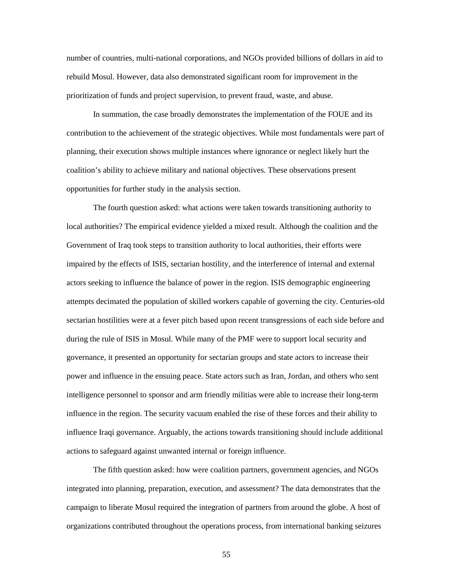number of countries, multi-national corporations, and NGOs provided billions of dollars in aid to rebuild Mosul. However, data also demonstrated significant room for improvement in the prioritization of funds and project supervision, to prevent fraud, waste, and abuse.

In summation, the case broadly demonstrates the implementation of the FOUE and its contribution to the achievement of the strategic objectives. While most fundamentals were part of planning, their execution shows multiple instances where ignorance or neglect likely hurt the coalition's ability to achieve military and national objectives. These observations present opportunities for further study in the analysis section.

The fourth question asked: what actions were taken towards transitioning authority to local authorities? The empirical evidence yielded a mixed result. Although the coalition and the Government of Iraq took steps to transition authority to local authorities, their efforts were impaired by the effects of ISIS, sectarian hostility, and the interference of internal and external actors seeking to influence the balance of power in the region. ISIS demographic engineering attempts decimated the population of skilled workers capable of governing the city. Centuries-old sectarian hostilities were at a fever pitch based upon recent transgressions of each side before and during the rule of ISIS in Mosul. While many of the PMF were to support local security and governance, it presented an opportunity for sectarian groups and state actors to increase their power and influence in the ensuing peace. State actors such as Iran, Jordan, and others who sent intelligence personnel to sponsor and arm friendly militias were able to increase their long-term influence in the region. The security vacuum enabled the rise of these forces and their ability to influence Iraqi governance. Arguably, the actions towards transitioning should include additional actions to safeguard against unwanted internal or foreign influence.

The fifth question asked: how were coalition partners, government agencies, and NGOs integrated into planning, preparation, execution, and assessment? The data demonstrates that the campaign to liberate Mosul required the integration of partners from around the globe. A host of organizations contributed throughout the operations process, from international banking seizures

55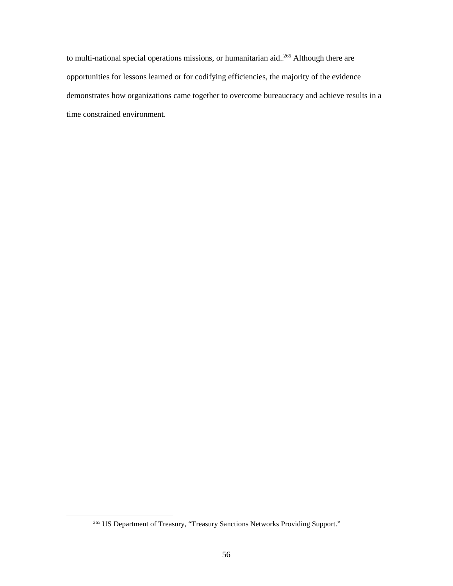to multi-national special operations missions, or humanitarian aid.<sup>265</sup> Although there are opportunities for lessons learned or for codifying efficiencies, the majority of the evidence demonstrates how organizations came together to overcome bureaucracy and achieve results in a time constrained environment.

<sup>&</sup>lt;sup>265</sup> US Department of Treasury, "Treasury Sanctions Networks Providing Support."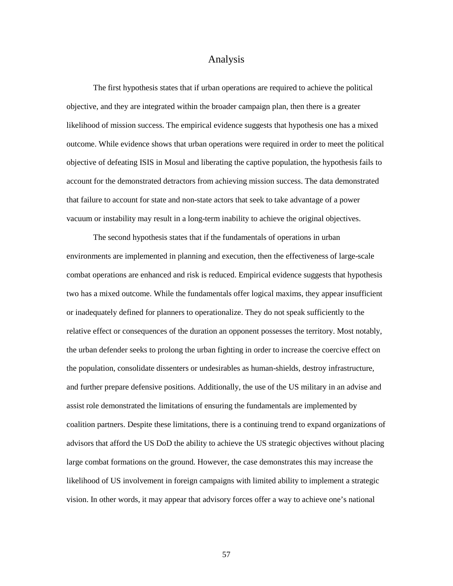## Analysis

The first hypothesis states that if urban operations are required to achieve the political objective, and they are integrated within the broader campaign plan, then there is a greater likelihood of mission success. The empirical evidence suggests that hypothesis one has a mixed outcome. While evidence shows that urban operations were required in order to meet the political objective of defeating ISIS in Mosul and liberating the captive population, the hypothesis fails to account for the demonstrated detractors from achieving mission success. The data demonstrated that failure to account for state and non-state actors that seek to take advantage of a power vacuum or instability may result in a long-term inability to achieve the original objectives.

The second hypothesis states that if the fundamentals of operations in urban environments are implemented in planning and execution, then the effectiveness of large-scale combat operations are enhanced and risk is reduced. Empirical evidence suggests that hypothesis two has a mixed outcome. While the fundamentals offer logical maxims, they appear insufficient or inadequately defined for planners to operationalize. They do not speak sufficiently to the relative effect or consequences of the duration an opponent possesses the territory. Most notably, the urban defender seeks to prolong the urban fighting in order to increase the coercive effect on the population, consolidate dissenters or undesirables as human-shields, destroy infrastructure, and further prepare defensive positions. Additionally, the use of the US military in an advise and assist role demonstrated the limitations of ensuring the fundamentals are implemented by coalition partners. Despite these limitations, there is a continuing trend to expand organizations of advisors that afford the US DoD the ability to achieve the US strategic objectives without placing large combat formations on the ground. However, the case demonstrates this may increase the likelihood of US involvement in foreign campaigns with limited ability to implement a strategic vision. In other words, it may appear that advisory forces offer a way to achieve one's national

57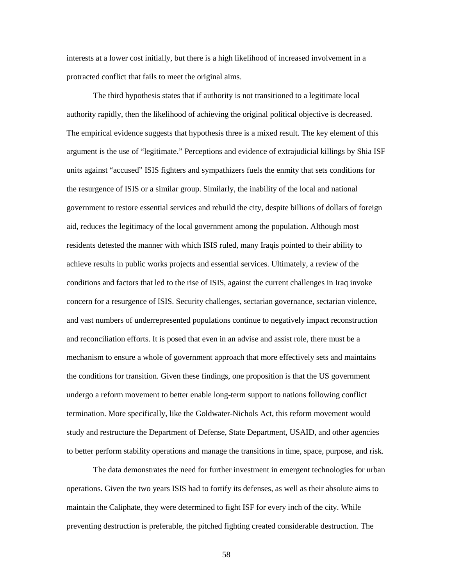interests at a lower cost initially, but there is a high likelihood of increased involvement in a protracted conflict that fails to meet the original aims.

The third hypothesis states that if authority is not transitioned to a legitimate local authority rapidly, then the likelihood of achieving the original political objective is decreased. The empirical evidence suggests that hypothesis three is a mixed result. The key element of this argument is the use of "legitimate." Perceptions and evidence of extrajudicial killings by Shia ISF units against "accused" ISIS fighters and sympathizers fuels the enmity that sets conditions for the resurgence of ISIS or a similar group. Similarly, the inability of the local and national government to restore essential services and rebuild the city, despite billions of dollars of foreign aid, reduces the legitimacy of the local government among the population. Although most residents detested the manner with which ISIS ruled, many Iraqis pointed to their ability to achieve results in public works projects and essential services. Ultimately, a review of the conditions and factors that led to the rise of ISIS, against the current challenges in Iraq invoke concern for a resurgence of ISIS. Security challenges, sectarian governance, sectarian violence, and vast numbers of underrepresented populations continue to negatively impact reconstruction and reconciliation efforts. It is posed that even in an advise and assist role, there must be a mechanism to ensure a whole of government approach that more effectively sets and maintains the conditions for transition. Given these findings, one proposition is that the US government undergo a reform movement to better enable long-term support to nations following conflict termination. More specifically, like the Goldwater-Nichols Act, this reform movement would study and restructure the Department of Defense, State Department, USAID, and other agencies to better perform stability operations and manage the transitions in time, space, purpose, and risk.

The data demonstrates the need for further investment in emergent technologies for urban operations. Given the two years ISIS had to fortify its defenses, as well as their absolute aims to maintain the Caliphate, they were determined to fight ISF for every inch of the city. While preventing destruction is preferable, the pitched fighting created considerable destruction. The

58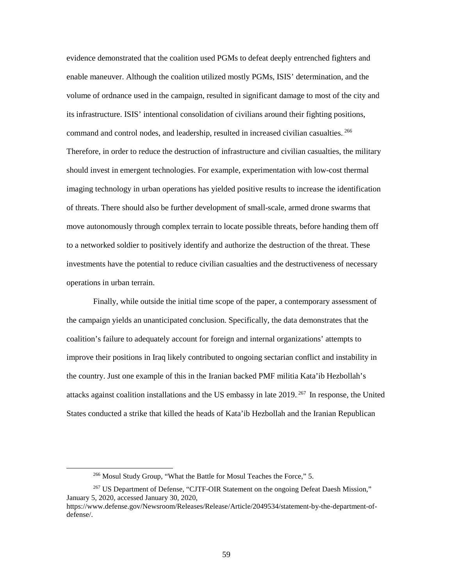evidence demonstrated that the coalition used PGMs to defeat deeply entrenched fighters and enable maneuver. Although the coalition utilized mostly PGMs, ISIS' determination, and the volume of ordnance used in the campaign, resulted in significant damage to most of the city and its infrastructure. ISIS' intentional consolidation of civilians around their fighting positions, command and control nodes, and leadership, resulted in increased civilian casualties.<sup>266</sup> Therefore, in order to reduce the destruction of infrastructure and civilian casualties, the military should invest in emergent technologies. For example, experimentation with low-cost thermal imaging technology in urban operations has yielded positive results to increase the identification of threats. There should also be further development of small-scale, armed drone swarms that move autonomously through complex terrain to locate possible threats, before handing them off to a networked soldier to positively identify and authorize the destruction of the threat. These investments have the potential to reduce civilian casualties and the destructiveness of necessary operations in urban terrain.

Finally, while outside the initial time scope of the paper, a contemporary assessment of the campaign yields an unanticipated conclusion. Specifically, the data demonstrates that the coalition's failure to adequately account for foreign and internal organizations' attempts to improve their positions in Iraq likely contributed to ongoing sectarian conflict and instability in the country. Just one example of this in the Iranian backed PMF militia Kata'ib Hezbollah's attacks against coalition installations and the US embassy in late 2019.<sup>267</sup> In response, the United States conducted a strike that killed the heads of Kata'ib Hezbollah and the Iranian Republican

 <sup>266</sup> Mosul Study Group, "What the Battle for Mosul Teaches the Force," 5.

<sup>&</sup>lt;sup>267</sup> US Department of Defense, "CJTF-OIR Statement on the ongoing Defeat Daesh Mission," January 5, 2020, accessed January 30, 2020,

https://www.defense.gov/Newsroom/Releases/Release/Article/2049534/statement-by-the-department-ofdefense/.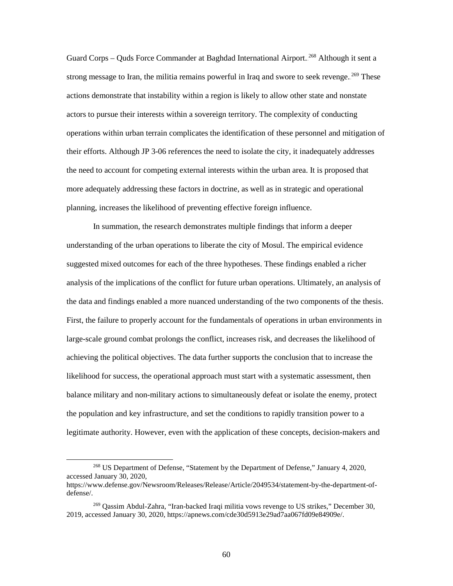Guard Corps - Quds Force Commander at Baghdad International Airport.<sup>268</sup> Although it sent a strong message to Iran, the militia remains powerful in Iraq and swore to seek revenge.<sup>269</sup> These actions demonstrate that instability within a region is likely to allow other state and nonstate actors to pursue their interests within a sovereign territory. The complexity of conducting operations within urban terrain complicates the identification of these personnel and mitigation of their efforts. Although JP 3-06 references the need to isolate the city, it inadequately addresses the need to account for competing external interests within the urban area. It is proposed that more adequately addressing these factors in doctrine, as well as in strategic and operational planning, increases the likelihood of preventing effective foreign influence.

In summation, the research demonstrates multiple findings that inform a deeper understanding of the urban operations to liberate the city of Mosul. The empirical evidence suggested mixed outcomes for each of the three hypotheses. These findings enabled a richer analysis of the implications of the conflict for future urban operations. Ultimately, an analysis of the data and findings enabled a more nuanced understanding of the two components of the thesis. First, the failure to properly account for the fundamentals of operations in urban environments in large-scale ground combat prolongs the conflict, increases risk, and decreases the likelihood of achieving the political objectives. The data further supports the conclusion that to increase the likelihood for success, the operational approach must start with a systematic assessment, then balance military and non-military actions to simultaneously defeat or isolate the enemy, protect the population and key infrastructure, and set the conditions to rapidly transition power to a legitimate authority. However, even with the application of these concepts, decision-makers and

 <sup>268</sup> US Department of Defense, "Statement by the Department of Defense," January 4, 2020, accessed January 30, 2020,

https://www.defense.gov/Newsroom/Releases/Release/Article/2049534/statement-by-the-department-ofdefense/.

<sup>269</sup> Qassim Abdul-Zahra, "Iran-backed Iraqi militia vows revenge to US strikes," December 30, 2019, accessed January 30, 2020, https://apnews.com/cde30d5913e29ad7aa067fd09e84909e/.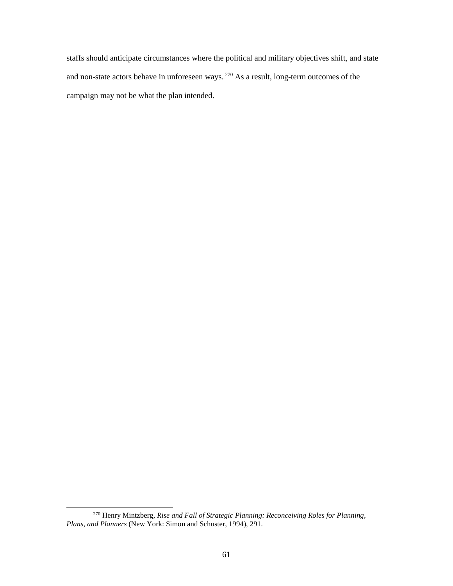staffs should anticipate circumstances where the political and military objectives shift, and state and non-state actors behave in unforeseen ways.<sup>270</sup> As a result, long-term outcomes of the campaign may not be what the plan intended.

 <sup>270</sup> Henry Mintzberg, *Rise and Fall of Strategic Planning: Reconceiving Roles for Planning, Plans, and Planners* (New York: Simon and Schuster, 1994), 291.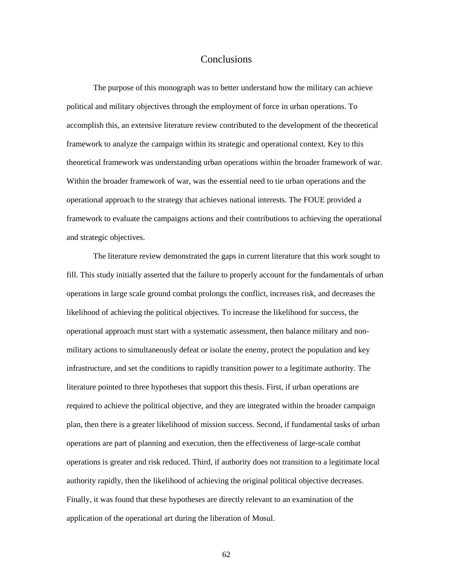## Conclusions

The purpose of this monograph was to better understand how the military can achieve political and military objectives through the employment of force in urban operations. To accomplish this, an extensive literature review contributed to the development of the theoretical framework to analyze the campaign within its strategic and operational context. Key to this theoretical framework was understanding urban operations within the broader framework of war. Within the broader framework of war, was the essential need to tie urban operations and the operational approach to the strategy that achieves national interests. The FOUE provided a framework to evaluate the campaigns actions and their contributions to achieving the operational and strategic objectives.

The literature review demonstrated the gaps in current literature that this work sought to fill. This study initially asserted that the failure to properly account for the fundamentals of urban operations in large scale ground combat prolongs the conflict, increases risk, and decreases the likelihood of achieving the political objectives. To increase the likelihood for success, the operational approach must start with a systematic assessment, then balance military and nonmilitary actions to simultaneously defeat or isolate the enemy, protect the population and key infrastructure, and set the conditions to rapidly transition power to a legitimate authority. The literature pointed to three hypotheses that support this thesis. First, if urban operations are required to achieve the political objective, and they are integrated within the broader campaign plan, then there is a greater likelihood of mission success. Second, if fundamental tasks of urban operations are part of planning and execution, then the effectiveness of large-scale combat operations is greater and risk reduced. Third, if authority does not transition to a legitimate local authority rapidly, then the likelihood of achieving the original political objective decreases. Finally, it was found that these hypotheses are directly relevant to an examination of the application of the operational art during the liberation of Mosul.

62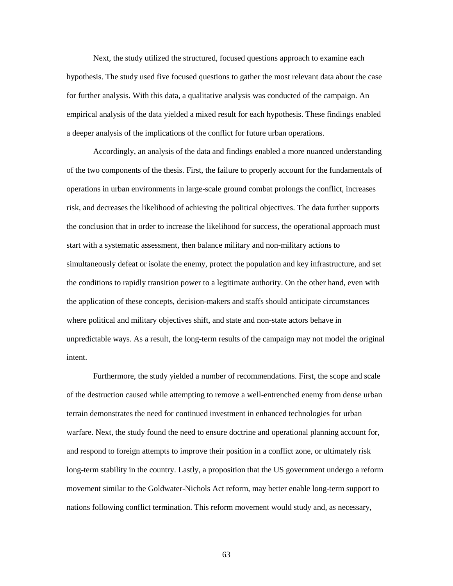Next, the study utilized the structured, focused questions approach to examine each hypothesis. The study used five focused questions to gather the most relevant data about the case for further analysis. With this data, a qualitative analysis was conducted of the campaign. An empirical analysis of the data yielded a mixed result for each hypothesis. These findings enabled a deeper analysis of the implications of the conflict for future urban operations.

Accordingly, an analysis of the data and findings enabled a more nuanced understanding of the two components of the thesis. First, the failure to properly account for the fundamentals of operations in urban environments in large-scale ground combat prolongs the conflict, increases risk, and decreases the likelihood of achieving the political objectives. The data further supports the conclusion that in order to increase the likelihood for success, the operational approach must start with a systematic assessment, then balance military and non-military actions to simultaneously defeat or isolate the enemy, protect the population and key infrastructure, and set the conditions to rapidly transition power to a legitimate authority. On the other hand, even with the application of these concepts, decision-makers and staffs should anticipate circumstances where political and military objectives shift, and state and non-state actors behave in unpredictable ways. As a result, the long-term results of the campaign may not model the original intent.

Furthermore, the study yielded a number of recommendations. First, the scope and scale of the destruction caused while attempting to remove a well-entrenched enemy from dense urban terrain demonstrates the need for continued investment in enhanced technologies for urban warfare. Next, the study found the need to ensure doctrine and operational planning account for, and respond to foreign attempts to improve their position in a conflict zone, or ultimately risk long-term stability in the country. Lastly, a proposition that the US government undergo a reform movement similar to the Goldwater-Nichols Act reform, may better enable long-term support to nations following conflict termination. This reform movement would study and, as necessary,

63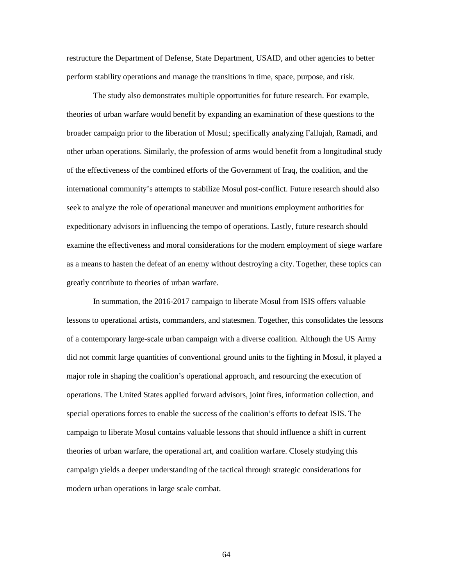restructure the Department of Defense, State Department, USAID, and other agencies to better perform stability operations and manage the transitions in time, space, purpose, and risk.

The study also demonstrates multiple opportunities for future research. For example, theories of urban warfare would benefit by expanding an examination of these questions to the broader campaign prior to the liberation of Mosul; specifically analyzing Fallujah, Ramadi, and other urban operations. Similarly, the profession of arms would benefit from a longitudinal study of the effectiveness of the combined efforts of the Government of Iraq, the coalition, and the international community's attempts to stabilize Mosul post-conflict. Future research should also seek to analyze the role of operational maneuver and munitions employment authorities for expeditionary advisors in influencing the tempo of operations. Lastly, future research should examine the effectiveness and moral considerations for the modern employment of siege warfare as a means to hasten the defeat of an enemy without destroying a city. Together, these topics can greatly contribute to theories of urban warfare.

In summation, the 2016-2017 campaign to liberate Mosul from ISIS offers valuable lessons to operational artists, commanders, and statesmen. Together, this consolidates the lessons of a contemporary large-scale urban campaign with a diverse coalition. Although the US Army did not commit large quantities of conventional ground units to the fighting in Mosul, it played a major role in shaping the coalition's operational approach, and resourcing the execution of operations. The United States applied forward advisors, joint fires, information collection, and special operations forces to enable the success of the coalition's efforts to defeat ISIS. The campaign to liberate Mosul contains valuable lessons that should influence a shift in current theories of urban warfare, the operational art, and coalition warfare. Closely studying this campaign yields a deeper understanding of the tactical through strategic considerations for modern urban operations in large scale combat.

64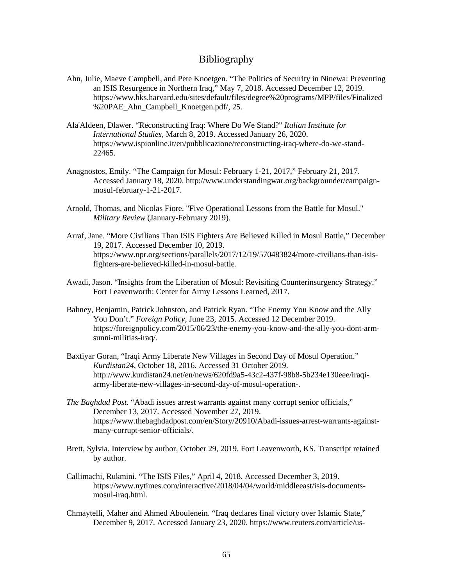## Bibliography

- Ahn, Julie, Maeve Campbell, and Pete Knoetgen. "The Politics of Security in Ninewa: Preventing an ISIS Resurgence in Northern Iraq," May 7, 2018. Accessed December 12, 2019. https://www.hks.harvard.edu/sites/default/files/degree%20programs/MPP/files/Finalized %20PAE\_Ahn\_Campbell\_Knoetgen.pdf/, 25.
- Ala'Aldeen, Dlawer. "Reconstructing Iraq: Where Do We Stand?" *Italian Institute for International Studies,* March 8, 2019. Accessed January 26, 2020. https://www.ispionline.it/en/pubblicazione/reconstructing-iraq-where-do-we-stand-22465.
- Anagnostos, Emily. "The Campaign for Mosul: February 1-21, 2017," February 21, 2017. Accessed January 18, 2020. http://www.understandingwar.org/backgrounder/campaignmosul-february-1-21-2017.
- Arnold, Thomas, and Nicolas Fiore. "Five Operational Lessons from the Battle for Mosul." *Military Review* (January-February 2019).
- Arraf, Jane. "More Civilians Than ISIS Fighters Are Believed Killed in Mosul Battle," December 19, 2017. Accessed December 10, 2019. https://www.npr.org/sections/parallels/2017/12/19/570483824/more-civilians-than-isisfighters-are-believed-killed-in-mosul-battle.
- Awadi, Jason. "Insights from the Liberation of Mosul: Revisiting Counterinsurgency Strategy." Fort Leavenworth: Center for Army Lessons Learned, 2017.
- Bahney, Benjamin, Patrick Johnston, and Patrick Ryan. "The Enemy You Know and the Ally You Don't." *Foreign Policy,* June 23, 2015. Accessed 12 December 2019. https://foreignpolicy.com/2015/06/23/the-enemy-you-know-and-the-ally-you-dont-armsunni-militias-iraq/.
- Baxtiyar Goran, "Iraqi Army Liberate New Villages in Second Day of Mosul Operation." *Kurdistan24*, October 18, 2016. Accessed 31 October 2019. http://www.kurdistan24.net/en/news/620fd9a5-43c2-437f-98b8-5b234e130eee/iraqiarmy-liberate-new-villages-in-second-day-of-mosul-operation-.
- *The Baghdad Post.* "Abadi issues arrest warrants against many corrupt senior officials," December 13, 2017. Accessed November 27, 2019. https://www.thebaghdadpost.com/en/Story/20910/Abadi-issues-arrest-warrants-againstmany-corrupt-senior-officials/.
- Brett, Sylvia. Interview by author, October 29, 2019. Fort Leavenworth, KS. Transcript retained by author.
- Callimachi, Rukmini. "The ISIS Files," April 4, 2018. Accessed December 3, 2019. https://www.nytimes.com/interactive/2018/04/04/world/middleeast/isis-documentsmosul-iraq.html.
- Chmaytelli, Maher and Ahmed Aboulenein. "Iraq declares final victory over Islamic State," December 9, 2017. Accessed January 23, 2020. https://www.reuters.com/article/us-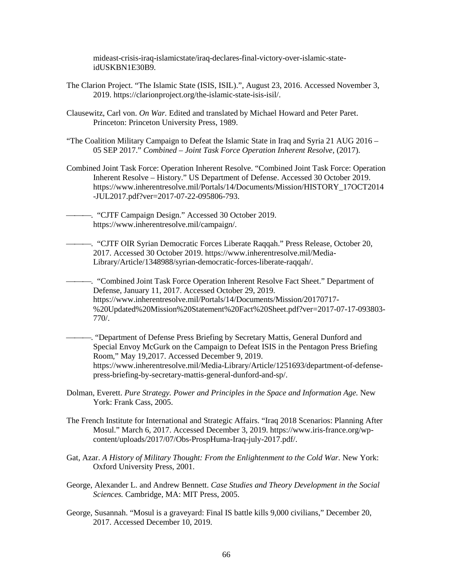mideast-crisis-iraq-islamicstate/iraq-declares-final-victory-over-islamic-stateidUSKBN1E30B9.

- The Clarion Project. "The Islamic State (ISIS, ISIL).", August 23, 2016. Accessed November 3, 2019. https://clarionproject.org/the-islamic-state-isis-isil/.
- Clausewitz, Carl von. *On War.* Edited and translated by Michael Howard and Peter Paret. Princeton: Princeton University Press, 1989.
- "The Coalition Military Campaign to Defeat the Islamic State in Iraq and Syria 21 AUG 2016 05 SEP 2017." *Combined – Joint Task Force Operation Inherent Resolve*, (2017).
- Combined Joint Task Force: Operation Inherent Resolve. "Combined Joint Task Force: Operation Inherent Resolve – History." US Department of Defense. Accessed 30 October 2019. https://www.inherentresolve.mil/Portals/14/Documents/Mission/HISTORY\_17OCT2014 -JUL2017.pdf?ver=2017-07-22-095806-793.
	- . "CJTF Campaign Design." Accessed 30 October 2019. https://www.inherentresolve.mil/campaign/.

. "CJTF OIR Syrian Democratic Forces Liberate Raqqah." Press Release, October 20, 2017. Accessed 30 October 2019. https://www.inherentresolve.mil/Media-Library/Article/1348988/syrian-democratic-forces-liberate-raqqah/.

. "Combined Joint Task Force Operation Inherent Resolve Fact Sheet." Department of Defense, January 11, 2017. Accessed October 29, 2019. https://www.inherentresolve.mil/Portals/14/Documents/Mission/20170717- %20Updated%20Mission%20Statement%20Fact%20Sheet.pdf?ver=2017-07-17-093803- 770/.

. "Department of Defense Press Briefing by Secretary Mattis, General Dunford and Special Envoy McGurk on the Campaign to Defeat ISIS in the Pentagon Press Briefing Room," May 19,2017. Accessed December 9, 2019. https://www.inherentresolve.mil/Media-Library/Article/1251693/department-of-defensepress-briefing-by-secretary-mattis-general-dunford-and-sp/.

- Dolman, Everett. *Pure Strategy. Power and Principles in the Space and Information Age.* New York: Frank Cass, 2005.
- The French Institute for International and Strategic Affairs. "Iraq 2018 Scenarios: Planning After Mosul." March 6, 2017. Accessed December 3, 2019. https://www.iris-france.org/wpcontent/uploads/2017/07/Obs-ProspHuma-Iraq-july-2017.pdf/.
- Gat, Azar. *A History of Military Thought: From the Enlightenment to the Cold War.* New York: Oxford University Press, 2001.
- George, Alexander L. and Andrew Bennett. *Case Studies and Theory Development in the Social Sciences.* Cambridge, MA: MIT Press, 2005.
- George, Susannah. "Mosul is a graveyard: Final IS battle kills 9,000 civilians," December 20, 2017. Accessed December 10, 2019.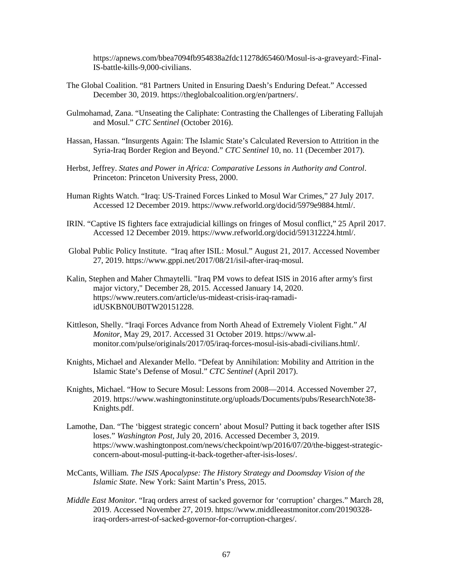https://apnews.com/bbea7094fb954838a2fdc11278d65460/Mosul-is-a-graveyard:-Final-IS-battle-kills-9,000-civilians.

- The Global Coalition. "81 Partners United in Ensuring Daesh's Enduring Defeat." Accessed December 30, 2019. https://theglobalcoalition.org/en/partners/.
- Gulmohamad, Zana. "Unseating the Caliphate: Contrasting the Challenges of Liberating Fallujah and Mosul." *CTC Sentinel* (October 2016).
- Hassan, Hassan. "Insurgents Again: The Islamic State's Calculated Reversion to Attrition in the Syria-Iraq Border Region and Beyond." *CTC Sentinel* 10, no. 11 (December 2017).
- Herbst, Jeffrey. *States and Power in Africa: Comparative Lessons in Authority and Control*. Princeton: Princeton University Press, 2000.
- Human Rights Watch. "Iraq: US-Trained Forces Linked to Mosul War Crimes," 27 July 2017. Accessed 12 December 2019. https://www.refworld.org/docid/5979e9884.html/.
- IRIN. "Captive IS fighters face extrajudicial killings on fringes of Mosul conflict," 25 April 2017. Accessed 12 December 2019. https://www.refworld.org/docid/591312224.html/.
- Global Public Policy Institute. "Iraq after ISIL: Mosul." August 21, 2017. Accessed November 27, 2019. https://www.gppi.net/2017/08/21/isil-after-iraq-mosul.
- Kalin, Stephen and Maher Chmaytelli. "Iraq PM vows to defeat ISIS in 2016 after army's first major victory," December 28, 2015. Accessed January 14, 2020. https://www.reuters.com/article/us-mideast-crisis-iraq-ramadiidUSKBN0UB0TW20151228.
- Kittleson, Shelly. "Iraqi Forces Advance from North Ahead of Extremely Violent Fight." *Al Monitor*, May 29, 2017. Accessed 31 October 2019. https://www.almonitor.com/pulse/originals/2017/05/iraq-forces-mosul-isis-abadi-civilians.html/.
- Knights, Michael and Alexander Mello. "Defeat by Annihilation: Mobility and Attrition in the Islamic State's Defense of Mosul." *CTC Sentinel* (April 2017).
- Knights, Michael. "How to Secure Mosul: Lessons from 2008—2014. Accessed November 27, 2019. https://www.washingtoninstitute.org/uploads/Documents/pubs/ResearchNote38- Knights.pdf.
- Lamothe, Dan. "The 'biggest strategic concern' about Mosul? Putting it back together after ISIS loses." *Washington Post*, July 20, 2016. Accessed December 3, 2019. https://www.washingtonpost.com/news/checkpoint/wp/2016/07/20/the-biggest-strategicconcern-about-mosul-putting-it-back-together-after-isis-loses/.
- McCants, William. *The ISIS Apocalypse: The History Strategy and Doomsday Vision of the Islamic State*. New York: Saint Martin's Press, 2015.
- *Middle East Monitor.* "Iraq orders arrest of sacked governor for 'corruption' charges." March 28, 2019. Accessed November 27, 2019. https://www.middleeastmonitor.com/20190328 iraq-orders-arrest-of-sacked-governor-for-corruption-charges/.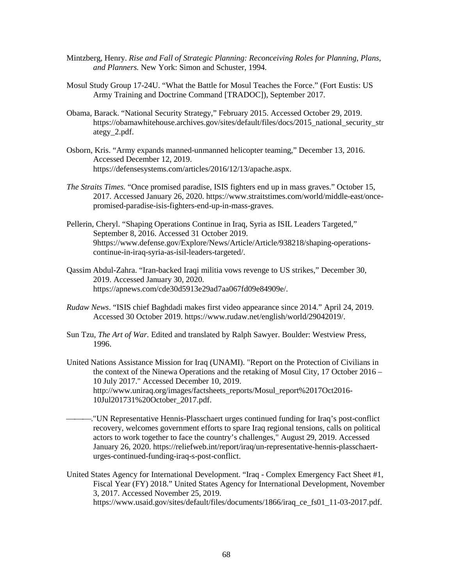- Mintzberg, Henry. *Rise and Fall of Strategic Planning: Reconceiving Roles for Planning, Plans, and Planners.* New York: Simon and Schuster, 1994.
- Mosul Study Group 17-24U. "What the Battle for Mosul Teaches the Force." (Fort Eustis: US Army Training and Doctrine Command [TRADOC]), September 2017.
- Obama, Barack. "National Security Strategy," February 2015. Accessed October 29, 2019. https://obamawhitehouse.archives.gov/sites/default/files/docs/2015\_national\_security\_str ategy\_2.pdf.
- Osborn, Kris. "Army expands manned-unmanned helicopter teaming," December 13, 2016. Accessed December 12, 2019. https://defensesystems.com/articles/2016/12/13/apache.aspx.
- *The Straits Times.* "Once promised paradise, ISIS fighters end up in mass graves." October 15, 2017. Accessed January 26, 2020. https://www.straitstimes.com/world/middle-east/oncepromised-paradise-isis-fighters-end-up-in-mass-graves.
- Pellerin, Cheryl. "Shaping Operations Continue in Iraq, Syria as ISIL Leaders Targeted," September 8, 2016. Accessed 31 October 2019. 9https://www.defense.gov/Explore/News/Article/Article/938218/shaping-operationscontinue-in-iraq-syria-as-isil-leaders-targeted/.
- Qassim Abdul-Zahra. "Iran-backed Iraqi militia vows revenge to US strikes," December 30, 2019. Accessed January 30, 2020. https://apnews.com/cde30d5913e29ad7aa067fd09e84909e/.
- *Rudaw News*. "ISIS chief Baghdadi makes first video appearance since 2014." April 24, 2019. Accessed 30 October 2019. https://www.rudaw.net/english/world/29042019/.
- Sun Tzu, *The Art of War.* Edited and translated by Ralph Sawyer. Boulder: Westview Press, 1996.
- United Nations Assistance Mission for Iraq (UNAMI). "Report on the Protection of Civilians in the context of the Ninewa Operations and the retaking of Mosul City, 17 October 2016 – 10 July 2017." Accessed December 10, 2019. http://www.uniraq.org/images/factsheets\_reports/Mosul\_report%2017Oct2016- 10Jul201731%20October\_2017.pdf.
- ."UN Representative Hennis-Plasschaert urges continued funding for Iraq's post-conflict recovery, welcomes government efforts to spare Iraq regional tensions, calls on political actors to work together to face the country's challenges," August 29, 2019. Accessed January 26, 2020. https://reliefweb.int/report/iraq/un-representative-hennis-plasschaerturges-continued-funding-iraq-s-post-conflict.
- United States Agency for International Development. "Iraq Complex Emergency Fact Sheet #1, Fiscal Year (FY) 2018." United States Agency for International Development, November 3, 2017. Accessed November 25, 2019. https://www.usaid.gov/sites/default/files/documents/1866/iraq\_ce\_fs01\_11-03-2017.pdf.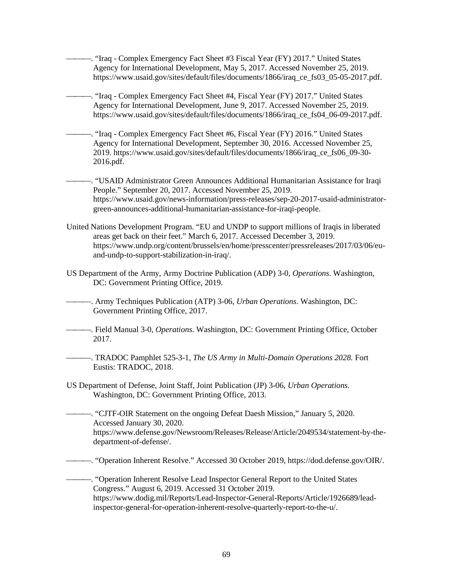. "Iraq - Complex Emergency Fact Sheet #3 Fiscal Year (FY) 2017." United States Agency for International Development, May 5, 2017. Accessed November 25, 2019. https://www.usaid.gov/sites/default/files/documents/1866/iraq\_ce\_fs03\_05-05-2017.pdf.

. "Iraq - Complex Emergency Fact Sheet #4, Fiscal Year (FY) 2017." United States Agency for International Development, June 9, 2017. Accessed November 25, 2019. https://www.usaid.gov/sites/default/files/documents/1866/iraq\_ce\_fs04\_06-09-2017.pdf.

. "Iraq - Complex Emergency Fact Sheet #6, Fiscal Year (FY) 2016." United States Agency for International Development, September 30, 2016. Accessed November 25, 2019. https://www.usaid.gov/sites/default/files/documents/1866/iraq\_ce\_fs06\_09-30- 2016.pdf.

. "USAID Administrator Green Announces Additional Humanitarian Assistance for Iraqi People." September 20, 2017. Accessed November 25, 2019. https://www.usaid.gov/news-information/press-releases/sep-20-2017-usaid-administratorgreen-announces-additional-humanitarian-assistance-for-iraqi-people.

- United Nations Development Program. "EU and UNDP to support millions of Iraqis in liberated areas get back on their feet." March 6, 2017. Accessed December 3, 2019. https://www.undp.org/content/brussels/en/home/presscenter/pressreleases/2017/03/06/euand-undp-to-support-stabilization-in-iraq/.
- US Department of the Army, Army Doctrine Publication (ADP) 3-0, *Operations*. Washington, DC: Government Printing Office, 2019.

. Army Techniques Publication (ATP) 3-06, *Urban Operations*. Washington, DC: Government Printing Office, 2017.

- . Field Manual 3-0, *Operations*. Washington, DC: Government Printing Office, October 2017.
- . TRADOC Pamphlet 525-3-1, *The US Army in Multi-Domain Operations 2028.* Fort Eustis: TRADOC, 2018.
- US Department of Defense, Joint Staff, Joint Publication (JP) 3-06, *Urban Operations.* Washington, DC: Government Printing Office, 2013.

. "CJTF-OIR Statement on the ongoing Defeat Daesh Mission," January 5, 2020. Accessed January 30, 2020. https://www.defense.gov/Newsroom/Releases/Release/Article/2049534/statement-by-thedepartment-of-defense/.

. "Operation Inherent Resolve." Accessed 30 October 2019, https://dod.defense.gov/OIR/.

. "Operation Inherent Resolve Lead Inspector General Report to the United States Congress." August 6, 2019. Accessed 31 October 2019. https://www.dodig.mil/Reports/Lead-Inspector-General-Reports/Article/1926689/leadinspector-general-for-operation-inherent-resolve-quarterly-report-to-the-u/.